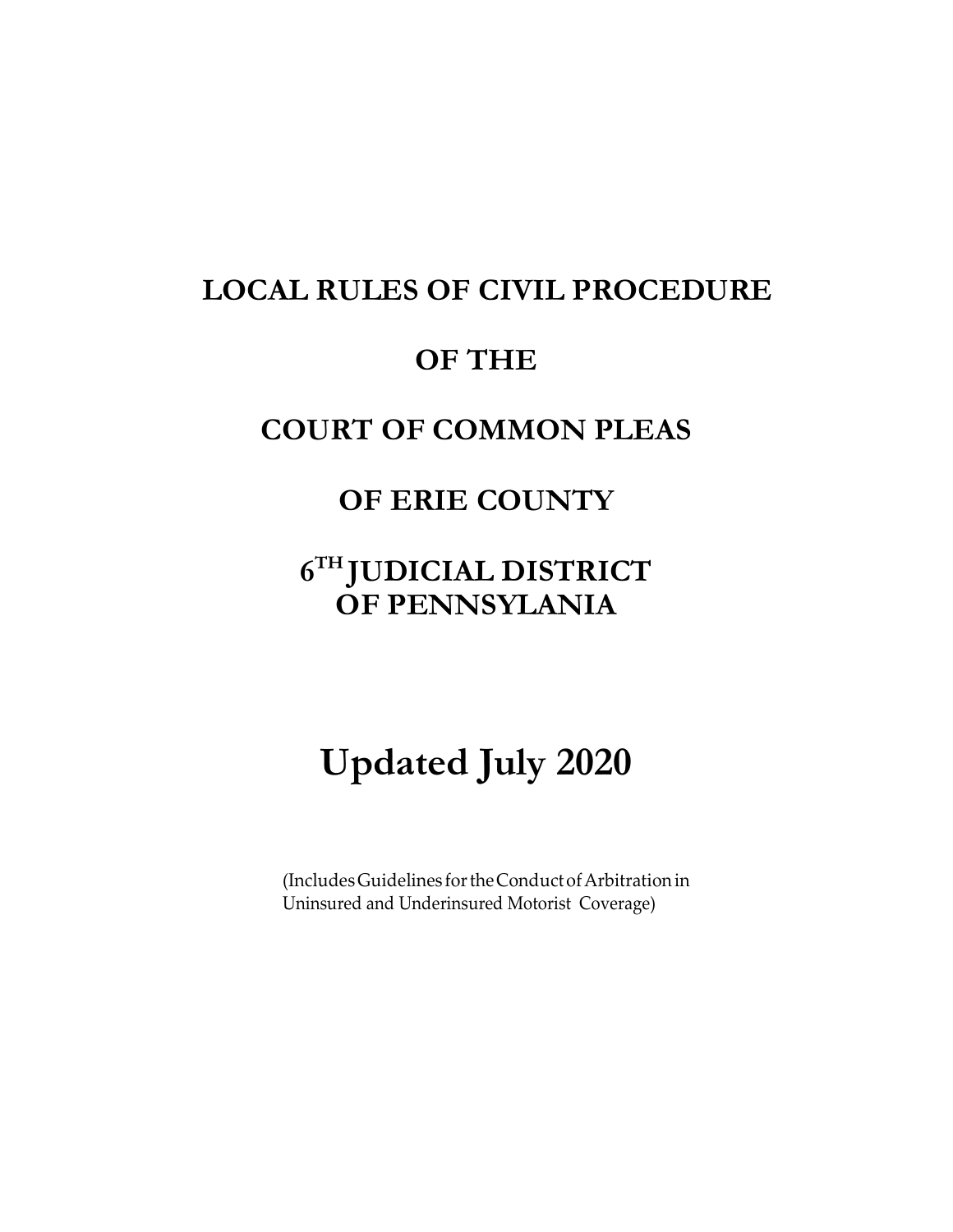# **LOCAL RULES OF CIVIL PROCEDURE**

# **OF THE**

# **COURT OF COMMON PLEAS**

# **OF ERIE COUNTY**

# **6 TH JUDICIAL DISTRICT OF PENNSYLANIA**

# **Updated July 2020**

(Includes Guidelines for the Conduct of Arbitration in Uninsured and Underinsured Motorist Coverage)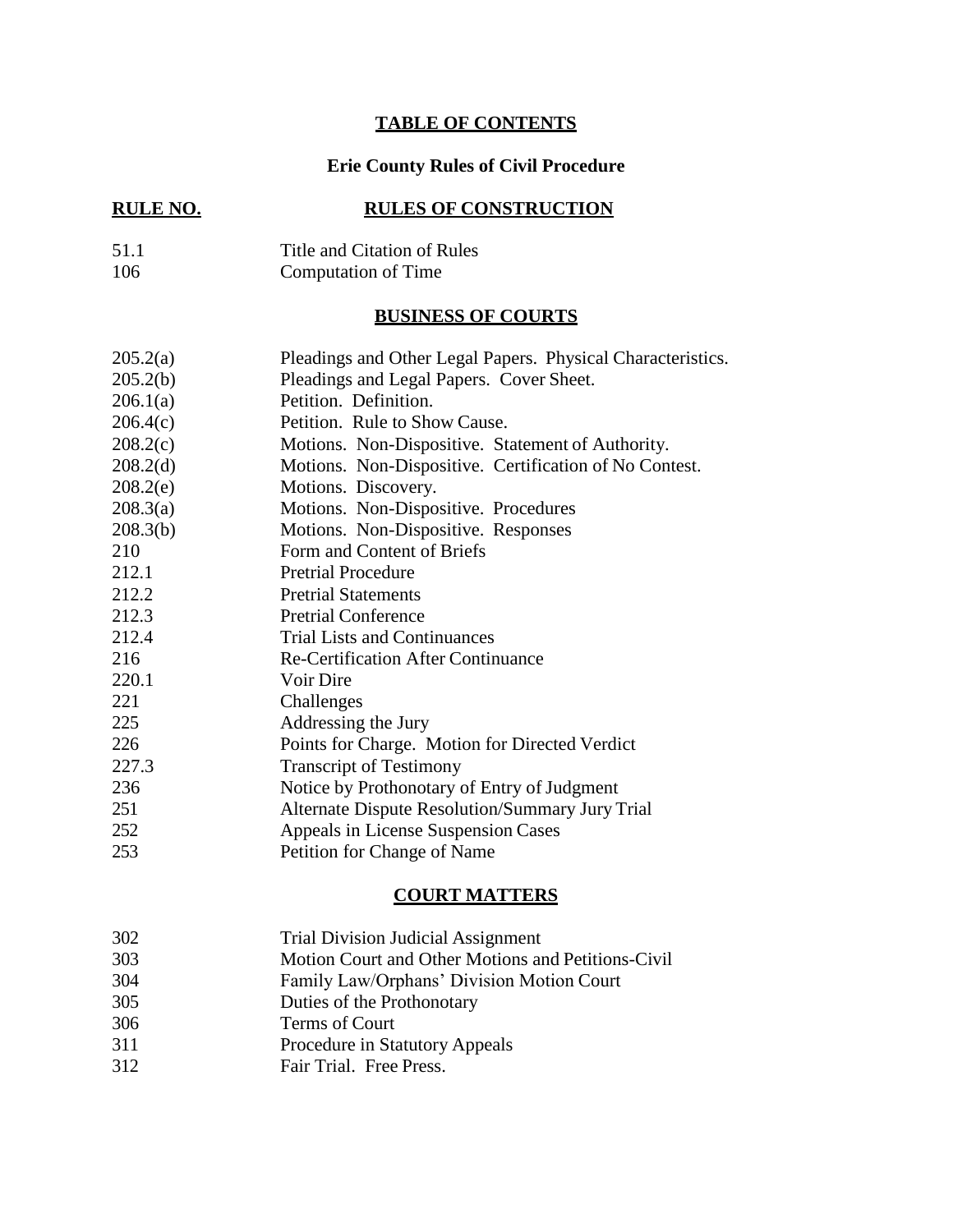# **TABLE OF CONTENTS**

# **Erie County Rules of Civil Procedure**

# **RULE NO. RULES OF CONSTRUCTION**

# 51.1 Title and Citation of Rules 106 Computation of Time

# **BUSINESS OF COURTS**

| 205.2(a)             | Pleadings and Other Legal Papers. Physical Characteristics. |  |  |
|----------------------|-------------------------------------------------------------|--|--|
| 205.2(b)             | Pleadings and Legal Papers. Cover Sheet.                    |  |  |
| 206.1(a)             | Petition. Definition.                                       |  |  |
| 206.4(c)             | Petition. Rule to Show Cause.                               |  |  |
| 208.2(c)             | Motions. Non-Dispositive. Statement of Authority.           |  |  |
| 208.2 <sub>(d)</sub> | Motions. Non-Dispositive. Certification of No Contest.      |  |  |
| 208.2(e)             | Motions. Discovery.                                         |  |  |
| 208.3(a)             | Motions. Non-Dispositive. Procedures                        |  |  |
| 208.3(b)             | Motions. Non-Dispositive. Responses                         |  |  |
| 210                  | Form and Content of Briefs                                  |  |  |
| 212.1                | <b>Pretrial Procedure</b>                                   |  |  |
| 212.2                | <b>Pretrial Statements</b>                                  |  |  |
| 212.3                | <b>Pretrial Conference</b>                                  |  |  |
| 212.4                | <b>Trial Lists and Continuances</b>                         |  |  |
| 216                  | <b>Re-Certification After Continuance</b>                   |  |  |
| 220.1                | Voir Dire                                                   |  |  |
| 221                  | Challenges                                                  |  |  |
| 225                  | Addressing the Jury                                         |  |  |
| 226                  | Points for Charge. Motion for Directed Verdict              |  |  |
| 227.3                | <b>Transcript of Testimony</b>                              |  |  |
| 236                  | Notice by Prothonotary of Entry of Judgment                 |  |  |
| 251                  | Alternate Dispute Resolution/Summary Jury Trial             |  |  |
| 252                  | Appeals in License Suspension Cases                         |  |  |
| 253                  | Petition for Change of Name                                 |  |  |

#### **COURT MATTERS**

| 302 | <b>Trial Division Judicial Assignment</b> |
|-----|-------------------------------------------|
|-----|-------------------------------------------|

- 303 Motion Court and Other Motions and Petitions-Civil
- 304 Family Law/Orphans' Division Motion Court
- 305 Duties of the Prothonotary
- 306 Terms of Court
- 311 Procedure in Statutory Appeals
- 312 Fair Trial. Free Press.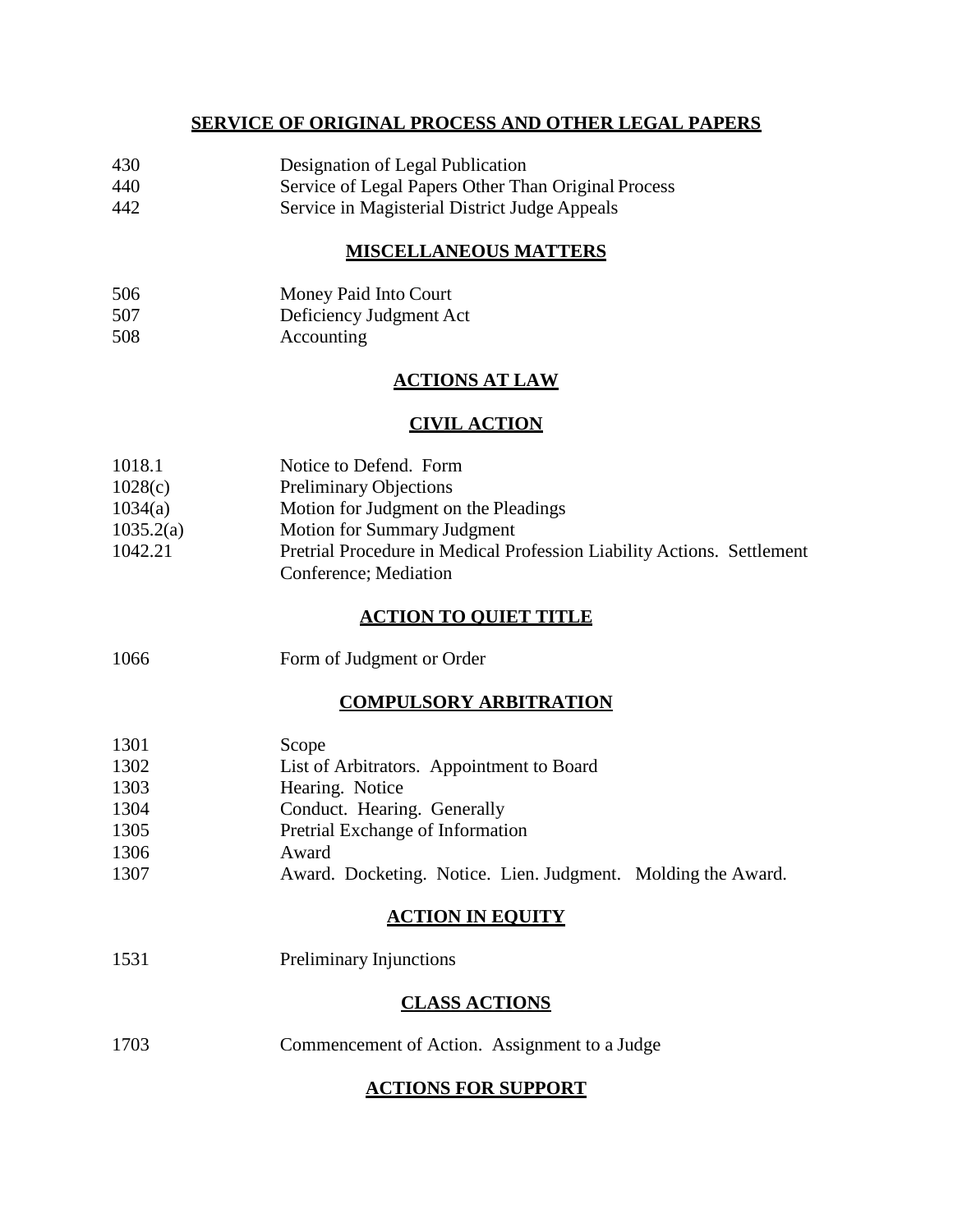# **SERVICE OF ORIGINAL PROCESS AND OTHER LEGAL PAPERS**

- 430 Designation of Legal Publication
- 440 Service of Legal Papers Other Than Original Process
- 442 Service in Magisterial District Judge Appeals

# **MISCELLANEOUS MATTERS**

- 506 Money Paid Into Court 507 Deficiency Judgment Act
- 508 Accounting

# **ACTIONS AT LAW**

# **CIVIL ACTION**

| 1018.1    | Notice to Defend. Form                                                                          |
|-----------|-------------------------------------------------------------------------------------------------|
| 1028(c)   | <b>Preliminary Objections</b>                                                                   |
| 1034(a)   | Motion for Judgment on the Pleadings                                                            |
| 1035.2(a) | Motion for Summary Judgment                                                                     |
| 1042.21   | Pretrial Procedure in Medical Profession Liability Actions. Settlement<br>Conference; Mediation |

# **ACTION TO QUIET TITLE**

| Form of Judgment or Order |
|---------------------------|
|                           |

# **COMPULSORY ARBITRATION**

| 1301<br>1302 | Scope<br>List of Arbitrators. Appointment to Board |
|--------------|----------------------------------------------------|
| 1303         | Hearing. Notice                                    |
| 1304         | Conduct. Hearing. Generally                        |
| 1305         | Pretrial Exchange of Information                   |

- 1306 Award
- 1307 Award. Docketing. Notice. Lien. Judgment. Molding the Award.

# **ACTION IN EQUITY**

1531 Preliminary Injunctions

# **CLASS ACTIONS**

1703 Commencement of Action. Assignment to a Judge

# **ACTIONS FOR SUPPORT**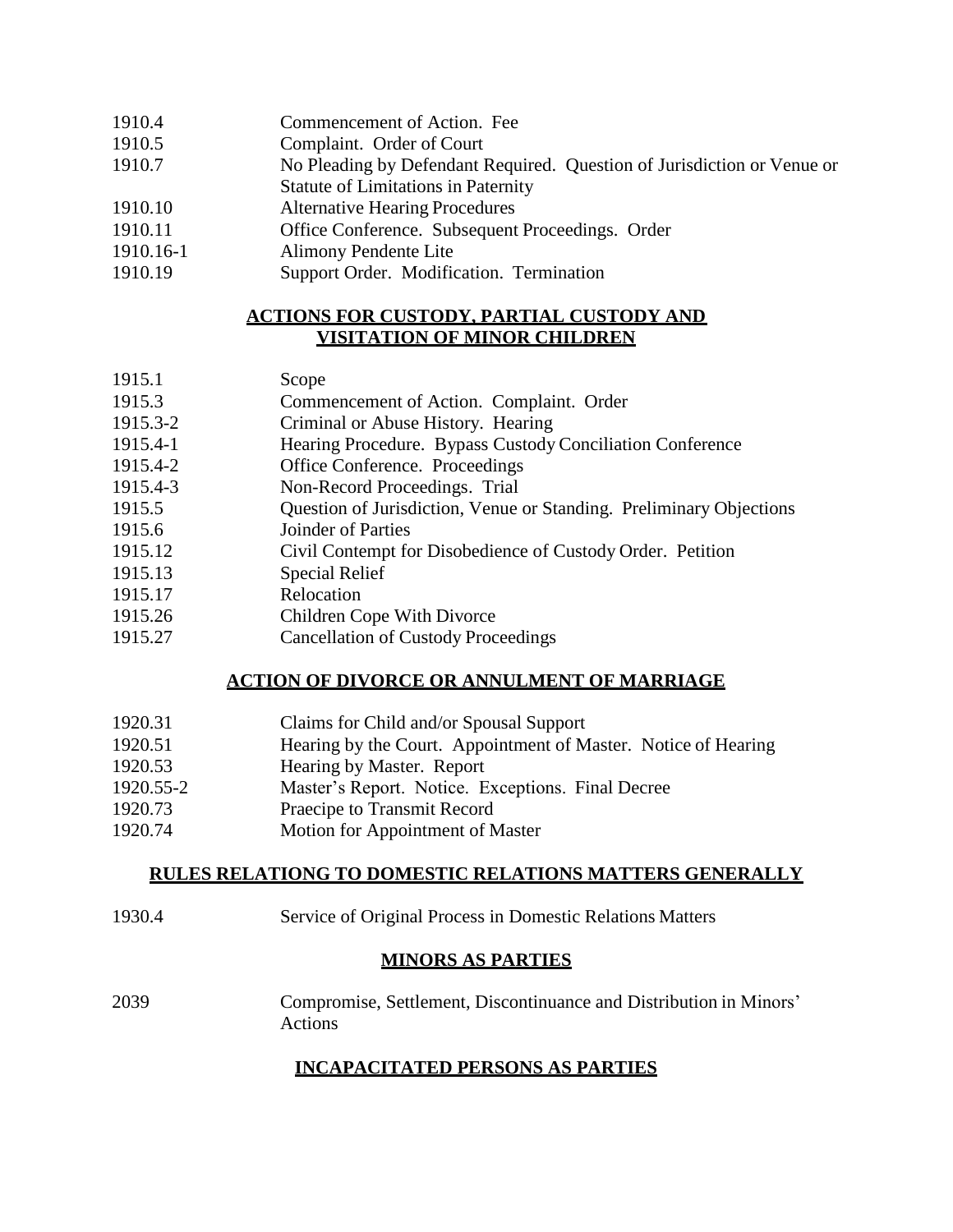| 1910.4 | Commencement of Action. Fee |  |
|--------|-----------------------------|--|
|--------|-----------------------------|--|

- 1910.5 Complaint. Order of Court
- 1910.7 No Pleading by Defendant Required. Question of Jurisdiction or Venue or
- Statute of Limitations in Paternity
- 1910.10 Alternative Hearing Procedures
- 1910.11 Office Conference. Subsequent Proceedings. Order
- 1910.16-1 Alimony Pendente Lite
- 1910.19 Support Order. Modification. Termination

# **ACTIONS FOR CUSTODY, PARTIAL CUSTODY AND VISITATION OF MINOR CHILDREN**

# 1915.1 Scope

- 1915.3 Commencement of Action. Complaint. Order
- 1915.3-2 Criminal or Abuse History. Hearing
- 1915.4-1 Hearing Procedure. Bypass Custody Conciliation Conference
- 1915.4-2 Office Conference. Proceedings
- 1915.4-3 Non-Record Proceedings. Trial
- 1915.5 Question of Jurisdiction, Venue or Standing. Preliminary Objections
- 1915.6 Joinder of Parties
- 1915.12 Civil Contempt for Disobedience of Custody Order. Petition
- 1915.13 Special Relief
- 1915.17 Relocation
- 1915.26 Children Cope With Divorce
- 1915.27 Cancellation of Custody Proceedings

# **ACTION OF DIVORCE OR ANNULMENT OF MARRIAGE**

| 1920.31   | Claims for Child and/or Spousal Support                        |
|-----------|----------------------------------------------------------------|
| 1920.51   | Hearing by the Court. Appointment of Master. Notice of Hearing |
| 1920.53   | Hearing by Master. Report                                      |
| 1920.55-2 | Master's Report. Notice. Exceptions. Final Decree              |
| 1920.73   | Praecipe to Transmit Record                                    |
| 1920.74   | Motion for Appointment of Master                               |

# **RULES RELATIONG TO DOMESTIC RELATIONS MATTERS GENERALLY**

1930.4 Service of Original Process in Domestic Relations Matters

# **MINORS AS PARTIES**

2039 Compromise, Settlement, Discontinuance and Distribution in Minors' Actions

# **INCAPACITATED PERSONS AS PARTIES**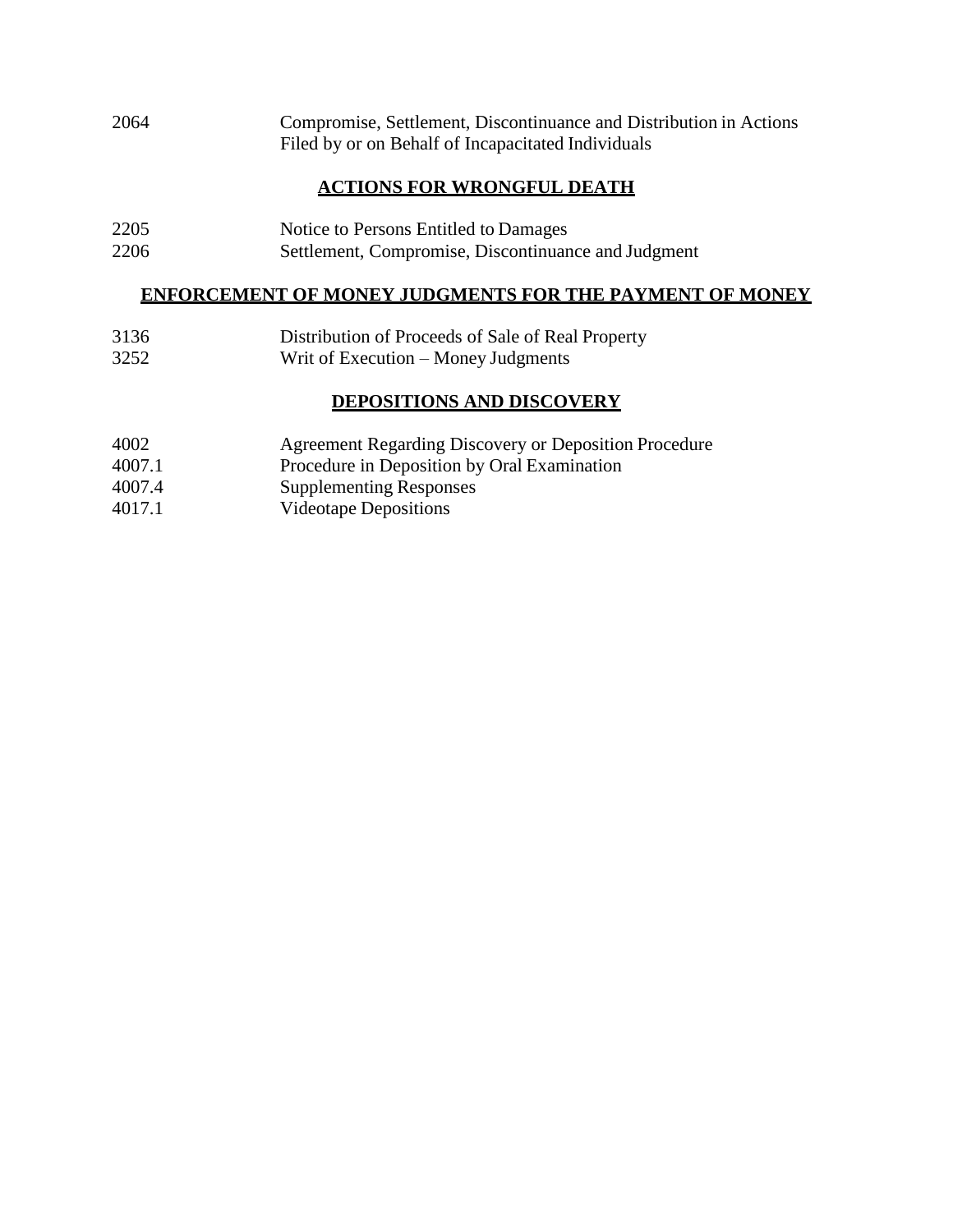2064 Compromise, Settlement, Discontinuance and Distribution in Actions Filed by or on Behalf of Incapacitated Individuals

# **ACTIONS FOR WRONGFUL DEATH**

2205 Notice to Persons Entitled to Damages 2206 Settlement, Compromise, Discontinuance and Judgment

# **ENFORCEMENT OF MONEY JUDGMENTS FOR THE PAYMENT OF MONEY**

- 3136 Distribution of Proceeds of Sale of Real Property
- 3252 Writ of Execution Money Judgments

# **DEPOSITIONS AND DISCOVERY**

- 4002 Agreement Regarding Discovery or Deposition Procedure
- 4007.1 Procedure in Deposition by Oral Examination
- 4007.4 Supplementing Responses
- 4017.1 Videotape Depositions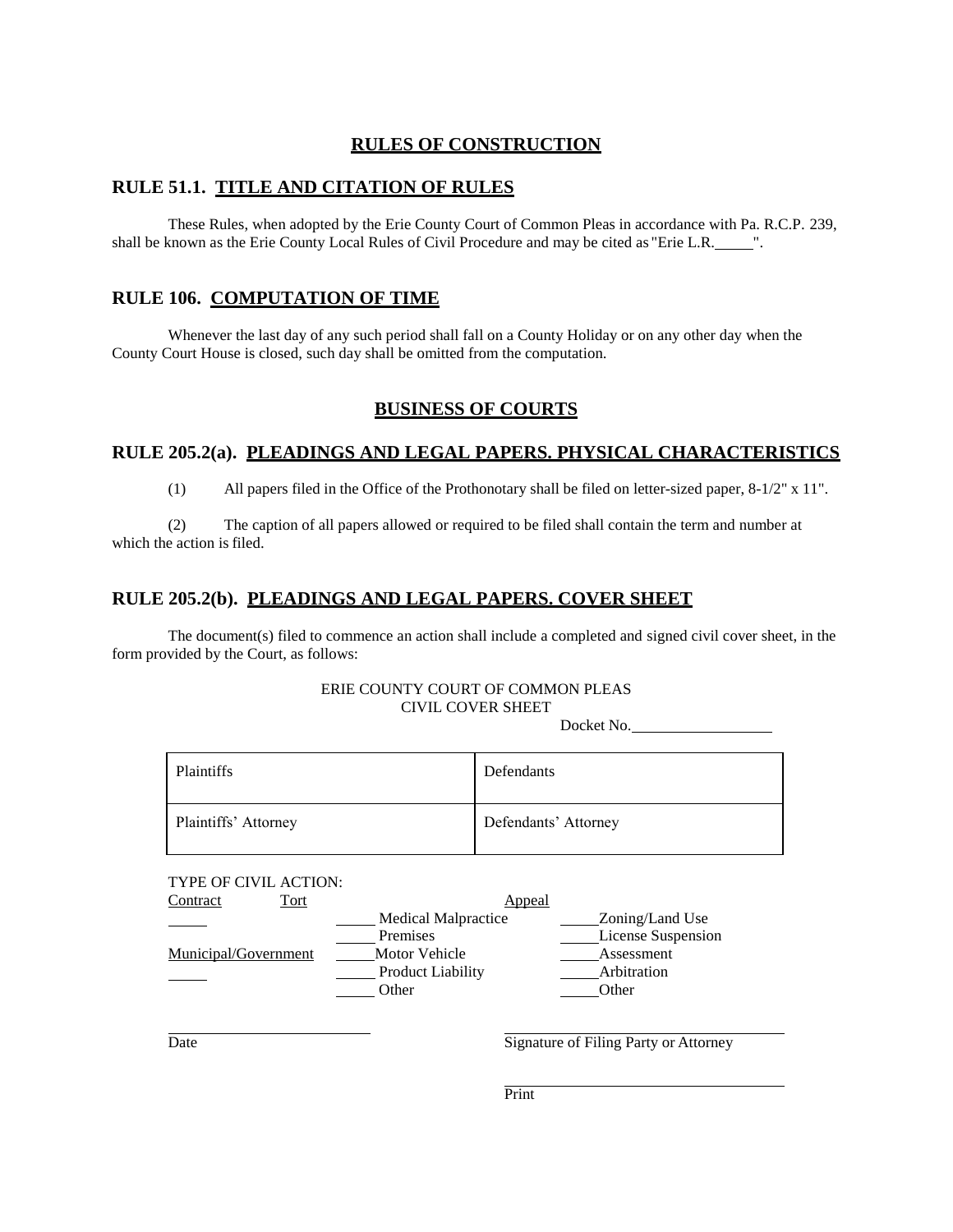# **RULES OF CONSTRUCTION**

# **RULE 51.1. TITLE AND CITATION OF RULES**

These Rules, when adopted by the Erie County Court of Common Pleas in accordance with Pa. R.C.P. 239, shall be known as the Erie County Local Rules of Civil Procedure and may be cited as "Erie L.R. ".

### **RULE 106. COMPUTATION OF TIME**

Whenever the last day of any such period shall fall on a County Holiday or on any other day when the County Court House is closed, such day shall be omitted from the computation.

# **BUSINESS OF COURTS**

#### **RULE 205.2(a). PLEADINGS AND LEGAL PAPERS. PHYSICAL CHARACTERISTICS**

(1) All papers filed in the Office of the Prothonotary shall be filed on letter-sized paper, 8-1/2" x 11".

(2) The caption of all papers allowed or required to be filed shall contain the term and number at which the action is filed.

### **RULE 205.2(b). PLEADINGS AND LEGAL PAPERS. COVER SHEET**

The document(s) filed to commence an action shall include a completed and signed civil cover sheet, in the form provided by the Court, as follows:

#### ERIE COUNTY COURT OF COMMON PLEAS CIVIL COVER SHEET

Docket No.

| Plaintiffs           | Defendants           |
|----------------------|----------------------|
| Plaintiffs' Attorney | Defendants' Attorney |

#### TYPE OF CIVIL ACTION:

| Tort<br>Contract     |                            | Appeal             |  |
|----------------------|----------------------------|--------------------|--|
|                      | <b>Medical Malpractice</b> | Zoning/Land Use    |  |
|                      | Premises                   | License Suspension |  |
| Municipal/Government | Motor Vehicle              | Assessment         |  |
|                      | <b>Product Liability</b>   | Arbitration        |  |
|                      | Other                      | Other              |  |

Date Signature of Filing Party or Attorney

Print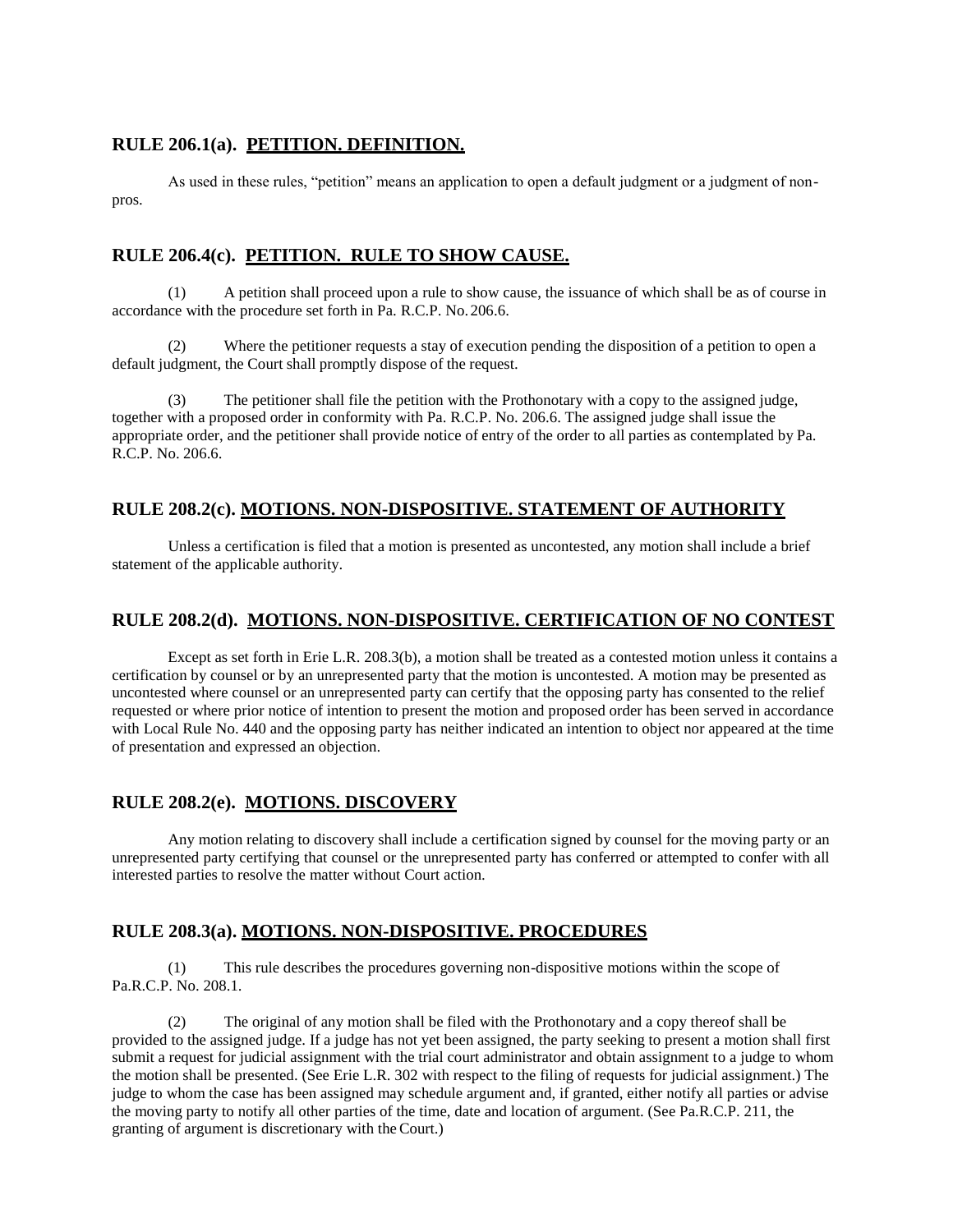#### **RULE 206.1(a). PETITION. DEFINITION.**

As used in these rules, "petition" means an application to open a default judgment or a judgment of nonpros.

#### **RULE 206.4(c). PETITION. RULE TO SHOW CAUSE.**

(1) A petition shall proceed upon a rule to show cause, the issuance of which shall be as of course in accordance with the procedure set forth in Pa. R.C.P. No.206.6.

(2) Where the petitioner requests a stay of execution pending the disposition of a petition to open a default judgment, the Court shall promptly dispose of the request.

(3) The petitioner shall file the petition with the Prothonotary with a copy to the assigned judge, together with a proposed order in conformity with Pa. R.C.P. No. 206.6. The assigned judge shall issue the appropriate order, and the petitioner shall provide notice of entry of the order to all parties as contemplated by Pa. R.C.P. No. 206.6.

# **RULE 208.2(c). MOTIONS. NON-DISPOSITIVE. STATEMENT OF AUTHORITY**

Unless a certification is filed that a motion is presented as uncontested, any motion shall include a brief statement of the applicable authority.

#### **RULE 208.2(d). MOTIONS. NON-DISPOSITIVE. CERTIFICATION OF NO CONTEST**

Except as set forth in Erie L.R. 208.3(b), a motion shall be treated as a contested motion unless it contains a certification by counsel or by an unrepresented party that the motion is uncontested. A motion may be presented as uncontested where counsel or an unrepresented party can certify that the opposing party has consented to the relief requested or where prior notice of intention to present the motion and proposed order has been served in accordance with Local Rule No. 440 and the opposing party has neither indicated an intention to object nor appeared at the time of presentation and expressed an objection.

#### **RULE 208.2(e). MOTIONS. DISCOVERY**

Any motion relating to discovery shall include a certification signed by counsel for the moving party or an unrepresented party certifying that counsel or the unrepresented party has conferred or attempted to confer with all interested parties to resolve the matter without Court action.

# **RULE 208.3(a). MOTIONS. NON-DISPOSITIVE. PROCEDURES**

(1) This rule describes the procedures governing non-dispositive motions within the scope of Pa.R.C.P. No. 208.1.

(2) The original of any motion shall be filed with the Prothonotary and a copy thereof shall be provided to the assigned judge. If a judge has not yet been assigned, the party seeking to present a motion shall first submit a request for judicial assignment with the trial court administrator and obtain assignment to a judge to whom the motion shall be presented. (See Erie L.R. 302 with respect to the filing of requests for judicial assignment.) The judge to whom the case has been assigned may schedule argument and, if granted, either notify all parties or advise the moving party to notify all other parties of the time, date and location of argument. (See Pa.R.C.P. 211, the granting of argument is discretionary with theCourt.)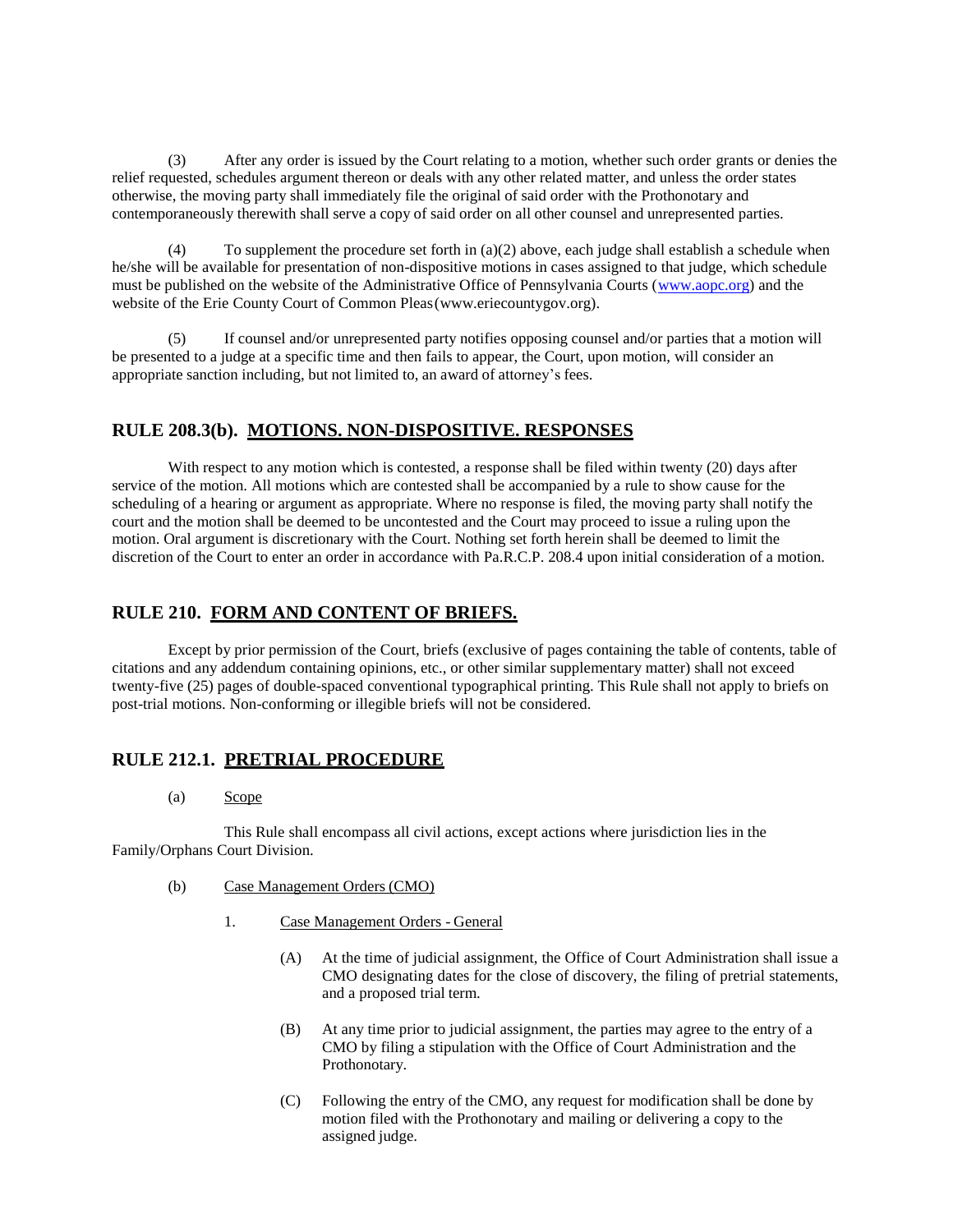(3) After any order is issued by the Court relating to a motion, whether such order grants or denies the relief requested, schedules argument thereon or deals with any other related matter, and unless the order states otherwise, the moving party shall immediately file the original of said order with the Prothonotary and contemporaneously therewith shall serve a copy of said order on all other counsel and unrepresented parties.

(4) To supplement the procedure set forth in (a)(2) above, each judge shall establish a schedule when he/she will be available for presentation of non-dispositive motions in cases assigned to that judge, which schedule must be published on the website of the Administrative Office of Pennsylvania Courts (www.aopc.org) and the website of the Erie County Court of Common Pleas(www.eriecountygov.org).

(5) If counsel and/or unrepresented party notifies opposing counsel and/or parties that a motion will be presented to a judge at a specific time and then fails to appear, the Court, upon motion, will consider an appropriate sanction including, but not limited to, an award of attorney's fees.

#### **RULE 208.3(b). MOTIONS. NON-DISPOSITIVE. RESPONSES**

With respect to any motion which is contested, a response shall be filed within twenty (20) days after service of the motion. All motions which are contested shall be accompanied by a rule to show cause for the scheduling of a hearing or argument as appropriate. Where no response is filed, the moving party shall notify the court and the motion shall be deemed to be uncontested and the Court may proceed to issue a ruling upon the motion. Oral argument is discretionary with the Court. Nothing set forth herein shall be deemed to limit the discretion of the Court to enter an order in accordance with Pa.R.C.P. 208.4 upon initial consideration of a motion.

#### **RULE 210. FORM AND CONTENT OF BRIEFS.**

Except by prior permission of the Court, briefs (exclusive of pages containing the table of contents, table of citations and any addendum containing opinions, etc., or other similar supplementary matter) shall not exceed twenty-five (25) pages of double-spaced conventional typographical printing. This Rule shall not apply to briefs on post-trial motions. Non-conforming or illegible briefs will not be considered.

# **RULE 212.1. PRETRIAL PROCEDURE**

(a) Scope

This Rule shall encompass all civil actions, except actions where jurisdiction lies in the Family/Orphans Court Division.

- (b) Case Management Orders (CMO)
	- 1. Case Management Orders General
		- (A) At the time of judicial assignment, the Office of Court Administration shall issue a CMO designating dates for the close of discovery, the filing of pretrial statements, and a proposed trial term.
		- (B) At any time prior to judicial assignment, the parties may agree to the entry of a CMO by filing a stipulation with the Office of Court Administration and the Prothonotary.
		- (C) Following the entry of the CMO, any request for modification shall be done by motion filed with the Prothonotary and mailing or delivering a copy to the assigned judge.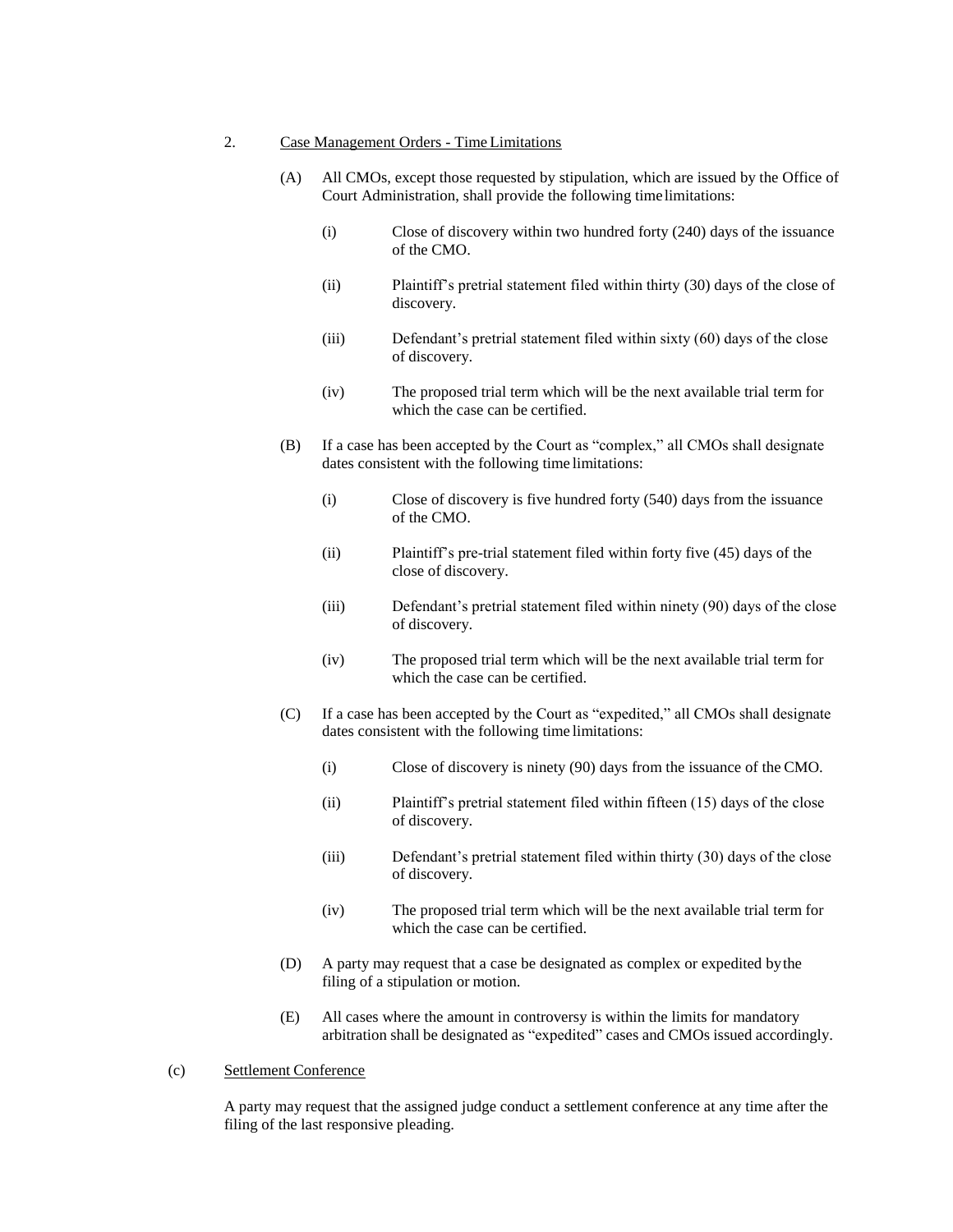#### 2. Case Management Orders - Time Limitations

- (A) All CMOs, except those requested by stipulation, which are issued by the Office of Court Administration, shall provide the following time limitations:
	- (i) Close of discovery within two hundred forty (240) days of the issuance of the CMO.
	- (ii) Plaintiff's pretrial statement filed within thirty (30) days of the close of discovery.
	- (iii) Defendant's pretrial statement filed within sixty (60) days of the close of discovery.
	- (iv) The proposed trial term which will be the next available trial term for which the case can be certified.
- (B) If a case has been accepted by the Court as "complex," all CMOs shall designate dates consistent with the following time limitations:
	- (i) Close of discovery is five hundred forty (540) days from the issuance of the CMO.
	- (ii) Plaintiff's pre-trial statement filed within forty five (45) days of the close of discovery.
	- (iii) Defendant's pretrial statement filed within ninety (90) days of the close of discovery.
	- (iv) The proposed trial term which will be the next available trial term for which the case can be certified.
- (C) If a case has been accepted by the Court as "expedited," all CMOs shall designate dates consistent with the following time limitations:
	- (i) Close of discovery is ninety (90) days from the issuance of the CMO.
	- (ii) Plaintiff's pretrial statement filed within fifteen (15) days of the close of discovery.
	- (iii) Defendant's pretrial statement filed within thirty (30) days of the close of discovery.
	- (iv) The proposed trial term which will be the next available trial term for which the case can be certified.
- (D) A party may request that a case be designated as complex or expedited bythe filing of a stipulation or motion.
- (E) All cases where the amount in controversy is within the limits for mandatory arbitration shall be designated as "expedited" cases and CMOs issued accordingly.

#### (c) Settlement Conference

A party may request that the assigned judge conduct a settlement conference at any time after the filing of the last responsive pleading.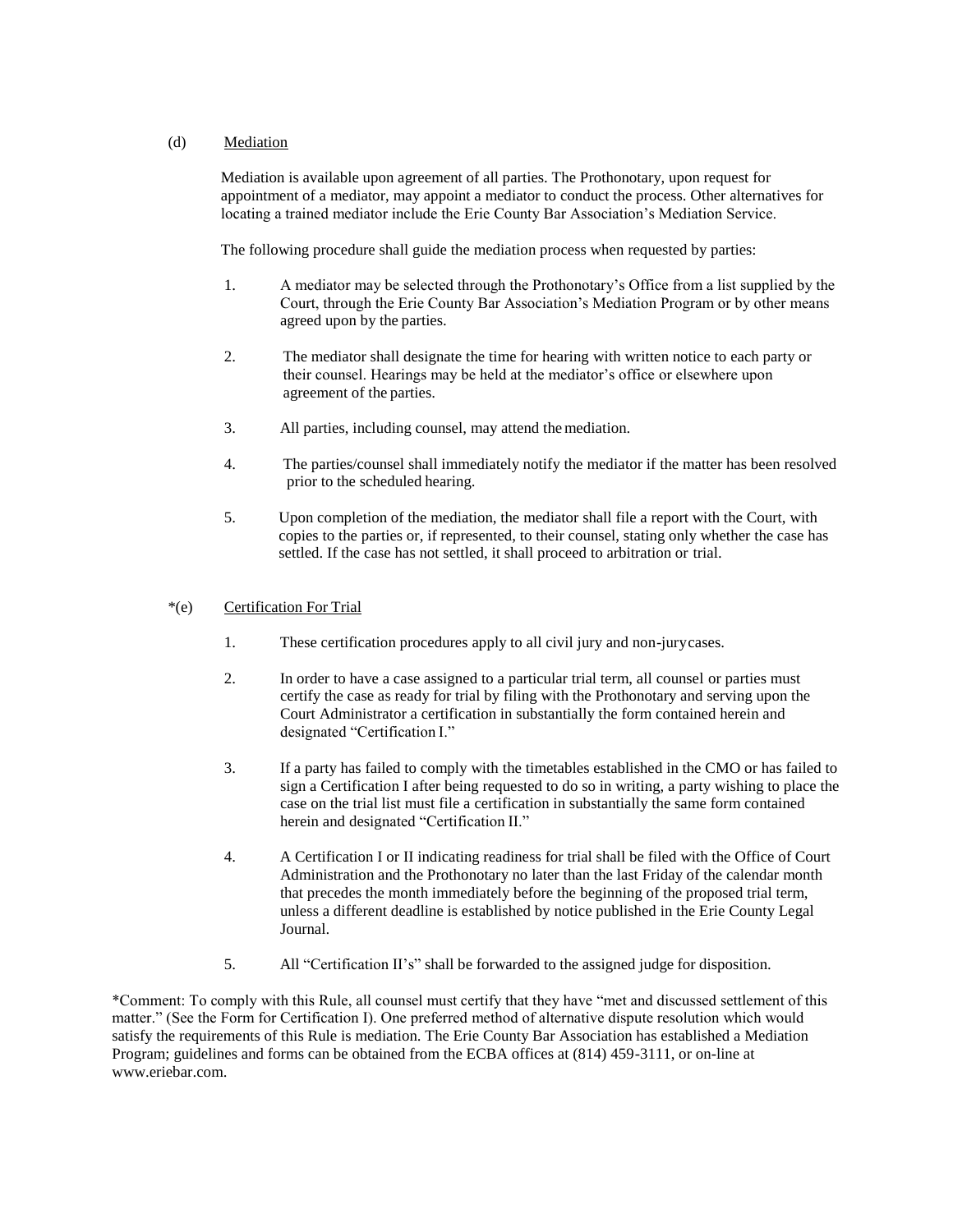#### (d) Mediation

Mediation is available upon agreement of all parties. The Prothonotary, upon request for appointment of a mediator, may appoint a mediator to conduct the process. Other alternatives for locating a trained mediator include the Erie County Bar Association's Mediation Service.

The following procedure shall guide the mediation process when requested by parties:

- 1. A mediator may be selected through the Prothonotary's Office from a list supplied by the Court, through the Erie County Bar Association's Mediation Program or by other means agreed upon by the parties.
- 2. The mediator shall designate the time for hearing with written notice to each party or their counsel. Hearings may be held at the mediator's office or elsewhere upon agreement of the parties.
- 3. All parties, including counsel, may attend themediation.
- 4. The parties/counsel shall immediately notify the mediator if the matter has been resolved prior to the scheduled hearing.
- 5. Upon completion of the mediation, the mediator shall file a report with the Court, with copies to the parties or, if represented, to their counsel, stating only whether the case has settled. If the case has not settled, it shall proceed to arbitration or trial.

#### \*(e) Certification For Trial

- 1. These certification procedures apply to all civil jury and non-jurycases.
- 2. In order to have a case assigned to a particular trial term, all counsel or parties must certify the case as ready for trial by filing with the Prothonotary and serving upon the Court Administrator a certification in substantially the form contained herein and designated "Certification I."
- 3. If a party has failed to comply with the timetables established in the CMO or has failed to sign a Certification I after being requested to do so in writing, a party wishing to place the case on the trial list must file a certification in substantially the same form contained herein and designated "Certification II."
- 4. A Certification I or II indicating readiness for trial shall be filed with the Office of Court Administration and the Prothonotary no later than the last Friday of the calendar month that precedes the month immediately before the beginning of the proposed trial term, unless a different deadline is established by notice published in the Erie County Legal Journal.
- 5. All "Certification II's" shall be forwarded to the assigned judge for disposition.

\*Comment: To comply with this Rule, all counsel must certify that they have "met and discussed settlement of this matter." (See the Form for Certification I). One preferred method of alternative dispute resolution which would satisfy the requirements of this Rule is mediation. The Erie County Bar Association has established a Mediation Program; guidelines and forms can be obtained from the ECBA offices at (814) 459-3111, or on-line at [www.eriebar.com.](http://www.eriebar.com/)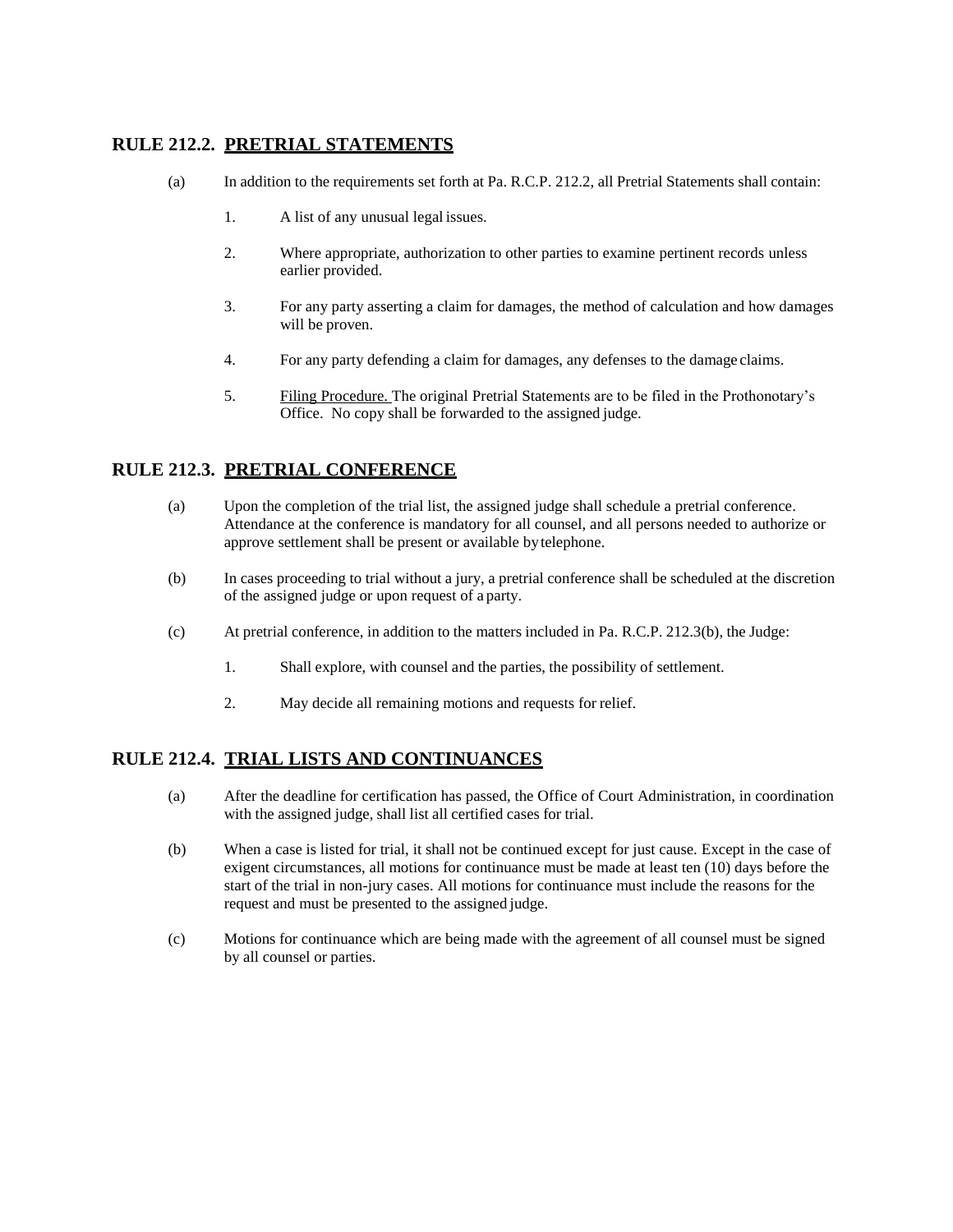# **RULE 212.2. PRETRIAL STATEMENTS**

- (a) In addition to the requirements set forth at Pa. R.C.P. 212.2, all Pretrial Statements shall contain:
	- 1. A list of any unusual legal issues.
	- 2. Where appropriate, authorization to other parties to examine pertinent records unless earlier provided.
	- 3. For any party asserting a claim for damages, the method of calculation and how damages will be proven.
	- 4. For any party defending a claim for damages, any defenses to the damage claims.
	- 5. Filing Procedure. The original Pretrial Statements are to be filed in the Prothonotary's Office. No copy shall be forwarded to the assigned judge.

# **RULE 212.3. PRETRIAL CONFERENCE**

- (a) Upon the completion of the trial list, the assigned judge shall schedule a pretrial conference. Attendance at the conference is mandatory for all counsel, and all persons needed to authorize or approve settlement shall be present or available bytelephone.
- (b) In cases proceeding to trial without a jury, a pretrial conference shall be scheduled at the discretion of the assigned judge or upon request of a party.
- (c) At pretrial conference, in addition to the matters included in Pa. R.C.P. 212.3(b), the Judge:
	- 1. Shall explore, with counsel and the parties, the possibility of settlement.
	- 2. May decide all remaining motions and requests for relief.

#### **RULE 212.4. TRIAL LISTS AND CONTINUANCES**

- (a) After the deadline for certification has passed, the Office of Court Administration, in coordination with the assigned judge, shall list all certified cases for trial.
- (b) When a case is listed for trial, it shall not be continued except for just cause. Except in the case of exigent circumstances, all motions for continuance must be made at least ten (10) days before the start of the trial in non-jury cases. All motions for continuance must include the reasons for the request and must be presented to the assigned judge.
- (c) Motions for continuance which are being made with the agreement of all counsel must be signed by all counsel or parties.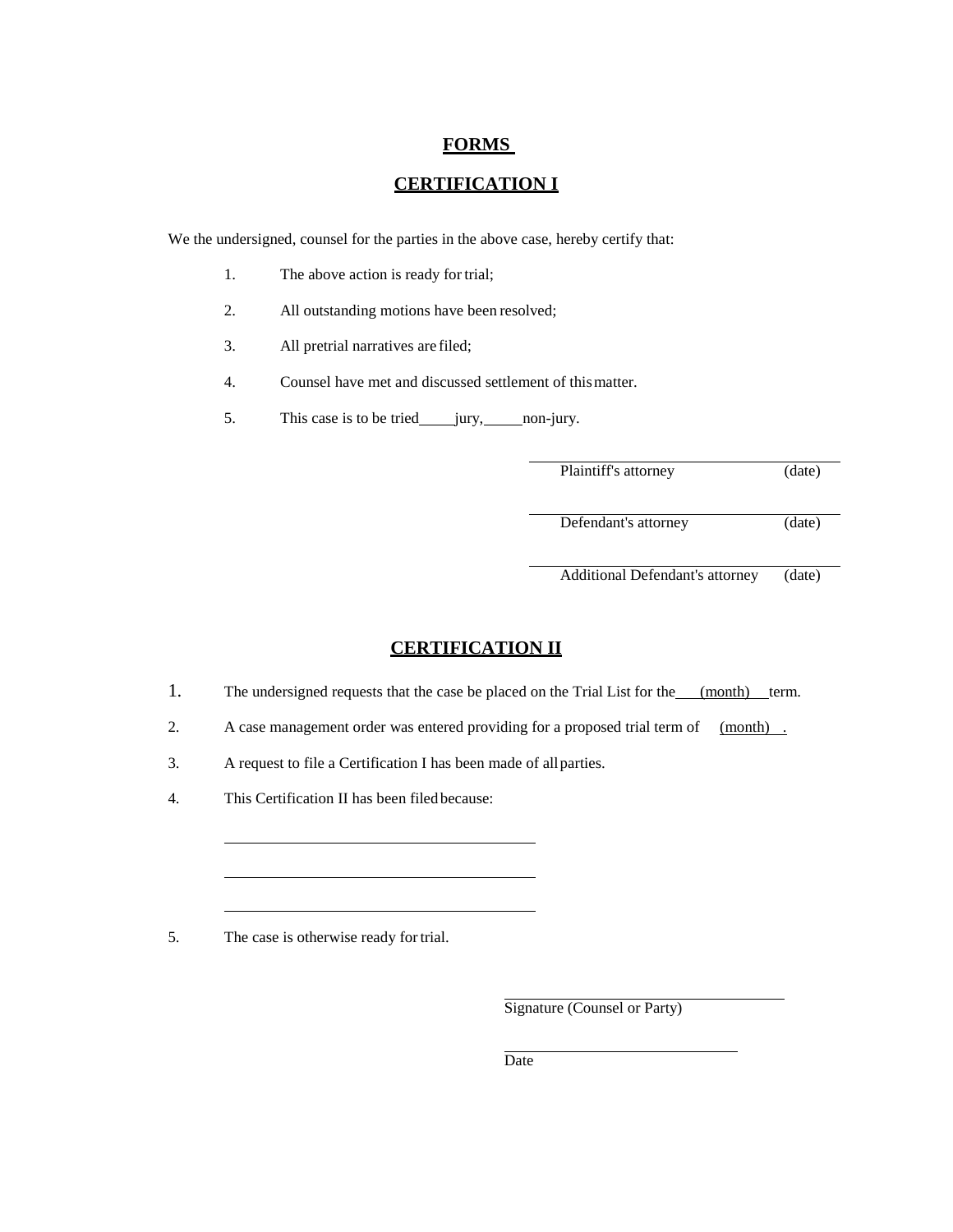#### **FORMS**

# **CERTIFICATION I**

We the undersigned, counsel for the parties in the above case, hereby certify that:

- 1. The above action is ready for trial;
- 2. All outstanding motions have been resolved;
- 3. All pretrial narratives are filed;
- 4. Counsel have met and discussed settlement of thismatter.
- 5. This case is to be tried jury, non-jury.

Plaintiff's attorney (date)

Defendant's attorney (date)

Additional Defendant's attorney (date)

#### **CERTIFICATION II**

- 1. The undersigned requests that the case be placed on the Trial List for the (month) term.
- 2. A case management order was entered providing for a proposed trial term of (month).
- 3. A request to file a Certification I has been made of allparties.
- 4. This Certification II has been filedbecause:

5. The case is otherwise ready fortrial.

Signature (Counsel or Party)

**Date**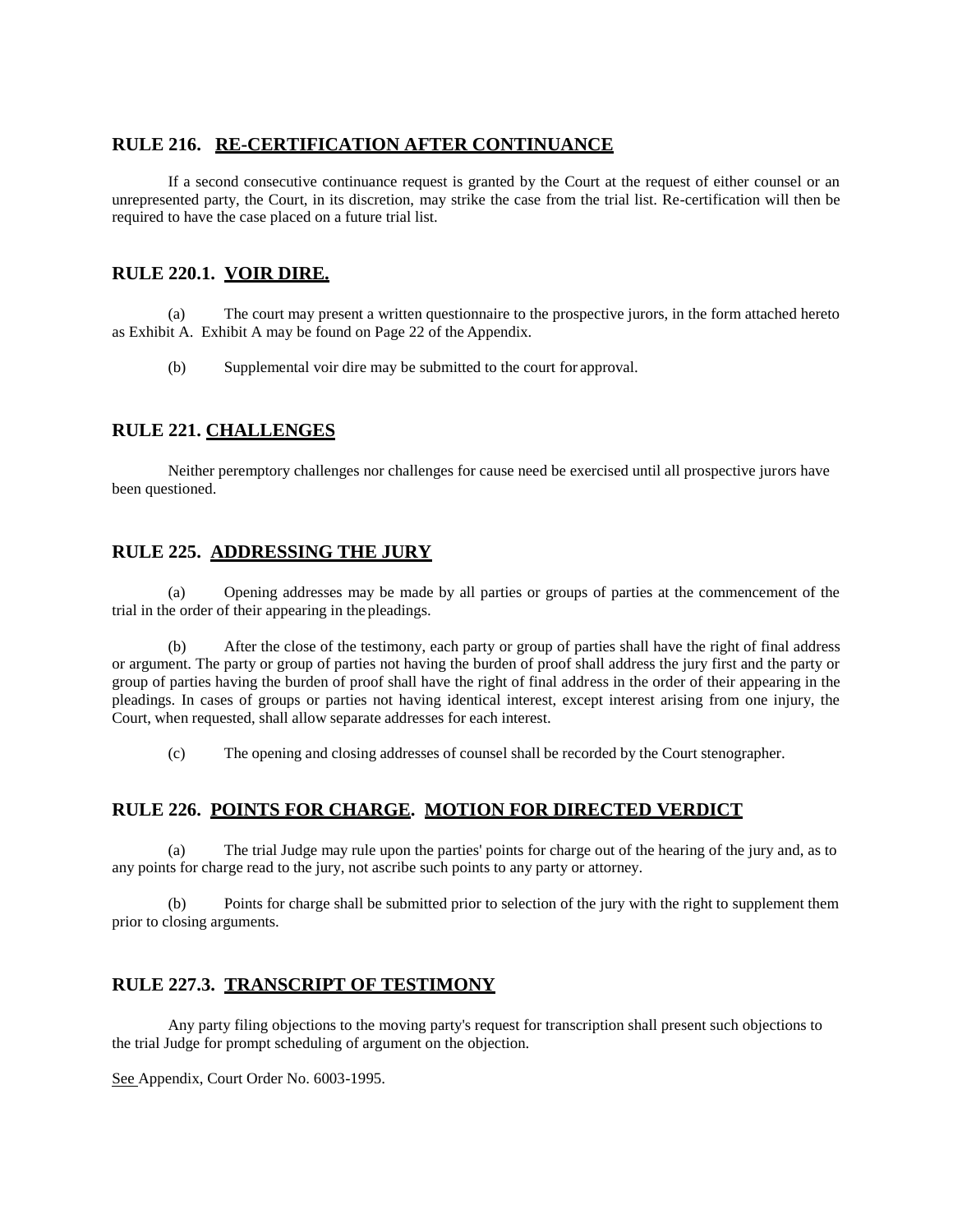# **RULE 216. RE-CERTIFICATION AFTER CONTINUANCE**

If a second consecutive continuance request is granted by the Court at the request of either counsel or an unrepresented party, the Court, in its discretion, may strike the case from the trial list. Re-certification will then be required to have the case placed on a future trial list.

# **RULE 220.1. VOIR DIRE.**

(a) The court may present a written questionnaire to the prospective jurors, in the form attached hereto as Exhibit A. Exhibit A may be found on Page 22 of the Appendix.

(b) Supplemental voir dire may be submitted to the court for approval.

# **RULE 221. CHALLENGES**

Neither peremptory challenges nor challenges for cause need be exercised until all prospective jurors have been questioned.

# **RULE 225. ADDRESSING THE JURY**

(a) Opening addresses may be made by all parties or groups of parties at the commencement of the trial in the order of their appearing in the pleadings.

(b) After the close of the testimony, each party or group of parties shall have the right of final address or argument. The party or group of parties not having the burden of proof shall address the jury first and the party or group of parties having the burden of proof shall have the right of final address in the order of their appearing in the pleadings. In cases of groups or parties not having identical interest, except interest arising from one injury, the Court, when requested, shall allow separate addresses for each interest.

(c) The opening and closing addresses of counsel shall be recorded by the Court stenographer.

# **RULE 226. POINTS FOR CHARGE. MOTION FOR DIRECTED VERDICT**

The trial Judge may rule upon the parties' points for charge out of the hearing of the jury and, as to any points for charge read to the jury, not ascribe such points to any party or attorney.

(b) Points for charge shall be submitted prior to selection of the jury with the right to supplement them prior to closing arguments.

# **RULE 227.3. TRANSCRIPT OF TESTIMONY**

Any party filing objections to the moving party's request for transcription shall present such objections to the trial Judge for prompt scheduling of argument on the objection.

See Appendix, Court Order No. 6003-1995.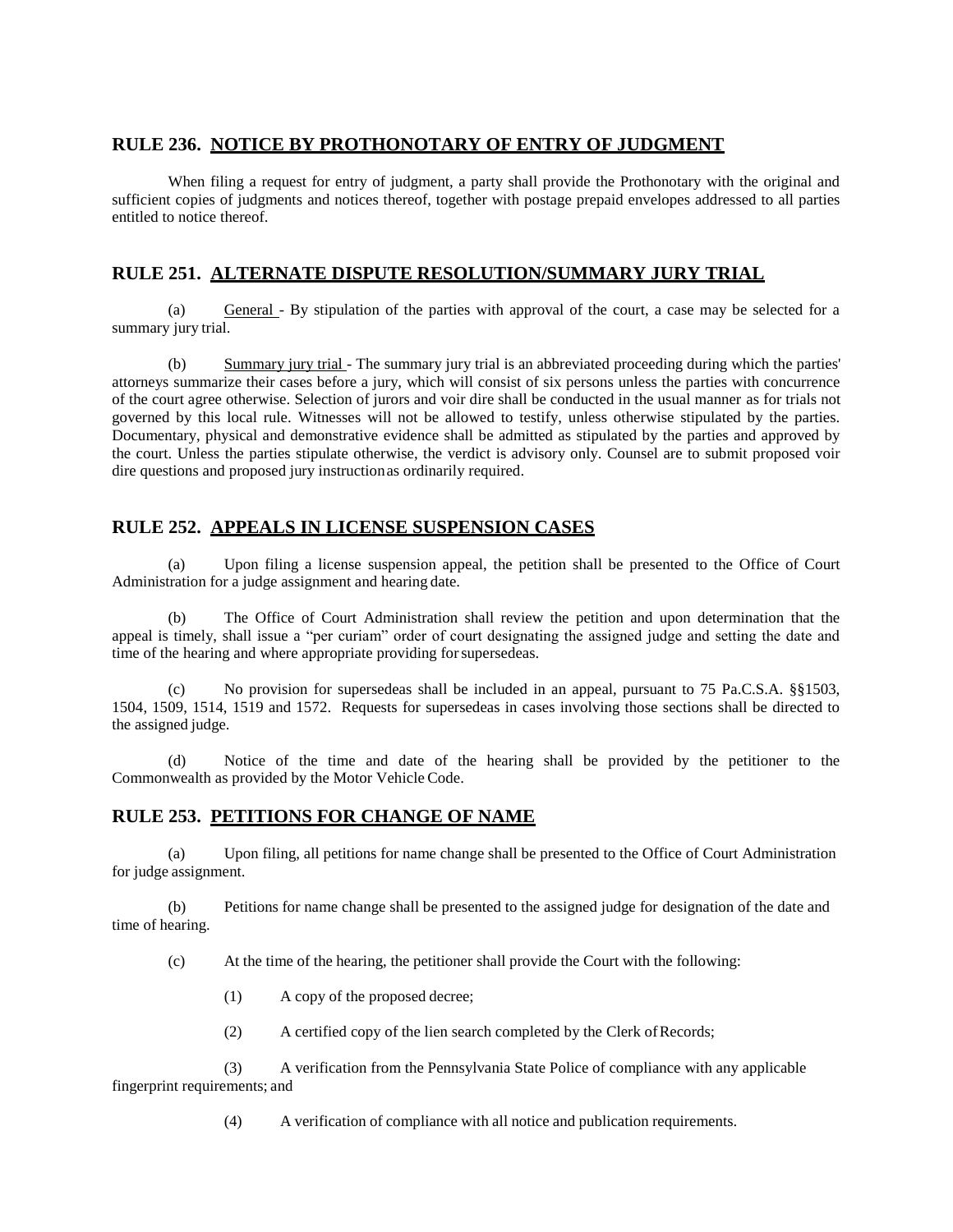### **RULE 236. NOTICE BY PROTHONOTARY OF ENTRY OF JUDGMENT**

When filing a request for entry of judgment, a party shall provide the Prothonotary with the original and sufficient copies of judgments and notices thereof, together with postage prepaid envelopes addressed to all parties entitled to notice thereof.

# **RULE 251. ALTERNATE DISPUTE RESOLUTION/SUMMARY JURY TRIAL**

(a) General - By stipulation of the parties with approval of the court, a case may be selected for a summary jury trial.

(b) Summary jury trial - The summary jury trial is an abbreviated proceeding during which the parties' attorneys summarize their cases before a jury, which will consist of six persons unless the parties with concurrence of the court agree otherwise. Selection of jurors and voir dire shall be conducted in the usual manner as for trials not governed by this local rule. Witnesses will not be allowed to testify, unless otherwise stipulated by the parties. Documentary, physical and demonstrative evidence shall be admitted as stipulated by the parties and approved by the court. Unless the parties stipulate otherwise, the verdict is advisory only. Counsel are to submit proposed voir dire questions and proposed jury instructionas ordinarily required.

### **RULE 252. APPEALS IN LICENSE SUSPENSION CASES**

(a) Upon filing a license suspension appeal, the petition shall be presented to the Office of Court Administration for a judge assignment and hearing date.

(b) The Office of Court Administration shall review the petition and upon determination that the appeal is timely, shall issue a "per curiam" order of court designating the assigned judge and setting the date and time of the hearing and where appropriate providing for supersedeas.

(c) No provision for supersedeas shall be included in an appeal, pursuant to 75 Pa.C.S.A. §§1503, 1504, 1509, 1514, 1519 and 1572. Requests for supersedeas in cases involving those sections shall be directed to the assigned judge.

(d) Notice of the time and date of the hearing shall be provided by the petitioner to the Commonwealth as provided by the Motor Vehicle Code.

#### **RULE 253. PETITIONS FOR CHANGE OF NAME**

(a) Upon filing, all petitions for name change shall be presented to the Office of Court Administration for judge assignment.

(b) Petitions for name change shall be presented to the assigned judge for designation of the date and time of hearing.

(c) At the time of the hearing, the petitioner shall provide the Court with the following:

- (1) A copy of the proposed decree;
- (2) A certified copy of the lien search completed by the Clerk ofRecords;

(3) A verification from the Pennsylvania State Police of compliance with any applicable fingerprint requirements; and

(4) A verification of compliance with all notice and publication requirements.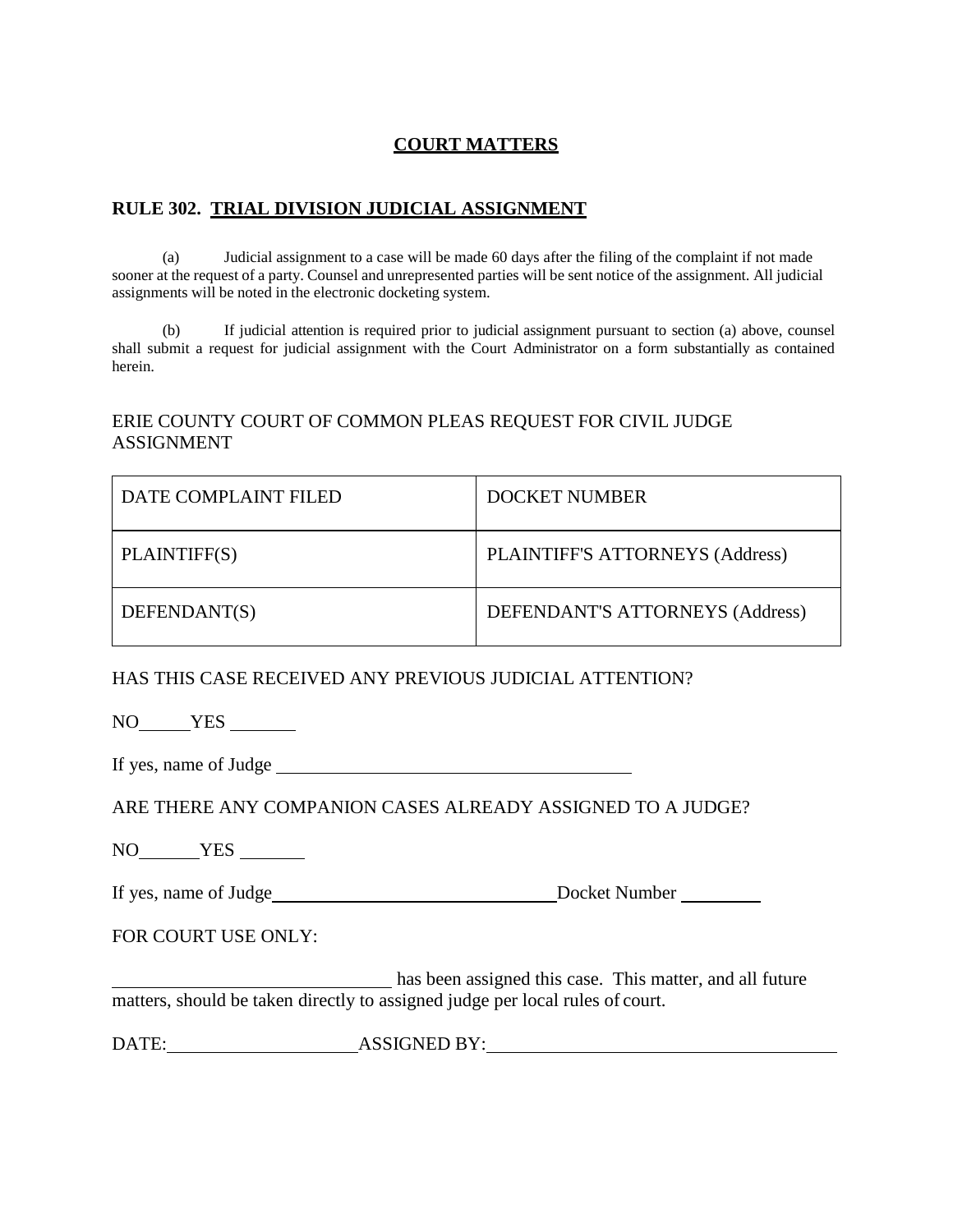# **COURT MATTERS**

# **RULE 302. TRIAL DIVISION JUDICIAL ASSIGNMENT**

(a) Judicial assignment to a case will be made 60 days after the filing of the complaint if not made sooner at the request of a party. Counsel and unrepresented parties will be sent notice of the assignment. All judicial assignments will be noted in the electronic docketing system.

(b) If judicial attention is required prior to judicial assignment pursuant to section (a) above, counsel shall submit a request for judicial assignment with the Court Administrator on a form substantially as contained herein.

# ERIE COUNTY COURT OF COMMON PLEAS REQUEST FOR CIVIL JUDGE ASSIGNMENT

| DATE COMPLAINT FILED | <b>DOCKET NUMBER</b>            |
|----------------------|---------------------------------|
| PLAINTIFF(S)         | PLAINTIFF'S ATTORNEYS (Address) |
| DEFENDANT(S)         | DEFENDANT'S ATTORNEYS (Address) |

#### HAS THIS CASE RECEIVED ANY PREVIOUS JUDICIAL ATTENTION?

NO YES

If yes, name of Judge

| ARE THERE ANY COMPANION CASES ALREADY ASSIGNED TO A JUDGE? |  |
|------------------------------------------------------------|--|
|------------------------------------------------------------|--|

NO YES

If yes, name of Judge Docket Number

FOR COURT USE ONLY:

has been assigned this case. This matter, and all future matters, should be taken directly to assigned judge per local rules of court.

DATE: ASSIGNED BY: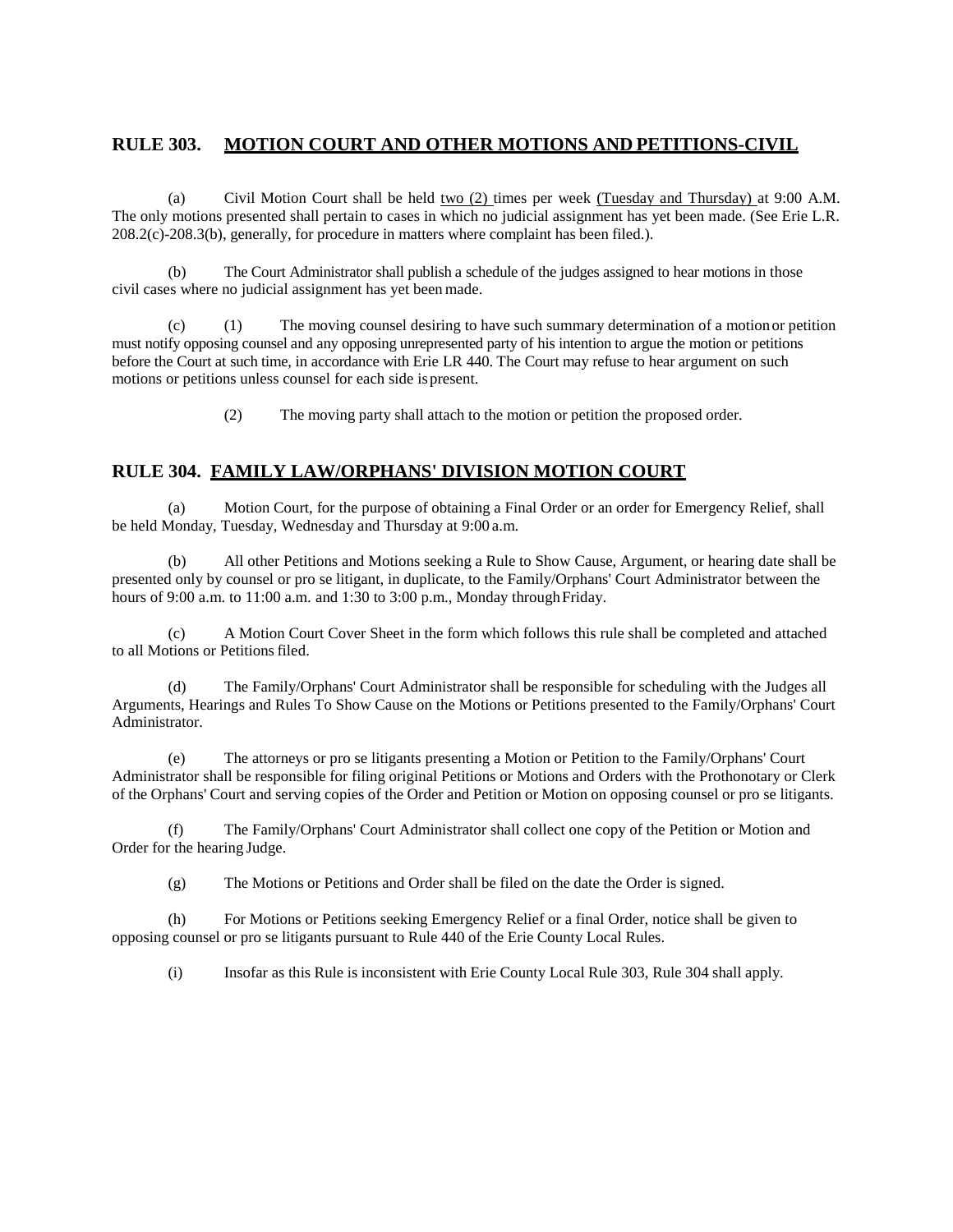# **RULE 303. MOTION COURT AND OTHER MOTIONS AND PETITIONS-CIVIL**

(a) Civil Motion Court shall be held two  $(2)$  times per week (Tuesday and Thursday) at 9:00 A.M. The only motions presented shall pertain to cases in which no judicial assignment has yet been made. (See Erie L.R. 208.2(c)-208.3(b), generally, for procedure in matters where complaint has been filed.).

(b) The Court Administrator shall publish a schedule of the judges assigned to hear motions in those civil cases where no judicial assignment has yet been made.

(c) (1) The moving counsel desiring to have such summary determination of a motionor petition must notify opposing counsel and any opposing unrepresented party of his intention to argue the motion or petitions before the Court at such time, in accordance with Erie LR 440. The Court may refuse to hear argument on such motions or petitions unless counsel for each side ispresent.

(2) The moving party shall attach to the motion or petition the proposed order.

# **RULE 304. FAMILY LAW/ORPHANS' DIVISION MOTION COURT**

(a) Motion Court, for the purpose of obtaining a Final Order or an order for Emergency Relief, shall be held Monday, Tuesday, Wednesday and Thursday at 9:00 a.m.

(b) All other Petitions and Motions seeking a Rule to Show Cause, Argument, or hearing date shall be presented only by counsel or pro se litigant, in duplicate, to the Family/Orphans' Court Administrator between the hours of 9:00 a.m. to  $11:00$  a.m. and  $1:30$  to  $3:00$  p.m., Monday through Friday.

(c) A Motion Court Cover Sheet in the form which follows this rule shall be completed and attached to all Motions or Petitions filed.

(d) The Family/Orphans' Court Administrator shall be responsible for scheduling with the Judges all Arguments, Hearings and Rules To Show Cause on the Motions or Petitions presented to the Family/Orphans' Court Administrator.

(e) The attorneys or pro se litigants presenting a Motion or Petition to the Family/Orphans' Court Administrator shall be responsible for filing original Petitions or Motions and Orders with the Prothonotary or Clerk of the Orphans' Court and serving copies of the Order and Petition or Motion on opposing counsel or pro se litigants.

(f) The Family/Orphans' Court Administrator shall collect one copy of the Petition or Motion and Order for the hearing Judge.

(g) The Motions or Petitions and Order shall be filed on the date the Order is signed.

(h) For Motions or Petitions seeking Emergency Relief or a final Order, notice shall be given to opposing counsel or pro se litigants pursuant to Rule 440 of the Erie County Local Rules.

(i) Insofar as this Rule is inconsistent with Erie County Local Rule 303, Rule 304 shall apply.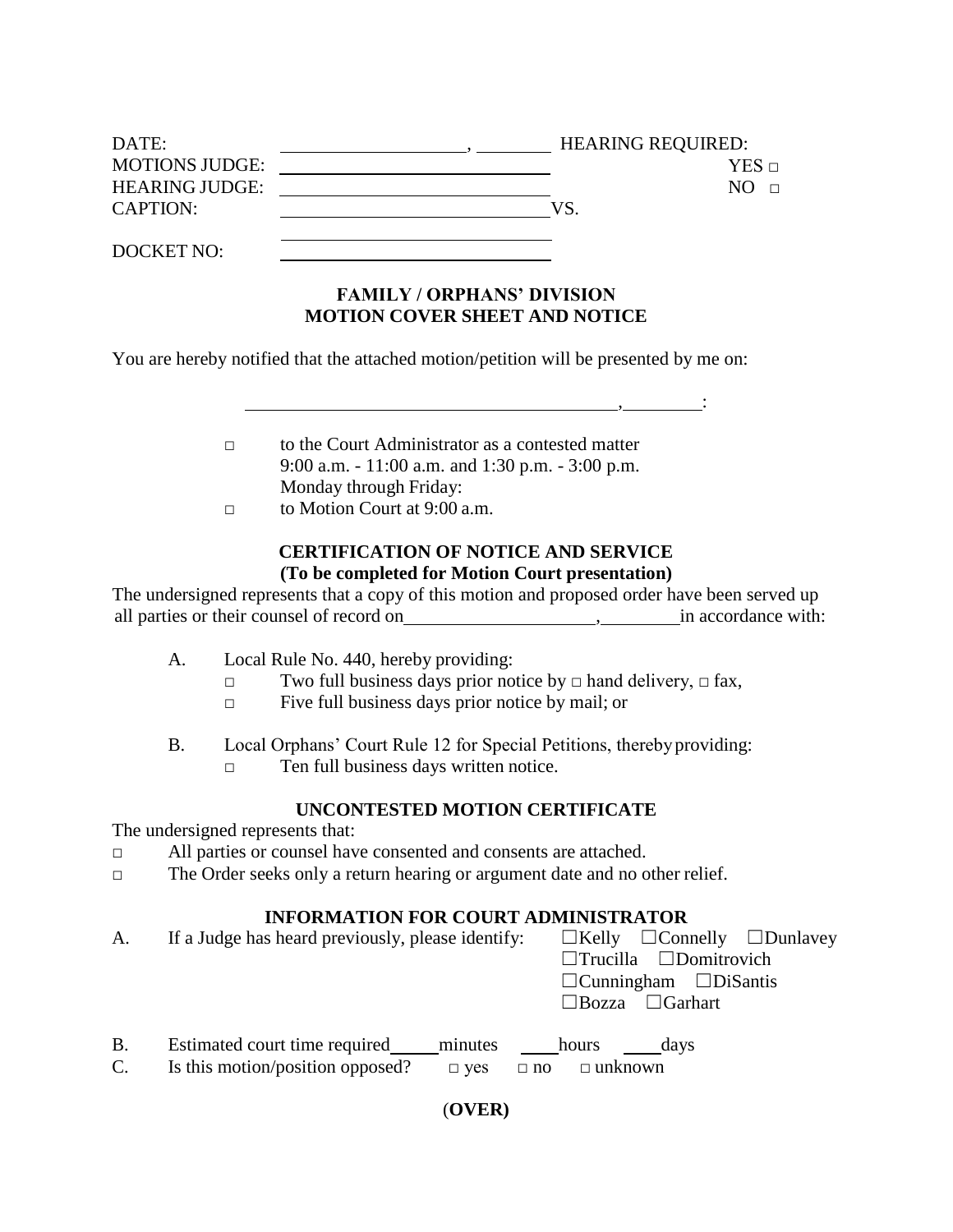| DATE:                 | <b>HEARING REQUIRED:</b> |
|-----------------------|--------------------------|
| <b>MOTIONS JUDGE:</b> | $YES \sqcap$             |
| <b>HEARING JUDGE:</b> | NO.                      |
| <b>CAPTION:</b>       | VS                       |
|                       |                          |
| DOCKET NO:            |                          |

# **FAMILY / ORPHANS' DIVISION MOTION COVER SHEET AND NOTICE**

,  $\overline{\phantom{a}}$ 

You are hereby notified that the attached motion/petition will be presented by me on:

- □ to the Court Administrator as a contested matter 9:00 a.m. - 11:00 a.m. and 1:30 p.m. - 3:00 p.m. Monday through Friday:
- $\Box$  to Motion Court at 9:00 a.m.

# **CERTIFICATION OF NOTICE AND SERVICE (To be completed for Motion Court presentation)**

The undersigned represents that a copy of this motion and proposed order have been served up all parties or their counsel of record on , in accordance with:

- A. Local Rule No. 440, hereby providing:
	- □ Two full business days prior notice by □ hand delivery, □ fax,
	- □ Five full business days prior notice by mail; or
- B. Local Orphans' Court Rule 12 for Special Petitions, thereby providing:
	- □ Ten full business days written notice.

# **UNCONTESTED MOTION CERTIFICATE**

The undersigned represents that:

- □ All parties or counsel have consented and consents are attached.
- □ The Order seeks only a return hearing or argument date and no other relief.

# **INFORMATION FOR COURT ADMINISTRATOR**

| A.                          | If a Judge has heard previously, please identify:                                                          | $\Box$ Kelly $\Box$ Connelly $\Box$ Dunlavey<br>$\Box$ Trucilla $\Box$ Domitrovich<br>$\Box$ Cunningham $\Box$ DiSantis<br>$\Box$ Bozza $\Box$ Garhart |
|-----------------------------|------------------------------------------------------------------------------------------------------------|--------------------------------------------------------------------------------------------------------------------------------------------------------|
| <b>B.</b><br>$\mathbf{C}$ . | Estimated court time required<br>minutes<br>Is this motion/position opposed?<br>$\Box$ no<br>$\square$ yes | hours<br>davs<br>$\Box$ unknown                                                                                                                        |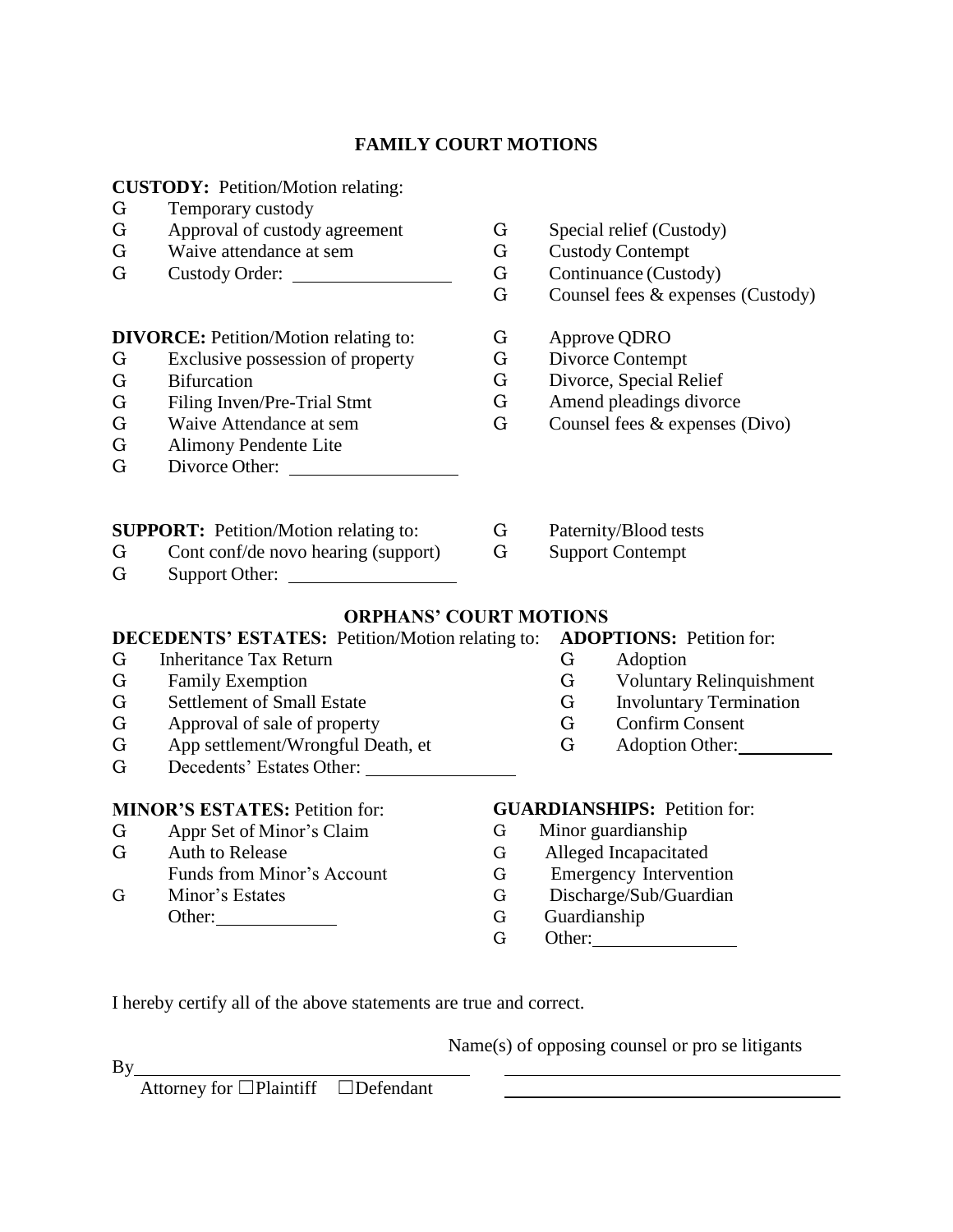# **FAMILY COURT MOTIONS**

**CUSTODY:** Petition/Motion relating:

- G Temporary custody
- G Approval of custody agreement
- G Waive attendance at sem
- G Custody Order:

**DIVORCE:** Petition/Motion relating to:

- G Exclusive possession of property
- G Bifurcation
- G Filing Inven/Pre-Trial Stmt
- G Waive Attendance at sem
- G Alimony Pendente Lite
- G Divorce Other:
- **SUPPORT:** Petition/Motion relating to:
- G Cont conf/de novo hearing (support)
- G Support Other:

G Family Exemption

- G Special relief (Custody)
- G Custody Contempt
- G Continuance (Custody)
- G Counsel fees & expenses (Custody)
- G Approve QDRO
- G Divorce Contempt
- G Divorce, Special Relief
- G Amend pleadings divorce
- G Counsel fees & expenses (Divo)
- G Paternity/Blood tests
- G Support Contempt
- **ORPHANS' COURT MOTIONS**

# **DECEDENTS' ESTATES:** Petition/Motion relating to: **ADOPTIONS:** Petition for: G Inheritance Tax Return

- G Adoption
- G Voluntary Relinquishment
- G Involuntary Termination
- G Confirm Consent
- G Adoption Other:

**MINOR'S ESTATES:** Petition for:

G App settlement/Wrongful Death, et G Decedents' Estates Other:

G Appr Set of Minor's Claim

G Settlement of Small Estate G Approval of sale of property

- G Auth to Release
- Funds from Minor's Account
- G Minor's Estates Other:

# **GUARDIANSHIPS:** Petition for:

- G Minor guardianship
- G Alleged Incapacitated
- G Emergency Intervention
- G Discharge/Sub/Guardian
- G Guardianship
- G Other:

I hereby certify all of the above statements are true and correct.

Name(s) of opposing counsel or pro se litigants

Attorney for □Plaintiff □Defendant

By Service By Service Service Service Service Service Service Service Service Service Service Service Service Service Service Service Service Service Service Service Service Service Service Service Service Service Service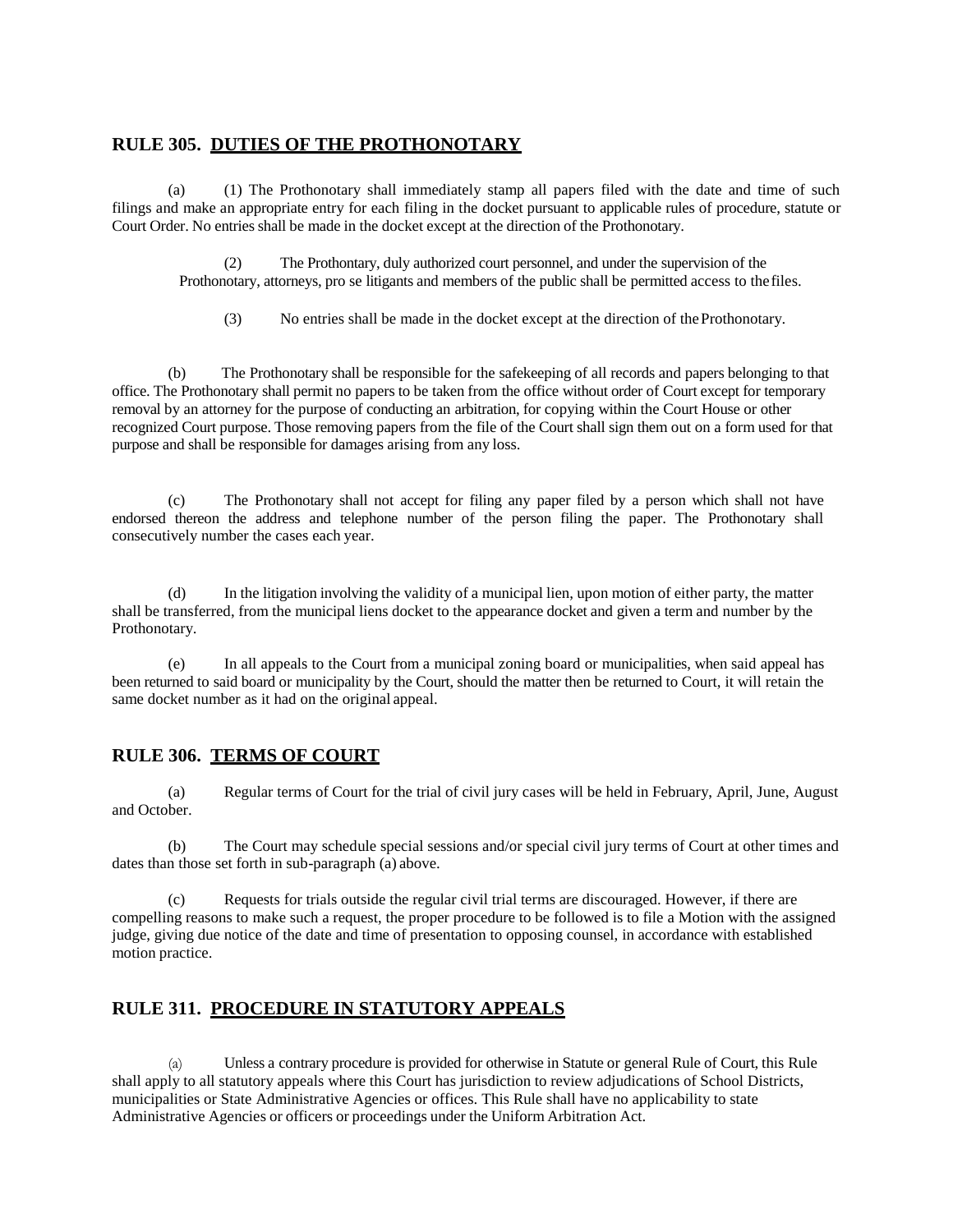#### **RULE 305. DUTIES OF THE PROTHONOTARY**

(a) (1) The Prothonotary shall immediately stamp all papers filed with the date and time of such filings and make an appropriate entry for each filing in the docket pursuant to applicable rules of procedure, statute or Court Order. No entries shall be made in the docket except at the direction of the Prothonotary.

(2) The Prothontary, duly authorized court personnel, and under the supervision of the Prothonotary, attorneys, pro se litigants and members of the public shall be permitted access to thefiles.

(3) No entries shall be made in the docket except at the direction of theProthonotary.

(b) The Prothonotary shall be responsible for the safekeeping of all records and papers belonging to that office. The Prothonotary shall permit no papers to be taken from the office without order of Court except for temporary removal by an attorney for the purpose of conducting an arbitration, for copying within the Court House or other recognized Court purpose. Those removing papers from the file of the Court shall sign them out on a form used for that purpose and shall be responsible for damages arising from any loss.

(c) The Prothonotary shall not accept for filing any paper filed by a person which shall not have endorsed thereon the address and telephone number of the person filing the paper. The Prothonotary shall consecutively number the cases each year.

(d) In the litigation involving the validity of a municipal lien, upon motion of either party, the matter shall be transferred, from the municipal liens docket to the appearance docket and given a term and number by the Prothonotary.

(e) In all appeals to the Court from a municipal zoning board or municipalities, when said appeal has been returned to said board or municipality by the Court, should the matter then be returned to Court, it will retain the same docket number as it had on the original appeal.

#### **RULE 306. TERMS OF COURT**

(a) Regular terms of Court for the trial of civil jury cases will be held in February, April, June, August and October.

(b) The Court may schedule special sessions and/or special civil jury terms of Court at other times and dates than those set forth in sub-paragraph (a) above.

(c) Requests for trials outside the regular civil trial terms are discouraged. However, if there are compelling reasons to make such a request, the proper procedure to be followed is to file a Motion with the assigned judge, giving due notice of the date and time of presentation to opposing counsel, in accordance with established motion practice.

#### **RULE 311. PROCEDURE IN STATUTORY APPEALS**

(a) Unless a contrary procedure is provided for otherwise in Statute or general Rule of Court, this Rule shall apply to all statutory appeals where this Court has jurisdiction to review adjudications of School Districts, municipalities or State Administrative Agencies or offices. This Rule shall have no applicability to state Administrative Agencies or officers or proceedings under the Uniform Arbitration Act.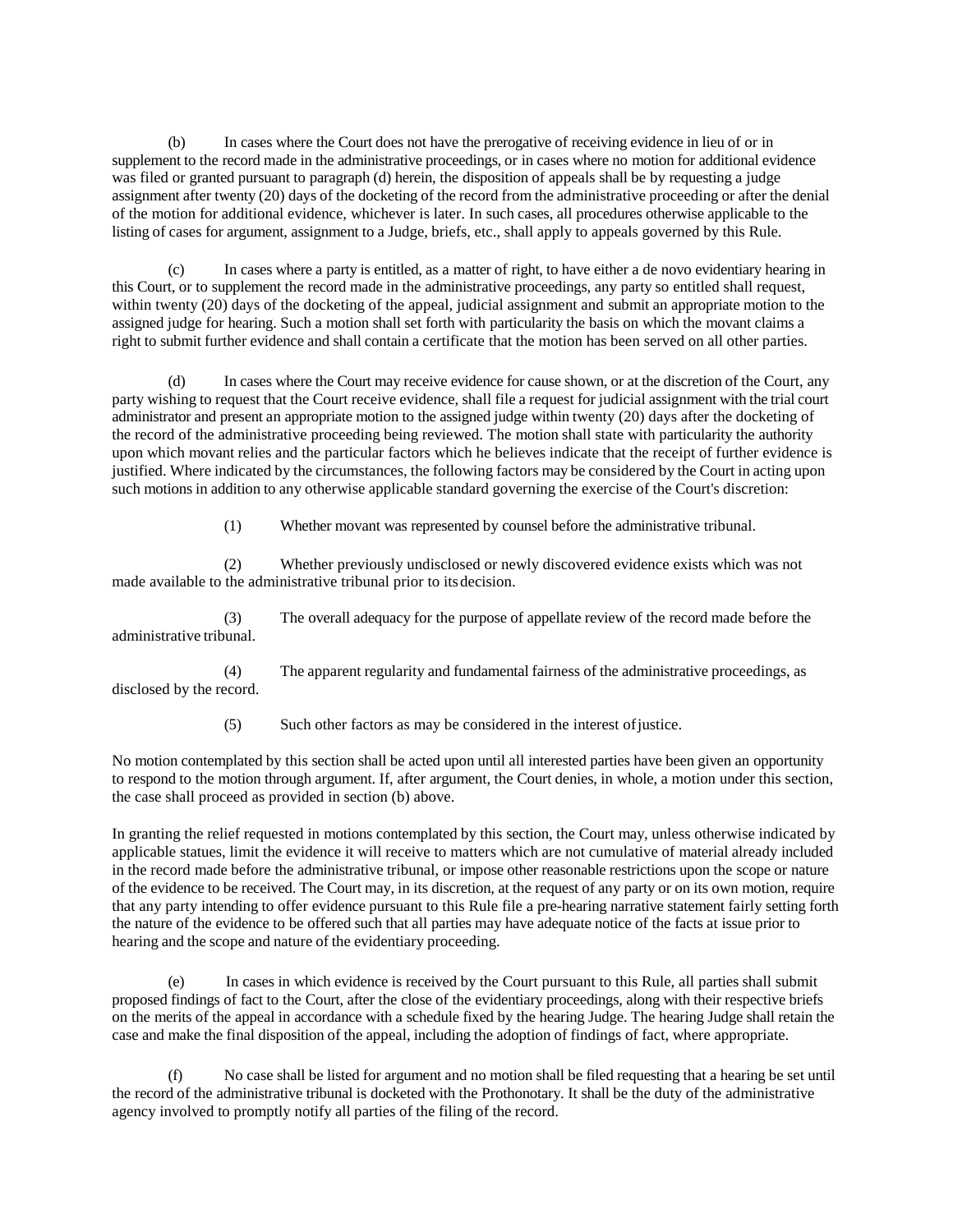(b) In cases where the Court does not have the prerogative of receiving evidence in lieu of or in supplement to the record made in the administrative proceedings, or in cases where no motion for additional evidence was filed or granted pursuant to paragraph (d) herein, the disposition of appeals shall be by requesting a judge assignment after twenty (20) days of the docketing of the record from the administrative proceeding or after the denial of the motion for additional evidence, whichever is later. In such cases, all procedures otherwise applicable to the listing of cases for argument, assignment to a Judge, briefs, etc., shall apply to appeals governed by this Rule.

(c) In cases where a party is entitled, as a matter of right, to have either a de novo evidentiary hearing in this Court, or to supplement the record made in the administrative proceedings, any party so entitled shall request, within twenty (20) days of the docketing of the appeal, judicial assignment and submit an appropriate motion to the assigned judge for hearing. Such a motion shall set forth with particularity the basis on which the movant claims a right to submit further evidence and shall contain a certificate that the motion has been served on all other parties.

(d) In cases where the Court may receive evidence for cause shown, or at the discretion of the Court, any party wishing to request that the Court receive evidence, shall file a request for judicial assignment with the trial court administrator and present an appropriate motion to the assigned judge within twenty (20) days after the docketing of the record of the administrative proceeding being reviewed. The motion shall state with particularity the authority upon which movant relies and the particular factors which he believes indicate that the receipt of further evidence is justified. Where indicated by the circumstances, the following factors may be considered by the Court in acting upon such motions in addition to any otherwise applicable standard governing the exercise of the Court's discretion:

(1) Whether movant was represented by counsel before the administrative tribunal.

(2) Whether previously undisclosed or newly discovered evidence exists which was not made available to the administrative tribunal prior to itsdecision.

(3) The overall adequacy for the purpose of appellate review of the record made before the administrative tribunal.

(4) The apparent regularity and fundamental fairness of the administrative proceedings, as disclosed by the record.

(5) Such other factors as may be considered in the interest ofjustice.

No motion contemplated by this section shall be acted upon until all interested parties have been given an opportunity to respond to the motion through argument. If, after argument, the Court denies, in whole, a motion under this section, the case shall proceed as provided in section (b) above.

In granting the relief requested in motions contemplated by this section, the Court may, unless otherwise indicated by applicable statues, limit the evidence it will receive to matters which are not cumulative of material already included in the record made before the administrative tribunal, or impose other reasonable restrictions upon the scope or nature of the evidence to be received. The Court may, in its discretion, at the request of any party or on its own motion, require that any party intending to offer evidence pursuant to this Rule file a pre-hearing narrative statement fairly setting forth the nature of the evidence to be offered such that all parties may have adequate notice of the facts at issue prior to hearing and the scope and nature of the evidentiary proceeding.

(e) In cases in which evidence is received by the Court pursuant to this Rule, all parties shall submit proposed findings of fact to the Court, after the close of the evidentiary proceedings, along with their respective briefs on the merits of the appeal in accordance with a schedule fixed by the hearing Judge. The hearing Judge shall retain the case and make the final disposition of the appeal, including the adoption of findings of fact, where appropriate.

(f) No case shall be listed for argument and no motion shall be filed requesting that a hearing be set until the record of the administrative tribunal is docketed with the Prothonotary. It shall be the duty of the administrative agency involved to promptly notify all parties of the filing of the record.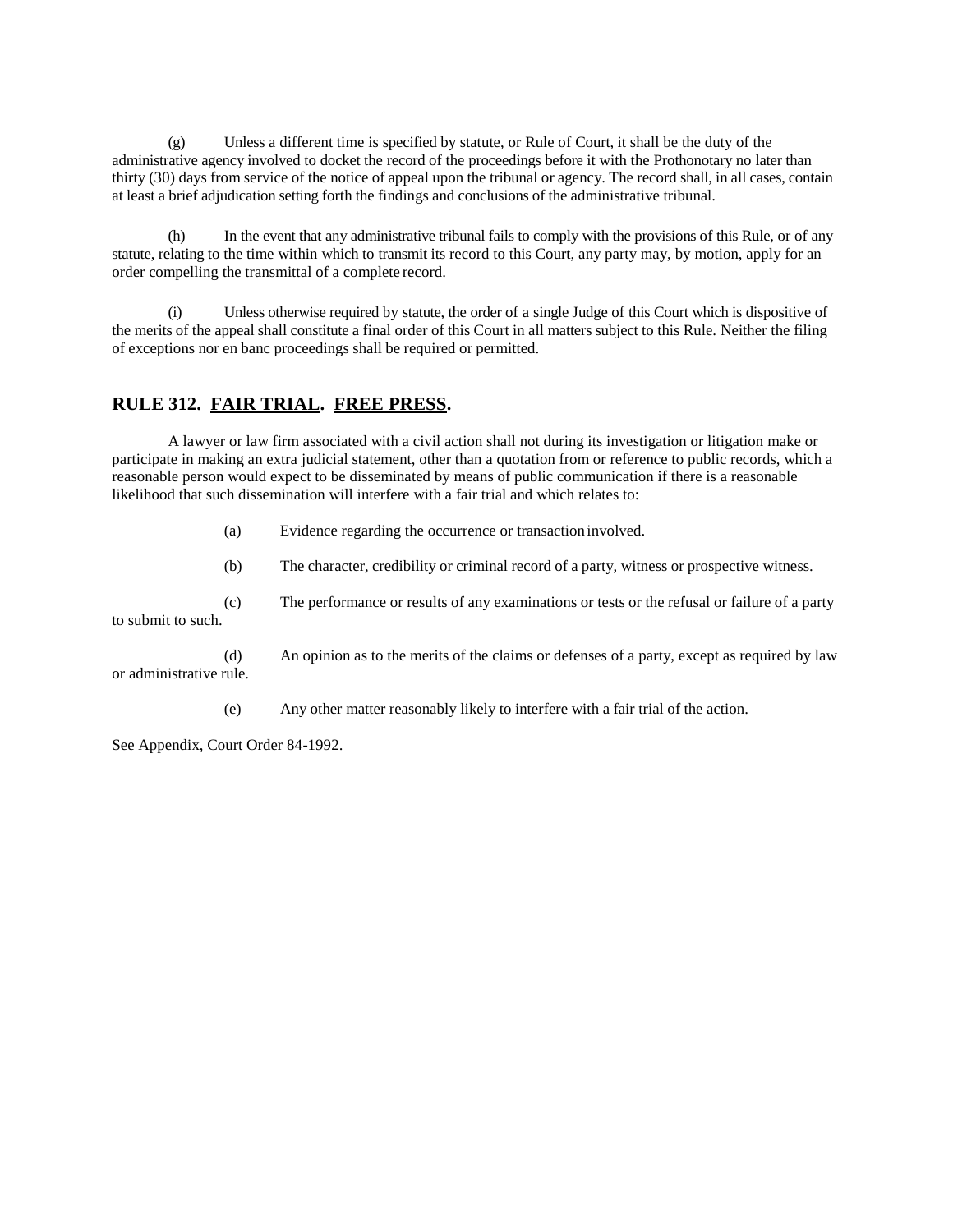(g) Unless a different time is specified by statute, or Rule of Court, it shall be the duty of the administrative agency involved to docket the record of the proceedings before it with the Prothonotary no later than thirty (30) days from service of the notice of appeal upon the tribunal or agency. The record shall, in all cases, contain at least a brief adjudication setting forth the findings and conclusions of the administrative tribunal.

(h) In the event that any administrative tribunal fails to comply with the provisions of this Rule, or of any statute, relating to the time within which to transmit its record to this Court, any party may, by motion, apply for an order compelling the transmittal of a complete record.

(i) Unless otherwise required by statute, the order of a single Judge of this Court which is dispositive of the merits of the appeal shall constitute a final order of this Court in all matters subject to this Rule. Neither the filing of exceptions nor en banc proceedings shall be required or permitted.

# **RULE 312. FAIR TRIAL. FREE PRESS.**

A lawyer or law firm associated with a civil action shall not during its investigation or litigation make or participate in making an extra judicial statement, other than a quotation from or reference to public records, which a reasonable person would expect to be disseminated by means of public communication if there is a reasonable likelihood that such dissemination will interfere with a fair trial and which relates to:

(a) Evidence regarding the occurrence or transaction involved.

(b) The character, credibility or criminal record of a party, witness or prospective witness.

(c) The performance or results of any examinations or tests or the refusal or failure of a party to submit to such.

(d) An opinion as to the merits of the claims or defenses of a party, except as required by law or administrative rule.

(e) Any other matter reasonably likely to interfere with a fair trial of the action.

See Appendix, Court Order 84-1992.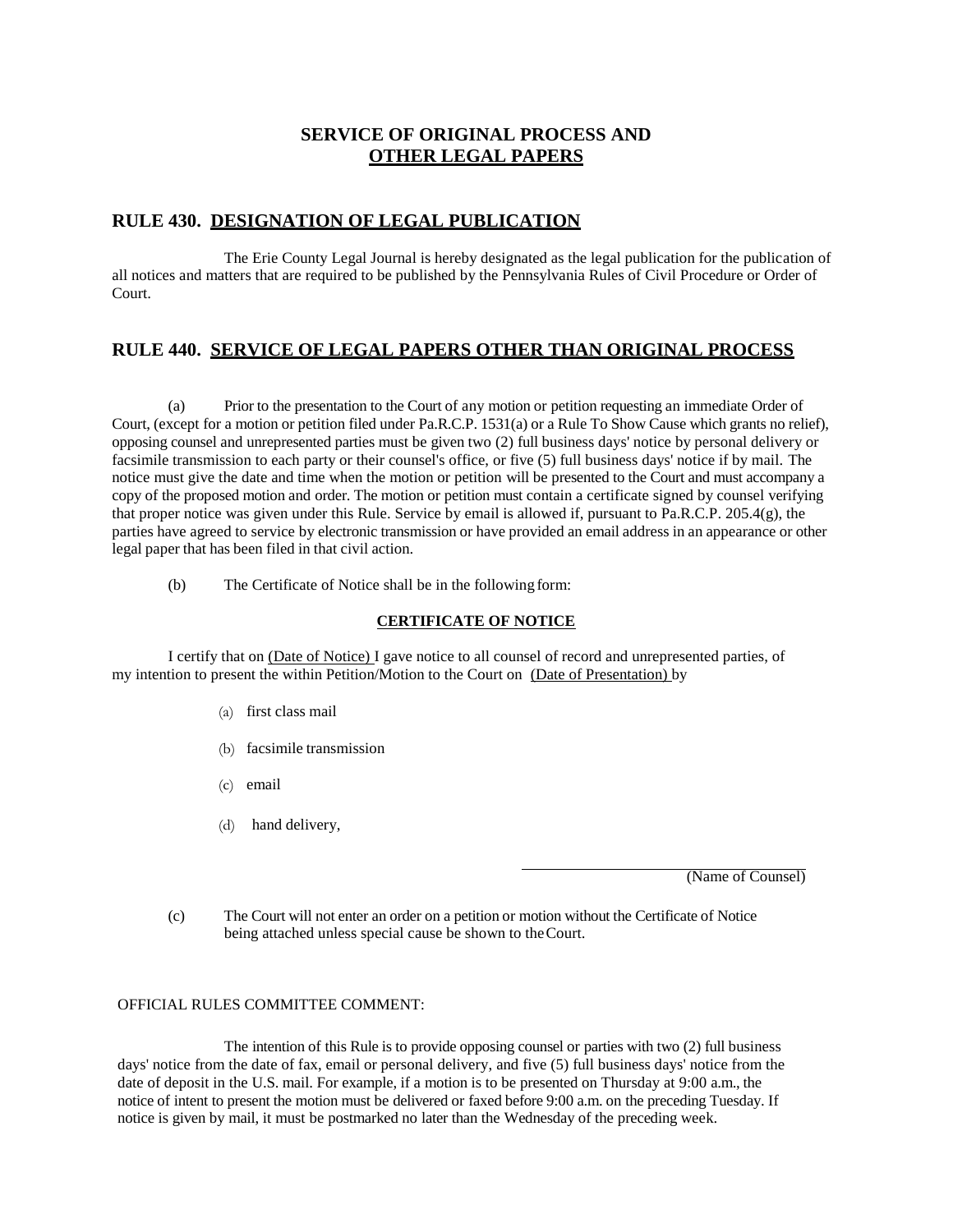# **SERVICE OF ORIGINAL PROCESS AND OTHER LEGAL PAPERS**

#### **RULE 430. DESIGNATION OF LEGAL PUBLICATION**

The Erie County Legal Journal is hereby designated as the legal publication for the publication of all notices and matters that are required to be published by the Pennsylvania Rules of Civil Procedure or Order of Court.

# **RULE 440. SERVICE OF LEGAL PAPERS OTHER THAN ORIGINAL PROCESS**

(a) Prior to the presentation to the Court of any motion or petition requesting an immediate Order of Court, (except for a motion or petition filed under Pa.R.C.P. 1531(a) or a Rule To Show Cause which grants no relief), opposing counsel and unrepresented parties must be given two (2) full business days' notice by personal delivery or facsimile transmission to each party or their counsel's office, or five (5) full business days' notice if by mail. The notice must give the date and time when the motion or petition will be presented to the Court and must accompany a copy of the proposed motion and order. The motion or petition must contain a certificate signed by counsel verifying that proper notice was given under this Rule. Service by email is allowed if, pursuant to Pa.R.C.P. 205.4(g), the parties have agreed to service by electronic transmission or have provided an email address in an appearance or other legal paper that has been filed in that civil action.

(b) The Certificate of Notice shall be in the following form:

#### **CERTIFICATE OF NOTICE**

I certify that on (Date of Notice) I gave notice to all counsel of record and unrepresented parties, of my intention to present the within Petition/Motion to the Court on (Date of Presentation) by

- (a) first class mail
- (b) facsimile transmission
- (c) email
- (d) hand delivery,

(Name of Counsel)

(c) The Court will not enter an order on a petition or motion without the Certificate of Notice being attached unless special cause be shown to theCourt.

#### OFFICIAL RULES COMMITTEE COMMENT:

The intention of this Rule is to provide opposing counsel or parties with two (2) full business days' notice from the date of fax, email or personal delivery, and five (5) full business days' notice from the date of deposit in the U.S. mail. For example, if a motion is to be presented on Thursday at 9:00 a.m., the notice of intent to present the motion must be delivered or faxed before 9:00 a.m. on the preceding Tuesday. If notice is given by mail, it must be postmarked no later than the Wednesday of the preceding week.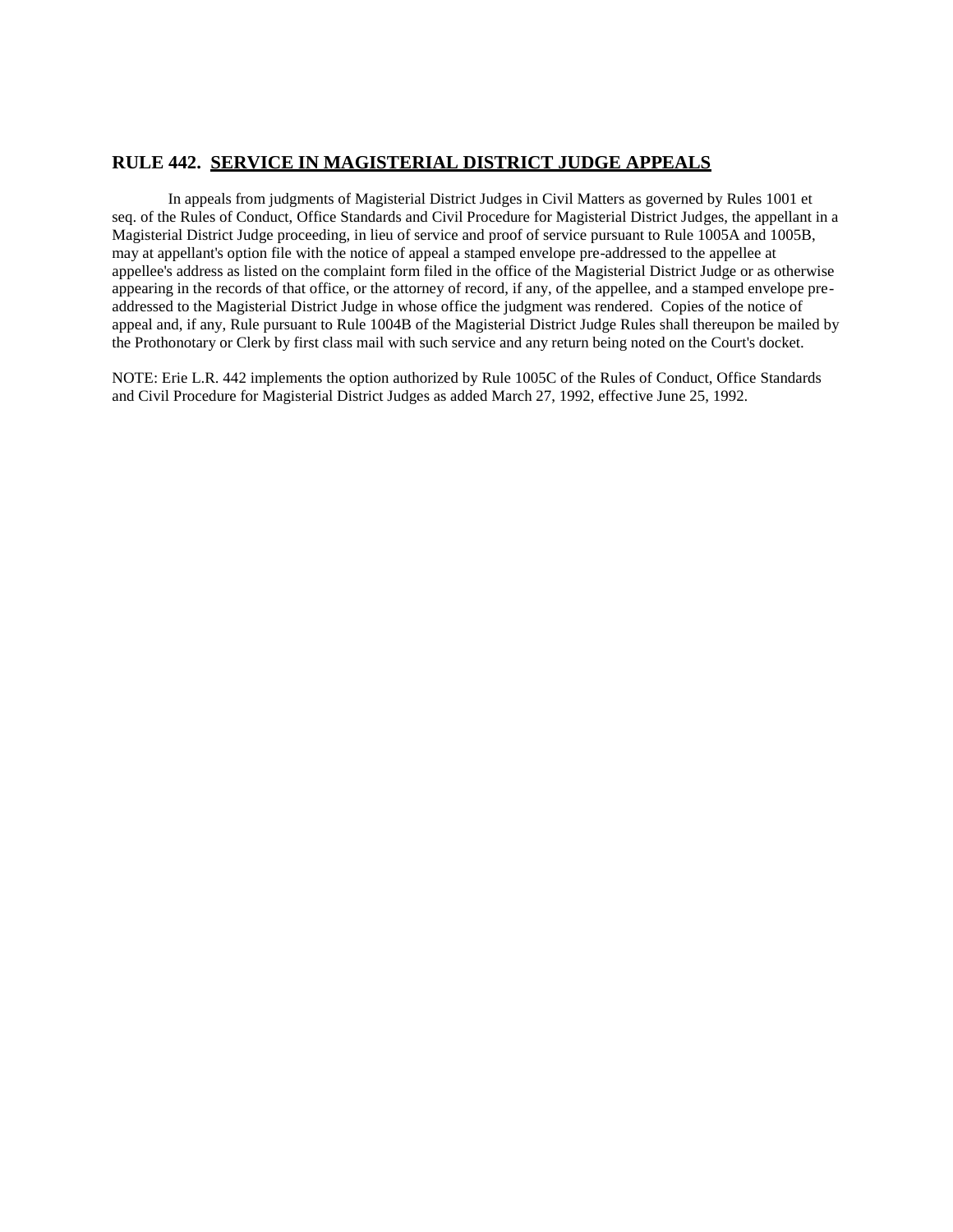# **RULE 442. SERVICE IN MAGISTERIAL DISTRICT JUDGE APPEALS**

In appeals from judgments of Magisterial District Judges in Civil Matters as governed by Rules 1001 et seq. of the Rules of Conduct, Office Standards and Civil Procedure for Magisterial District Judges, the appellant in a Magisterial District Judge proceeding, in lieu of service and proof of service pursuant to Rule 1005A and 1005B, may at appellant's option file with the notice of appeal a stamped envelope pre-addressed to the appellee at appellee's address as listed on the complaint form filed in the office of the Magisterial District Judge or as otherwise appearing in the records of that office, or the attorney of record, if any, of the appellee, and a stamped envelope preaddressed to the Magisterial District Judge in whose office the judgment was rendered. Copies of the notice of appeal and, if any, Rule pursuant to Rule 1004B of the Magisterial District Judge Rules shall thereupon be mailed by the Prothonotary or Clerk by first class mail with such service and any return being noted on the Court's docket.

NOTE: Erie L.R. 442 implements the option authorized by Rule 1005C of the Rules of Conduct, Office Standards and Civil Procedure for Magisterial District Judges as added March 27, 1992, effective June 25, 1992.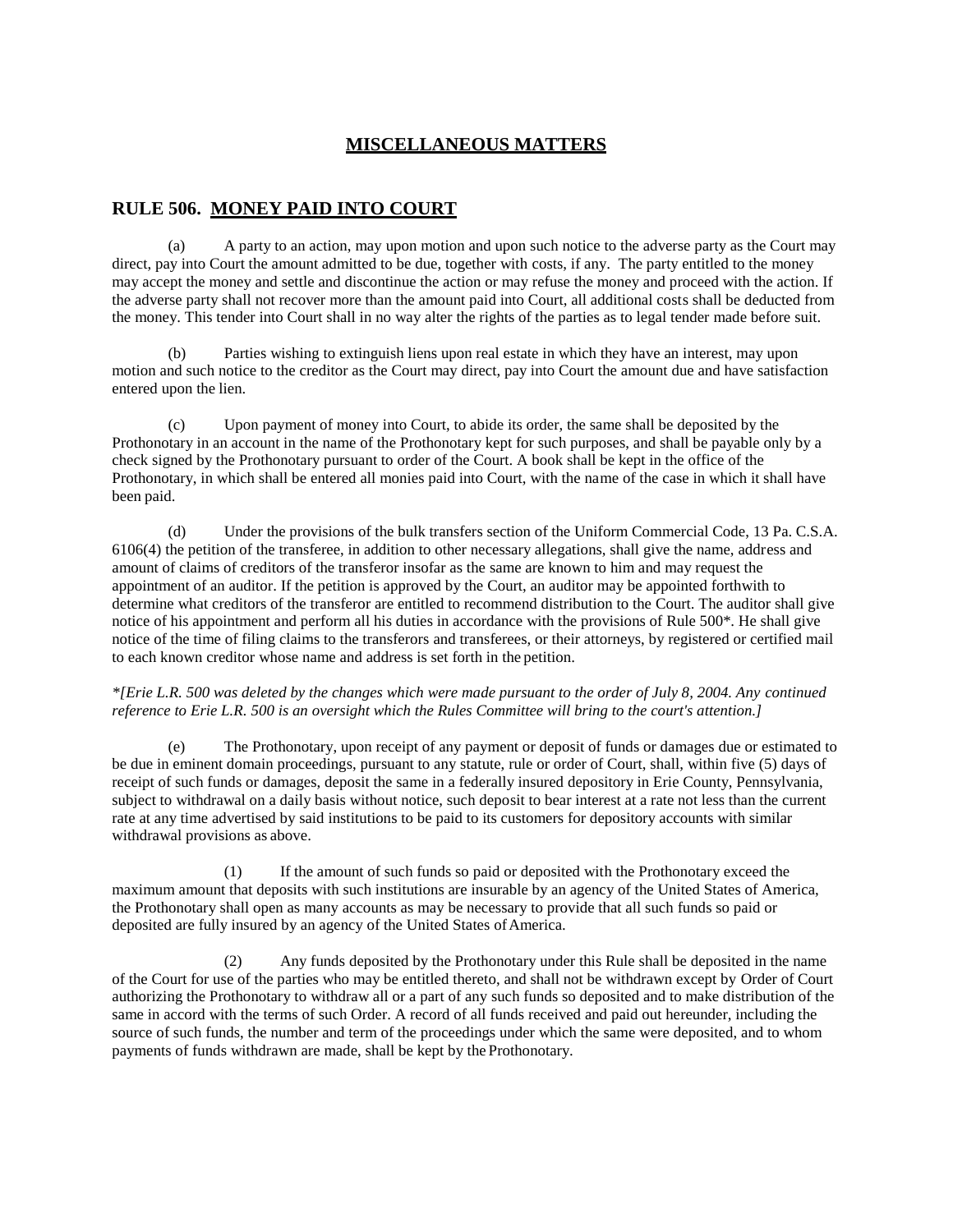# **MISCELLANEOUS MATTERS**

#### **RULE 506. MONEY PAID INTO COURT**

(a) A party to an action, may upon motion and upon such notice to the adverse party as the Court may direct, pay into Court the amount admitted to be due, together with costs, if any. The party entitled to the money may accept the money and settle and discontinue the action or may refuse the money and proceed with the action. If the adverse party shall not recover more than the amount paid into Court, all additional costs shall be deducted from the money. This tender into Court shall in no way alter the rights of the parties as to legal tender made before suit.

Parties wishing to extinguish liens upon real estate in which they have an interest, may upon motion and such notice to the creditor as the Court may direct, pay into Court the amount due and have satisfaction entered upon the lien.

(c) Upon payment of money into Court, to abide its order, the same shall be deposited by the Prothonotary in an account in the name of the Prothonotary kept for such purposes, and shall be payable only by a check signed by the Prothonotary pursuant to order of the Court. A book shall be kept in the office of the Prothonotary, in which shall be entered all monies paid into Court, with the name of the case in which it shall have been paid.

(d) Under the provisions of the bulk transfers section of the Uniform Commercial Code, 13 Pa. C.S.A. 6106(4) the petition of the transferee, in addition to other necessary allegations, shall give the name, address and amount of claims of creditors of the transferor insofar as the same are known to him and may request the appointment of an auditor. If the petition is approved by the Court, an auditor may be appointed forthwith to determine what creditors of the transferor are entitled to recommend distribution to the Court. The auditor shall give notice of his appointment and perform all his duties in accordance with the provisions of Rule 500\*. He shall give notice of the time of filing claims to the transferors and transferees, or their attorneys, by registered or certified mail to each known creditor whose name and address is set forth in the petition.

*\*[Erie L.R. 500 was deleted by the changes which were made pursuant to the order of July 8, 2004. Any continued reference to Erie L.R. 500 is an oversight which the Rules Committee will bring to the court's attention.]*

(e) The Prothonotary, upon receipt of any payment or deposit of funds or damages due or estimated to be due in eminent domain proceedings, pursuant to any statute, rule or order of Court, shall, within five (5) days of receipt of such funds or damages, deposit the same in a federally insured depository in Erie County, Pennsylvania, subject to withdrawal on a daily basis without notice, such deposit to bear interest at a rate not less than the current rate at any time advertised by said institutions to be paid to its customers for depository accounts with similar withdrawal provisions as above.

(1) If the amount of such funds so paid or deposited with the Prothonotary exceed the maximum amount that deposits with such institutions are insurable by an agency of the United States of America, the Prothonotary shall open as many accounts as may be necessary to provide that all such funds so paid or deposited are fully insured by an agency of the United States of America.

(2) Any funds deposited by the Prothonotary under this Rule shall be deposited in the name of the Court for use of the parties who may be entitled thereto, and shall not be withdrawn except by Order of Court authorizing the Prothonotary to withdraw all or a part of any such funds so deposited and to make distribution of the same in accord with the terms of such Order. A record of all funds received and paid out hereunder, including the source of such funds, the number and term of the proceedings under which the same were deposited, and to whom payments of funds withdrawn are made, shall be kept by the Prothonotary.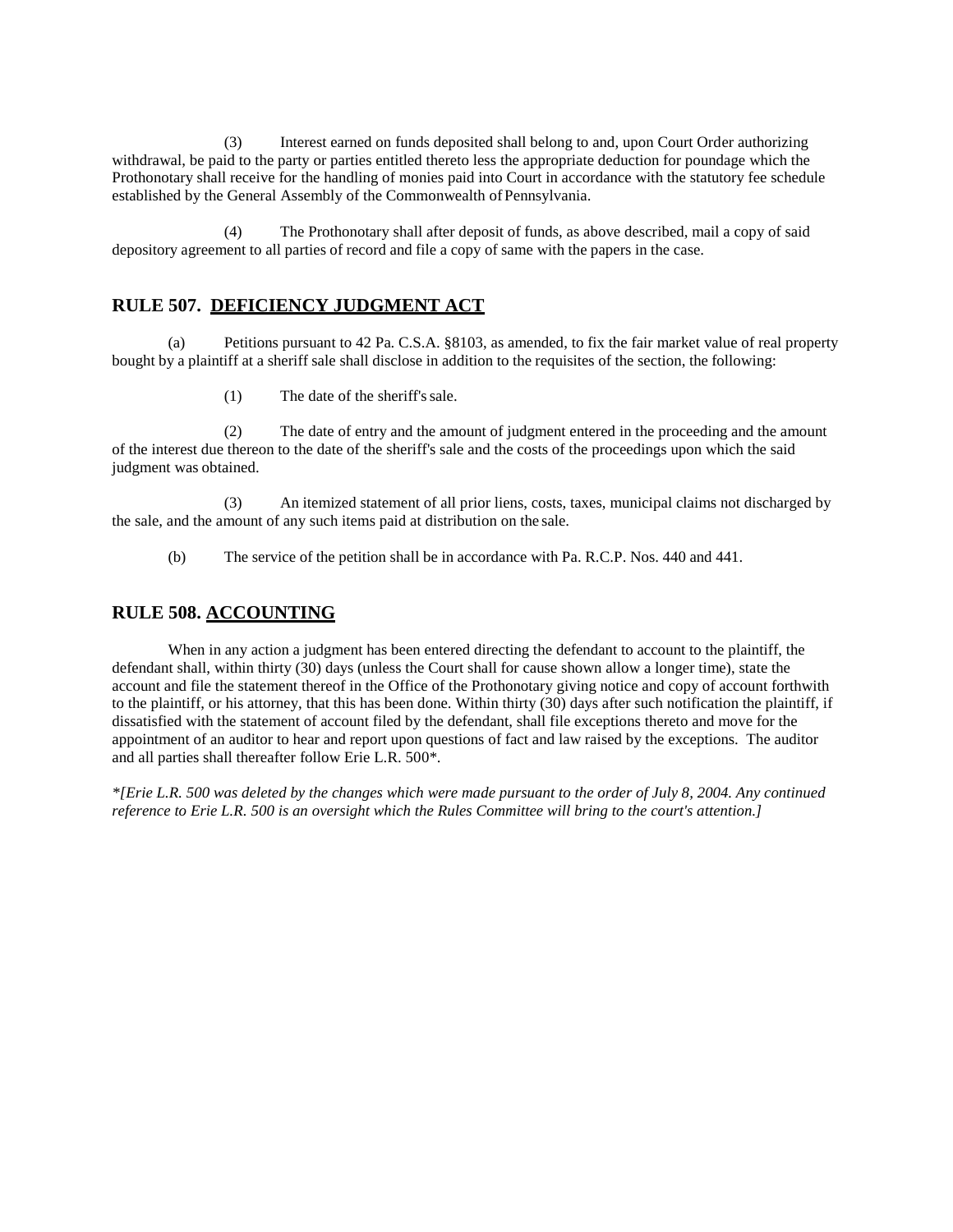(3) Interest earned on funds deposited shall belong to and, upon Court Order authorizing withdrawal, be paid to the party or parties entitled thereto less the appropriate deduction for poundage which the Prothonotary shall receive for the handling of monies paid into Court in accordance with the statutory fee schedule established by the General Assembly of the Commonwealth of Pennsylvania.

(4) The Prothonotary shall after deposit of funds, as above described, mail a copy of said depository agreement to all parties of record and file a copy of same with the papers in the case.

#### **RULE 507. DEFICIENCY JUDGMENT ACT**

(a) Petitions pursuant to 42 Pa. C.S.A. §8103, as amended, to fix the fair market value of real property bought by a plaintiff at a sheriff sale shall disclose in addition to the requisites of the section, the following:

(1) The date of the sheriff'ssale.

(2) The date of entry and the amount of judgment entered in the proceeding and the amount of the interest due thereon to the date of the sheriff's sale and the costs of the proceedings upon which the said judgment was obtained.

(3) An itemized statement of all prior liens, costs, taxes, municipal claims not discharged by the sale, and the amount of any such items paid at distribution on the sale.

(b) The service of the petition shall be in accordance with Pa. R.C.P. Nos. 440 and 441.

#### **RULE 508. ACCOUNTING**

When in any action a judgment has been entered directing the defendant to account to the plaintiff, the defendant shall, within thirty (30) days (unless the Court shall for cause shown allow a longer time), state the account and file the statement thereof in the Office of the Prothonotary giving notice and copy of account forthwith to the plaintiff, or his attorney, that this has been done. Within thirty (30) days after such notification the plaintiff, if dissatisfied with the statement of account filed by the defendant, shall file exceptions thereto and move for the appointment of an auditor to hear and report upon questions of fact and law raised by the exceptions. The auditor and all parties shall thereafter follow Erie L.R. 500\*.

*\*[Erie L.R. 500 was deleted by the changes which were made pursuant to the order of July 8, 2004. Any continued reference to Erie L.R. 500 is an oversight which the Rules Committee will bring to the court's attention.]*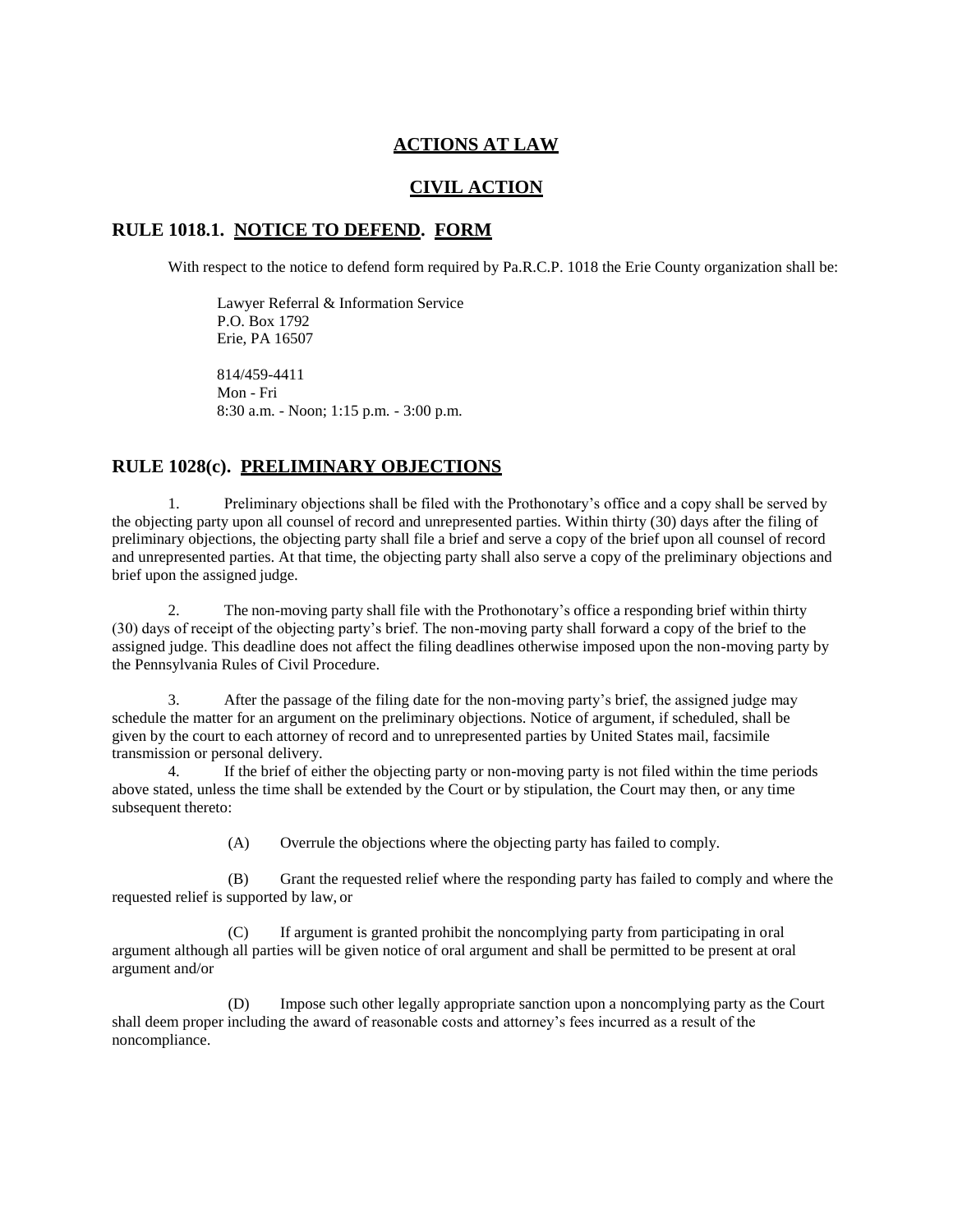#### **ACTIONS AT LAW**

### **CIVIL ACTION**

#### **RULE 1018.1. NOTICE TO DEFEND. FORM**

With respect to the notice to defend form required by Pa.R.C.P. 1018 the Erie County organization shall be:

Lawyer Referral & Information Service P.O. Box 1792 Erie, PA 16507 814/459-4411

Mon - Fri 8:30 a.m. - Noon; 1:15 p.m. - 3:00 p.m.

#### **RULE 1028(c). PRELIMINARY OBJECTIONS**

1. Preliminary objections shall be filed with the Prothonotary's office and a copy shall be served by the objecting party upon all counsel of record and unrepresented parties. Within thirty (30) days after the filing of preliminary objections, the objecting party shall file a brief and serve a copy of the brief upon all counsel of record and unrepresented parties. At that time, the objecting party shall also serve a copy of the preliminary objections and brief upon the assigned judge.

2. The non-moving party shall file with the Prothonotary's office a responding brief within thirty (30) days of receipt of the objecting party's brief. The non-moving party shall forward a copy of the brief to the assigned judge. This deadline does not affect the filing deadlines otherwise imposed upon the non-moving party by the Pennsylvania Rules of Civil Procedure.

3. After the passage of the filing date for the non-moving party's brief, the assigned judge may schedule the matter for an argument on the preliminary objections. Notice of argument, if scheduled, shall be given by the court to each attorney of record and to unrepresented parties by United States mail, facsimile transmission or personal delivery.

4. If the brief of either the objecting party or non-moving party is not filed within the time periods above stated, unless the time shall be extended by the Court or by stipulation, the Court may then, or any time subsequent thereto:

(A) Overrule the objections where the objecting party has failed to comply.

(B) Grant the requested relief where the responding party has failed to comply and where the requested relief is supported by law, or

(C) If argument is granted prohibit the noncomplying party from participating in oral argument although all parties will be given notice of oral argument and shall be permitted to be present at oral argument and/or

(D) Impose such other legally appropriate sanction upon a noncomplying party as the Court shall deem proper including the award of reasonable costs and attorney's fees incurred as a result of the noncompliance.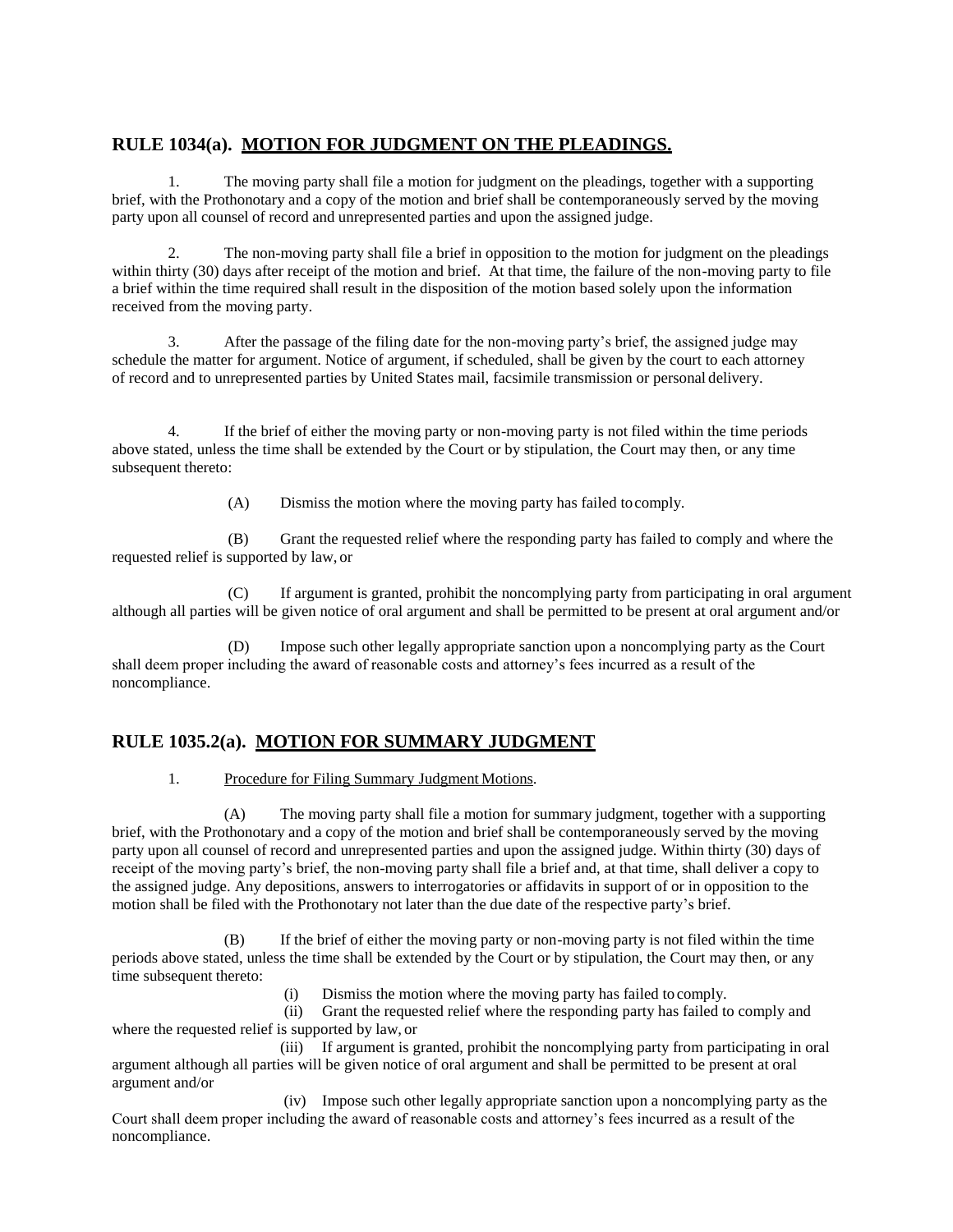# **RULE 1034(a). MOTION FOR JUDGMENT ON THE PLEADINGS.**

1. The moving party shall file a motion for judgment on the pleadings, together with a supporting brief, with the Prothonotary and a copy of the motion and brief shall be contemporaneously served by the moving party upon all counsel of record and unrepresented parties and upon the assigned judge.

2. The non-moving party shall file a brief in opposition to the motion for judgment on the pleadings within thirty (30) days after receipt of the motion and brief. At that time, the failure of the non-moving party to file a brief within the time required shall result in the disposition of the motion based solely upon the information received from the moving party.

3. After the passage of the filing date for the non-moving party's brief, the assigned judge may schedule the matter for argument. Notice of argument, if scheduled, shall be given by the court to each attorney of record and to unrepresented parties by United States mail, facsimile transmission or personal delivery.

4. If the brief of either the moving party or non-moving party is not filed within the time periods above stated, unless the time shall be extended by the Court or by stipulation, the Court may then, or any time subsequent thereto:

(A) Dismiss the motion where the moving party has failed tocomply.

(B) Grant the requested relief where the responding party has failed to comply and where the requested relief is supported by law, or

(C) If argument is granted, prohibit the noncomplying party from participating in oral argument although all parties will be given notice of oral argument and shall be permitted to be present at oral argument and/or

(D) Impose such other legally appropriate sanction upon a noncomplying party as the Court shall deem proper including the award of reasonable costs and attorney's fees incurred as a result of the noncompliance.

# **RULE 1035.2(a). MOTION FOR SUMMARY JUDGMENT**

#### 1. Procedure for Filing Summary Judgment Motions.

(A) The moving party shall file a motion for summary judgment, together with a supporting brief, with the Prothonotary and a copy of the motion and brief shall be contemporaneously served by the moving party upon all counsel of record and unrepresented parties and upon the assigned judge. Within thirty (30) days of receipt of the moving party's brief, the non-moving party shall file a brief and, at that time, shall deliver a copy to the assigned judge. Any depositions, answers to interrogatories or affidavits in support of or in opposition to the motion shall be filed with the Prothonotary not later than the due date of the respective party's brief.

(B) If the brief of either the moving party or non-moving party is not filed within the time periods above stated, unless the time shall be extended by the Court or by stipulation, the Court may then, or any time subsequent thereto:

(i) Dismiss the motion where the moving party has failed to comply.

(ii) Grant the requested relief where the responding party has failed to comply and where the requested relief is supported by law, or

(iii) If argument is granted, prohibit the noncomplying party from participating in oral argument although all parties will be given notice of oral argument and shall be permitted to be present at oral argument and/or

(iv) Impose such other legally appropriate sanction upon a noncomplying party as the Court shall deem proper including the award of reasonable costs and attorney's fees incurred as a result of the noncompliance.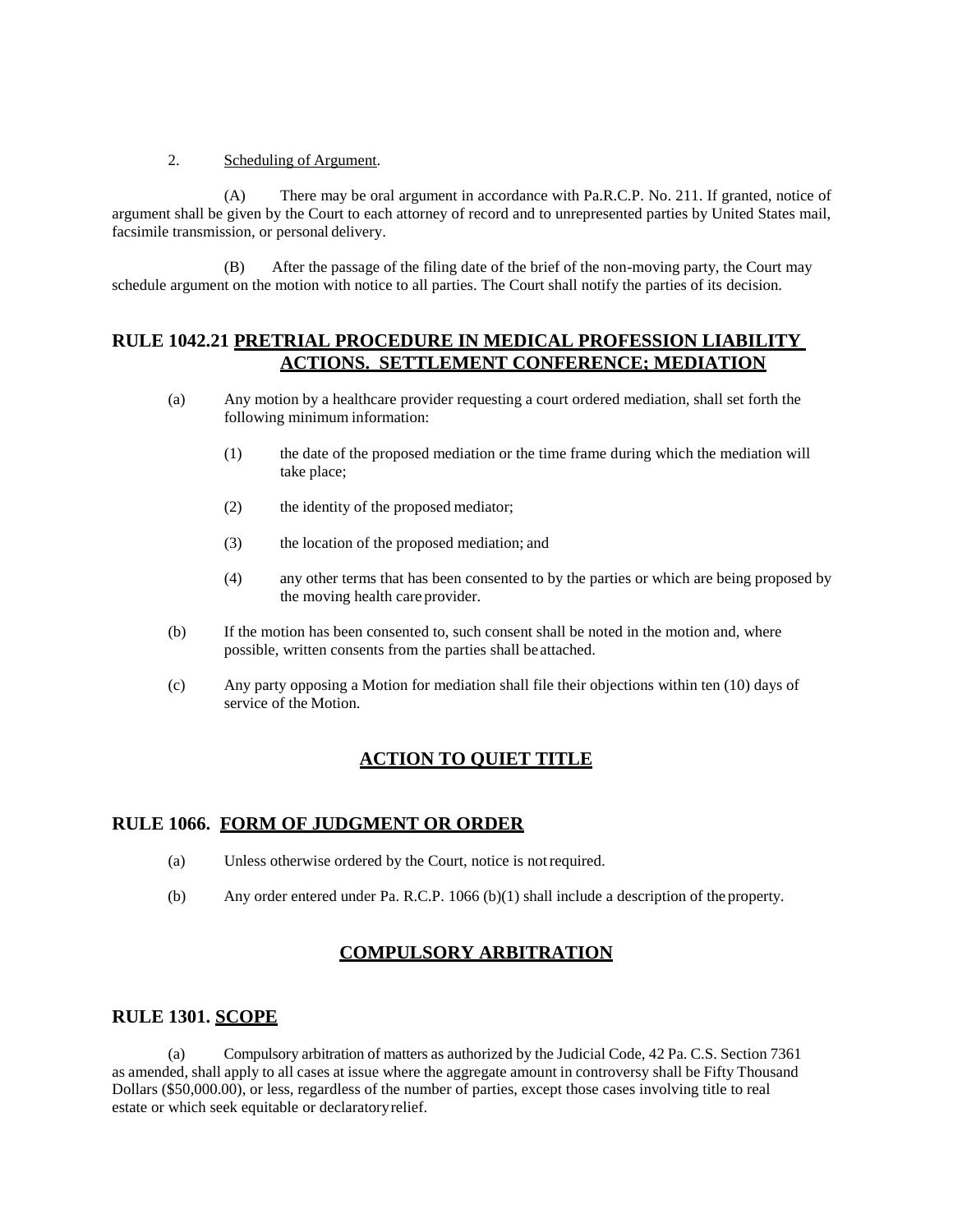#### 2. Scheduling of Argument.

(A) There may be oral argument in accordance with Pa.R.C.P. No. 211. If granted, notice of argument shall be given by the Court to each attorney of record and to unrepresented parties by United States mail, facsimile transmission, or personal delivery.

(B) After the passage of the filing date of the brief of the non-moving party, the Court may schedule argument on the motion with notice to all parties. The Court shall notify the parties of its decision.

#### **RULE 1042.21 PRETRIAL PROCEDURE IN MEDICAL PROFESSION LIABILITY ACTIONS. SETTLEMENT CONFERENCE; MEDIATION**

- (a) Any motion by a healthcare provider requesting a court ordered mediation, shall set forth the following minimum information:
	- (1) the date of the proposed mediation or the time frame during which the mediation will take place;
	- (2) the identity of the proposed mediator;
	- (3) the location of the proposed mediation; and
	- (4) any other terms that has been consented to by the parties or which are being proposed by the moving health care provider.
- (b) If the motion has been consented to, such consent shall be noted in the motion and, where possible, written consents from the parties shall beattached.
- (c) Any party opposing a Motion for mediation shall file their objections within ten (10) days of service of the Motion.

# **ACTION TO QUIET TITLE**

#### **RULE 1066. FORM OF JUDGMENT OR ORDER**

- (a) Unless otherwise ordered by the Court, notice is notrequired.
- (b) Any order entered under Pa. R.C.P. 1066 (b)(1) shall include a description of the property.

# **COMPULSORY ARBITRATION**

#### **RULE 1301. SCOPE**

(a) Compulsory arbitration of matters as authorized by the Judicial Code, 42 Pa. C.S. Section 7361 as amended, shall apply to all cases at issue where the aggregate amount in controversy shall be Fifty Thousand Dollars (\$50,000.00), or less, regardless of the number of parties, except those cases involving title to real estate or which seek equitable or declaratoryrelief.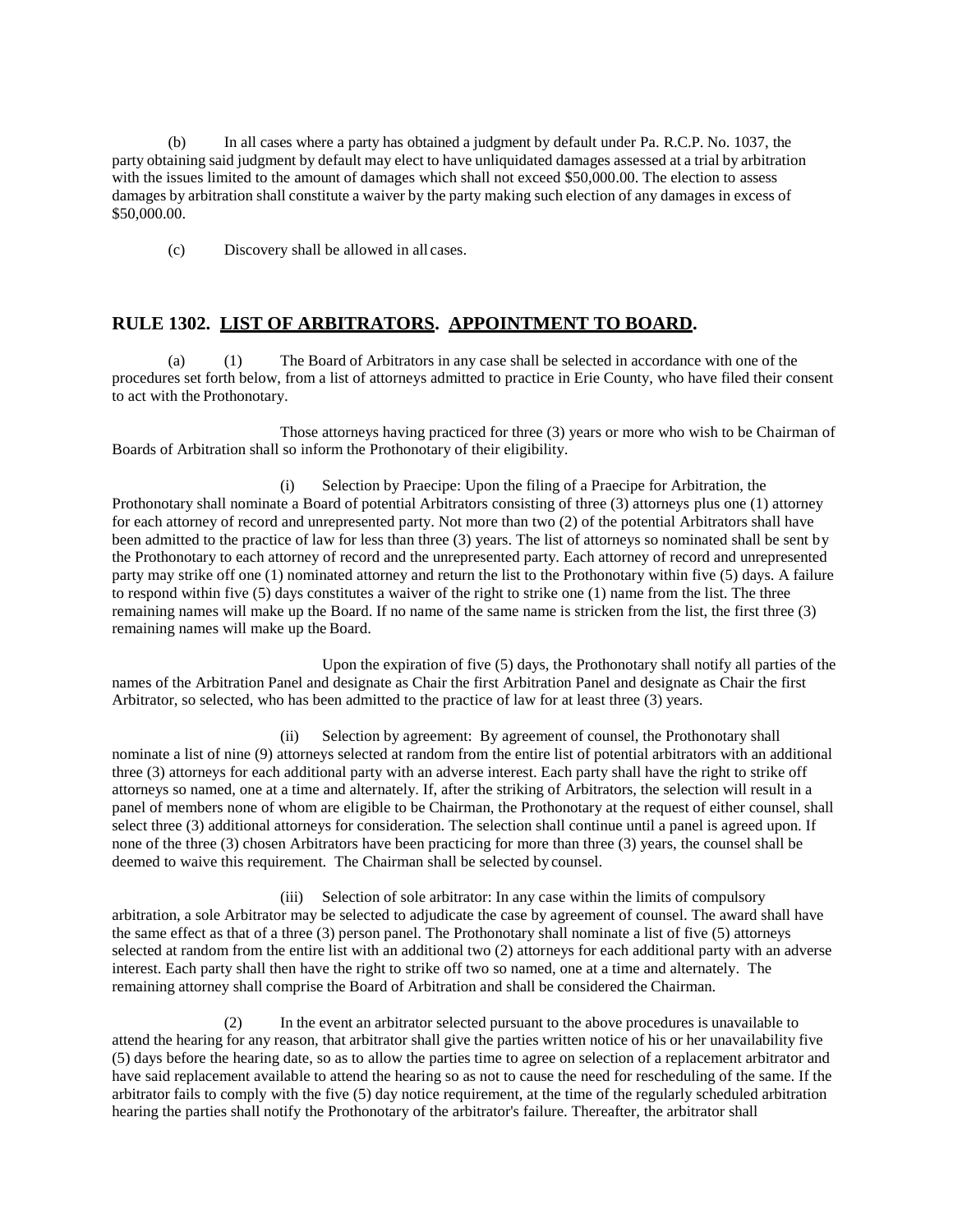(b) In all cases where a party has obtained a judgment by default under Pa. R.C.P. No. 1037, the party obtaining said judgment by default may elect to have unliquidated damages assessed at a trial by arbitration with the issues limited to the amount of damages which shall not exceed \$50,000.00. The election to assess damages by arbitration shall constitute a waiver by the party making such election of any damages in excess of \$50,000.00.

(c) Discovery shall be allowed in all cases.

#### **RULE 1302. LIST OF ARBITRATORS. APPOINTMENT TO BOARD.**

(a) (1) The Board of Arbitrators in any case shall be selected in accordance with one of the procedures set forth below, from a list of attorneys admitted to practice in Erie County, who have filed their consent to act with the Prothonotary.

Those attorneys having practiced for three (3) years or more who wish to be Chairman of Boards of Arbitration shall so inform the Prothonotary of their eligibility.

(i) Selection by Praecipe: Upon the filing of a Praecipe for Arbitration, the Prothonotary shall nominate a Board of potential Arbitrators consisting of three (3) attorneys plus one (1) attorney for each attorney of record and unrepresented party. Not more than two (2) of the potential Arbitrators shall have been admitted to the practice of law for less than three (3) years. The list of attorneys so nominated shall be sent by the Prothonotary to each attorney of record and the unrepresented party. Each attorney of record and unrepresented party may strike off one (1) nominated attorney and return the list to the Prothonotary within five (5) days. A failure to respond within five (5) days constitutes a waiver of the right to strike one (1) name from the list. The three remaining names will make up the Board. If no name of the same name is stricken from the list, the first three (3) remaining names will make up the Board.

Upon the expiration of five (5) days, the Prothonotary shall notify all parties of the names of the Arbitration Panel and designate as Chair the first Arbitration Panel and designate as Chair the first Arbitrator, so selected, who has been admitted to the practice of law for at least three (3) years.

(ii) Selection by agreement: By agreement of counsel, the Prothonotary shall nominate a list of nine (9) attorneys selected at random from the entire list of potential arbitrators with an additional three (3) attorneys for each additional party with an adverse interest. Each party shall have the right to strike off attorneys so named, one at a time and alternately. If, after the striking of Arbitrators, the selection will result in a panel of members none of whom are eligible to be Chairman, the Prothonotary at the request of either counsel, shall select three (3) additional attorneys for consideration. The selection shall continue until a panel is agreed upon. If none of the three (3) chosen Arbitrators have been practicing for more than three (3) years, the counsel shall be deemed to waive this requirement. The Chairman shall be selected by counsel.

(iii) Selection of sole arbitrator: In any case within the limits of compulsory arbitration, a sole Arbitrator may be selected to adjudicate the case by agreement of counsel. The award shall have the same effect as that of a three (3) person panel. The Prothonotary shall nominate a list of five (5) attorneys selected at random from the entire list with an additional two (2) attorneys for each additional party with an adverse interest. Each party shall then have the right to strike off two so named, one at a time and alternately. The remaining attorney shall comprise the Board of Arbitration and shall be considered the Chairman.

(2) In the event an arbitrator selected pursuant to the above procedures is unavailable to attend the hearing for any reason, that arbitrator shall give the parties written notice of his or her unavailability five (5) days before the hearing date, so as to allow the parties time to agree on selection of a replacement arbitrator and have said replacement available to attend the hearing so as not to cause the need for rescheduling of the same. If the arbitrator fails to comply with the five (5) day notice requirement, at the time of the regularly scheduled arbitration hearing the parties shall notify the Prothonotary of the arbitrator's failure. Thereafter, the arbitrator shall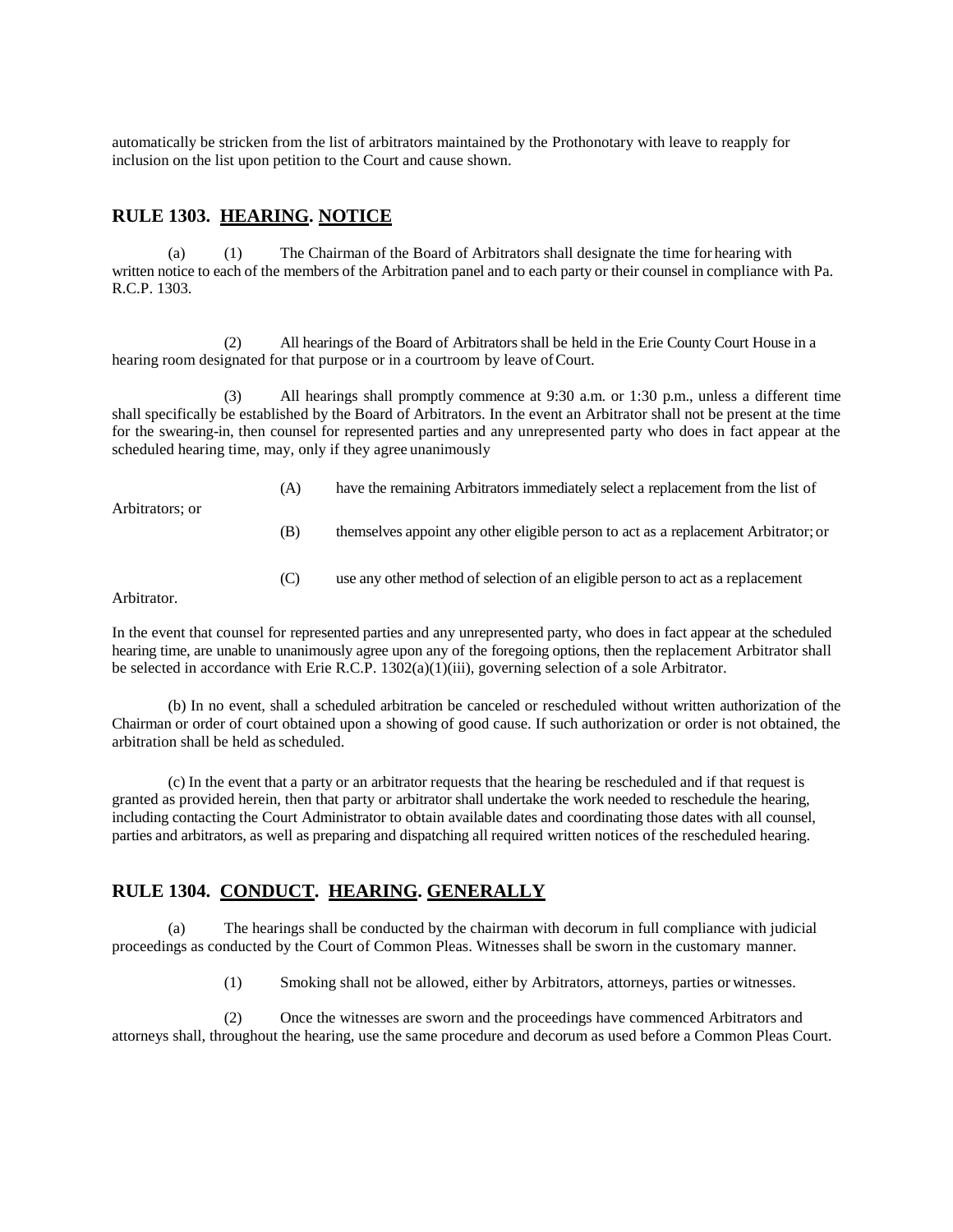automatically be stricken from the list of arbitrators maintained by the Prothonotary with leave to reapply for inclusion on the list upon petition to the Court and cause shown.

#### **RULE 1303. HEARING. NOTICE**

(a) (1) The Chairman of the Board of Arbitrators shall designate the time for hearing with written notice to each of the members of the Arbitration panel and to each party or their counsel in compliance with Pa. R.C.P. 1303.

(2) All hearings of the Board of Arbitrators shall be held in the Erie County Court House in a hearing room designated for that purpose or in a courtroom by leave of Court.

(3) All hearings shall promptly commence at 9:30 a.m. or 1:30 p.m., unless a different time shall specifically be established by the Board of Arbitrators. In the event an Arbitrator shall not be present at the time for the swearing-in, then counsel for represented parties and any unrepresented party who does in fact appear at the scheduled hearing time, may, only if they agree unanimously

Arbitrators; or

- (A) have the remaining Arbitrators immediately select a replacement from the list of
- (B) themselves appoint any other eligible person to act as a replacement Arbitrator; or
- (C) use any other method of selection of an eligible person to act as a replacement

Arbitrator.

In the event that counsel for represented parties and any unrepresented party, who does in fact appear at the scheduled hearing time, are unable to unanimously agree upon any of the foregoing options, then the replacement Arbitrator shall be selected in accordance with Erie R.C.P. 1302(a)(1)(iii), governing selection of a sole Arbitrator.

(b) In no event, shall a scheduled arbitration be canceled or rescheduled without written authorization of the Chairman or order of court obtained upon a showing of good cause. If such authorization or order is not obtained, the arbitration shall be held asscheduled.

(c) In the event that a party or an arbitrator requests that the hearing be rescheduled and if that request is granted as provided herein, then that party or arbitrator shall undertake the work needed to reschedule the hearing, including contacting the Court Administrator to obtain available dates and coordinating those dates with all counsel, parties and arbitrators, as well as preparing and dispatching all required written notices of the rescheduled hearing.

#### **RULE 1304. CONDUCT. HEARING. GENERALLY**

(a) The hearings shall be conducted by the chairman with decorum in full compliance with judicial proceedings as conducted by the Court of Common Pleas. Witnesses shall be sworn in the customary manner.

(1) Smoking shall not be allowed, either by Arbitrators, attorneys, parties or witnesses.

(2) Once the witnesses are sworn and the proceedings have commenced Arbitrators and attorneys shall, throughout the hearing, use the same procedure and decorum as used before a Common Pleas Court.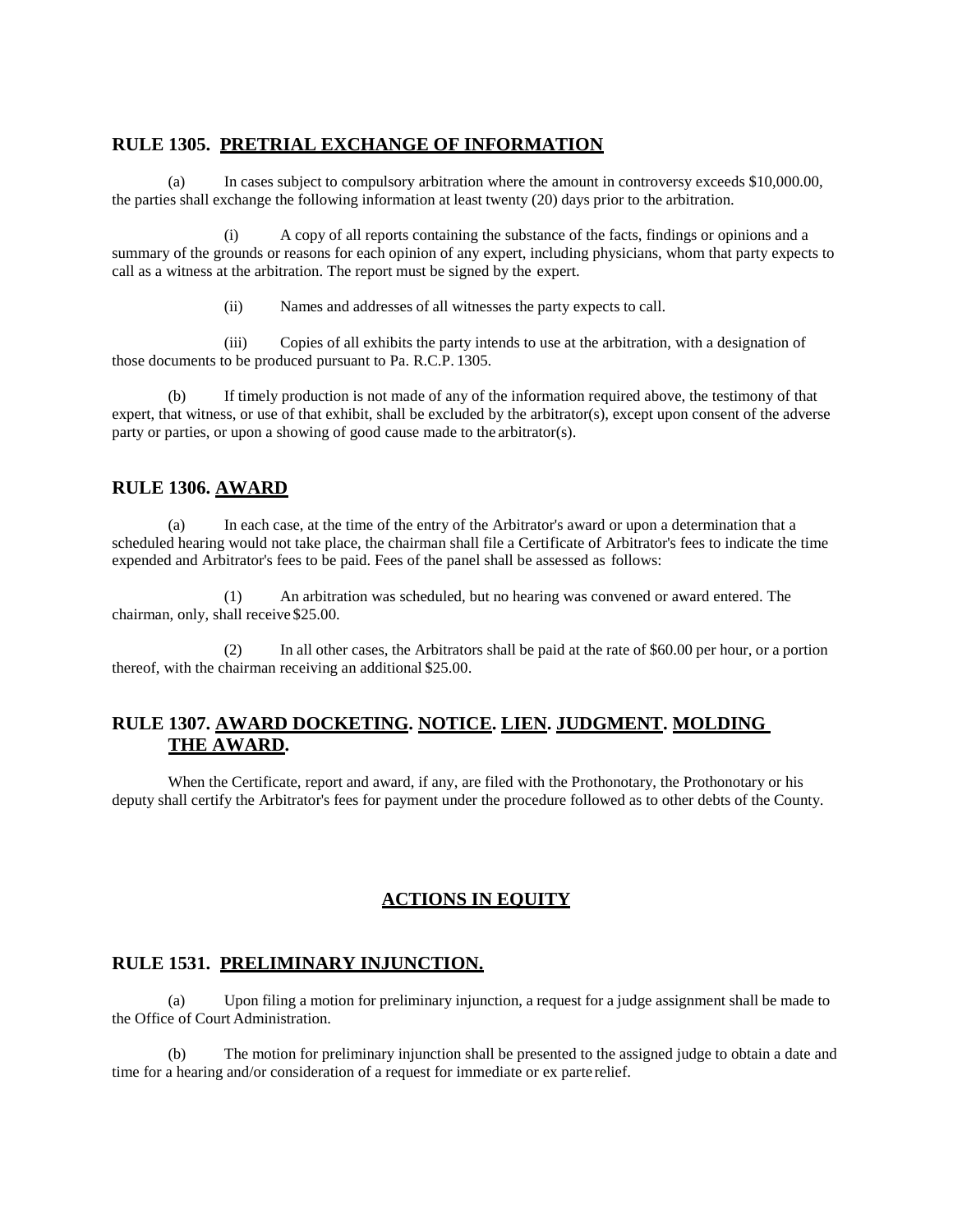# **RULE 1305. PRETRIAL EXCHANGE OF INFORMATION**

(a) In cases subject to compulsory arbitration where the amount in controversy exceeds \$10,000.00, the parties shall exchange the following information at least twenty (20) days prior to the arbitration.

(i) A copy of all reports containing the substance of the facts, findings or opinions and a summary of the grounds or reasons for each opinion of any expert, including physicians, whom that party expects to call as a witness at the arbitration. The report must be signed by the expert.

(ii) Names and addresses of all witnesses the party expects to call.

(iii) Copies of all exhibits the party intends to use at the arbitration, with a designation of those documents to be produced pursuant to Pa. R.C.P. 1305.

(b) If timely production is not made of any of the information required above, the testimony of that expert, that witness, or use of that exhibit, shall be excluded by the arbitrator(s), except upon consent of the adverse party or parties, or upon a showing of good cause made to the arbitrator(s).

# **RULE 1306. AWARD**

(a) In each case, at the time of the entry of the Arbitrator's award or upon a determination that a scheduled hearing would not take place, the chairman shall file a Certificate of Arbitrator's fees to indicate the time expended and Arbitrator's fees to be paid. Fees of the panel shall be assessed as follows:

(1) An arbitration was scheduled, but no hearing was convened or award entered. The chairman, only, shall receive \$25.00.

(2) In all other cases, the Arbitrators shall be paid at the rate of \$60.00 per hour, or a portion thereof, with the chairman receiving an additional \$25.00.

# **RULE 1307. AWARD DOCKETING. NOTICE. LIEN. JUDGMENT. MOLDING THE AWARD.**

When the Certificate, report and award, if any, are filed with the Prothonotary, the Prothonotary or his deputy shall certify the Arbitrator's fees for payment under the procedure followed as to other debts of the County.

# **ACTIONS IN EQUITY**

# **RULE 1531. PRELIMINARY INJUNCTION.**

(a) Upon filing a motion for preliminary injunction, a request for a judge assignment shall be made to the Office of Court Administration.

(b) The motion for preliminary injunction shall be presented to the assigned judge to obtain a date and time for a hearing and/or consideration of a request for immediate or ex parte relief.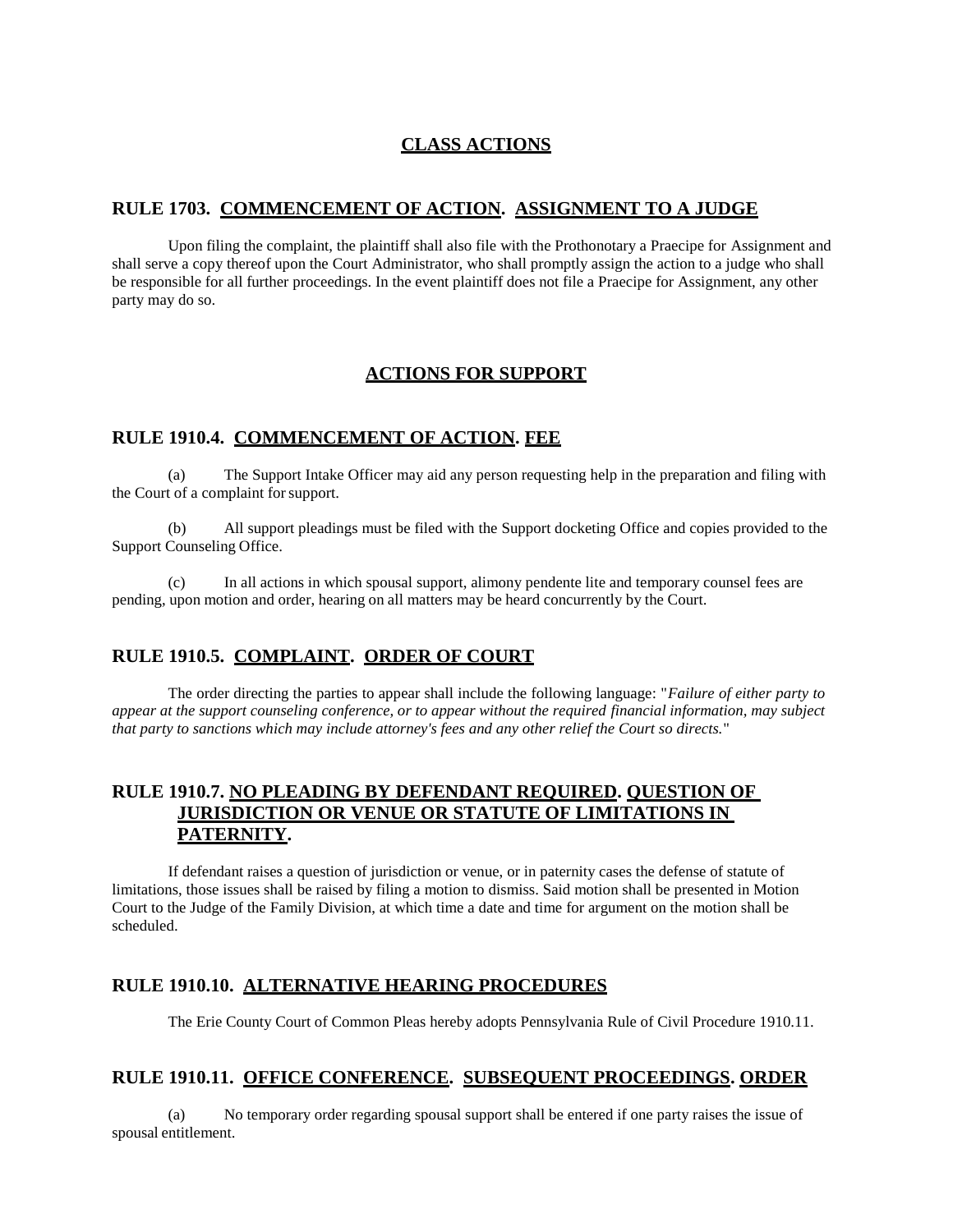# **CLASS ACTIONS**

#### **RULE 1703. COMMENCEMENT OF ACTION. ASSIGNMENT TO A JUDGE**

Upon filing the complaint, the plaintiff shall also file with the Prothonotary a Praecipe for Assignment and shall serve a copy thereof upon the Court Administrator, who shall promptly assign the action to a judge who shall be responsible for all further proceedings. In the event plaintiff does not file a Praecipe for Assignment, any other party may do so.

### **ACTIONS FOR SUPPORT**

#### **RULE 1910.4. COMMENCEMENT OF ACTION. FEE**

(a) The Support Intake Officer may aid any person requesting help in the preparation and filing with the Court of a complaint forsupport.

(b) All support pleadings must be filed with the Support docketing Office and copies provided to the Support Counseling Office.

(c) In all actions in which spousal support, alimony pendente lite and temporary counsel fees are pending, upon motion and order, hearing on all matters may be heard concurrently by the Court.

#### **RULE 1910.5. COMPLAINT. ORDER OF COURT**

The order directing the parties to appear shall include the following language: "*Failure of either party to appear at the support counseling conference, or to appear without the required financial information, may subject that party to sanctions which may include attorney's fees and any other relief the Court so directs.*"

# **RULE 1910.7. NO PLEADING BY DEFENDANT REQUIRED. QUESTION OF JURISDICTION OR VENUE OR STATUTE OF LIMITATIONS IN PATERNITY.**

If defendant raises a question of jurisdiction or venue, or in paternity cases the defense of statute of limitations, those issues shall be raised by filing a motion to dismiss. Said motion shall be presented in Motion Court to the Judge of the Family Division, at which time a date and time for argument on the motion shall be scheduled.

#### **RULE 1910.10. ALTERNATIVE HEARING PROCEDURES**

The Erie County Court of Common Pleas hereby adopts Pennsylvania Rule of Civil Procedure 1910.11.

# **RULE 1910.11. OFFICE CONFERENCE. SUBSEQUENT PROCEEDINGS. ORDER**

(a) No temporary order regarding spousal support shall be entered if one party raises the issue of spousal entitlement.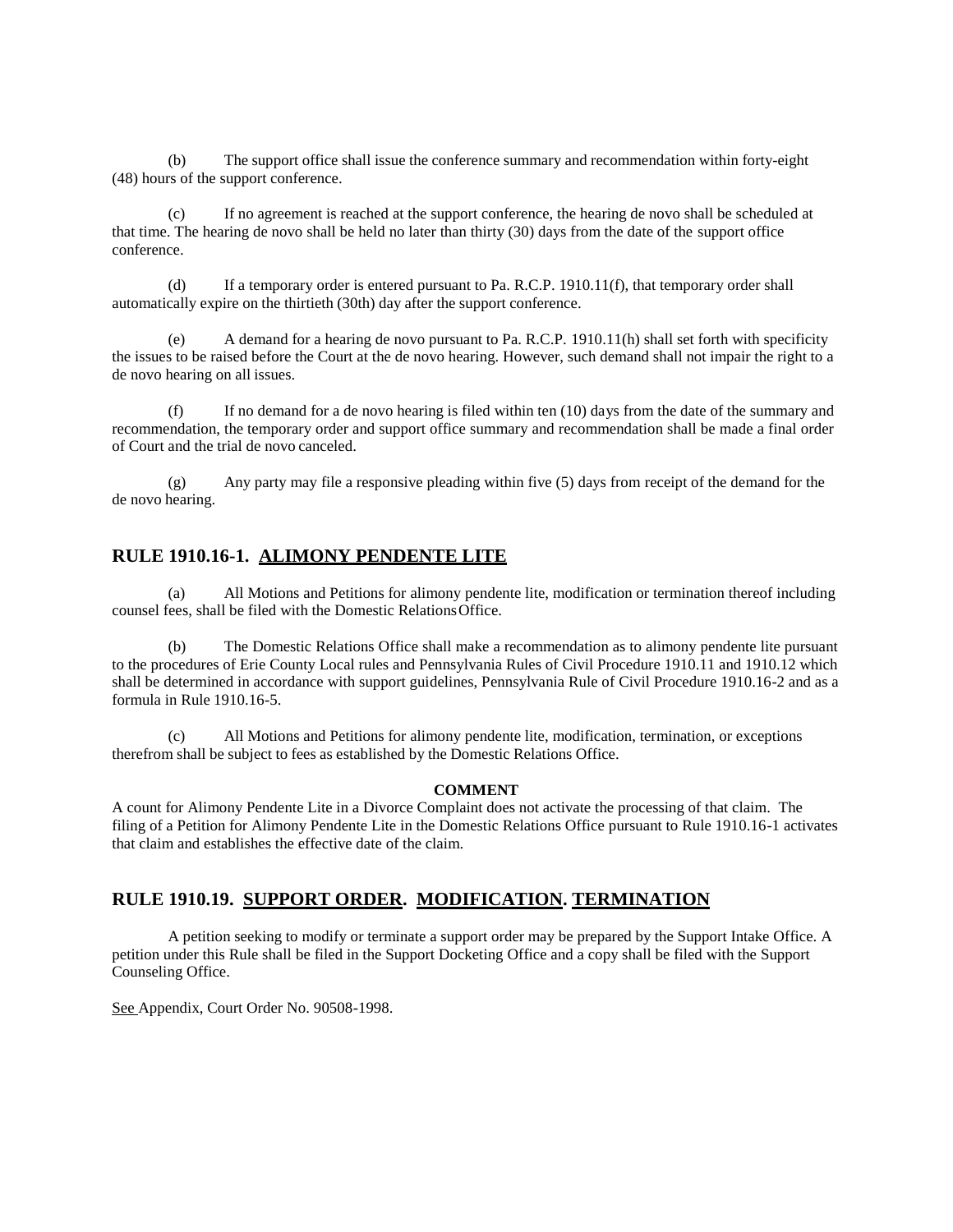(b) The support office shall issue the conference summary and recommendation within forty-eight (48) hours of the support conference.

(c) If no agreement is reached at the support conference, the hearing de novo shall be scheduled at that time. The hearing de novo shall be held no later than thirty (30) days from the date of the support office conference.

(d) If a temporary order is entered pursuant to Pa. R.C.P. 1910.11(f), that temporary order shall automatically expire on the thirtieth (30th) day after the support conference.

(e) A demand for a hearing de novo pursuant to Pa. R.C.P. 1910.11(h) shall set forth with specificity the issues to be raised before the Court at the de novo hearing. However, such demand shall not impair the right to a de novo hearing on all issues.

(f) If no demand for a de novo hearing is filed within ten (10) days from the date of the summary and recommendation, the temporary order and support office summary and recommendation shall be made a final order of Court and the trial de novo canceled.

(g) Any party may file a responsive pleading within five (5) days from receipt of the demand for the de novo hearing.

#### **RULE 1910.16-1. ALIMONY PENDENTE LITE**

(a) All Motions and Petitions for alimony pendente lite, modification or termination thereof including counsel fees, shall be filed with the Domestic RelationsOffice.

(b) The Domestic Relations Office shall make a recommendation as to alimony pendente lite pursuant to the procedures of Erie County Local rules and Pennsylvania Rules of Civil Procedure 1910.11 and 1910.12 which shall be determined in accordance with support guidelines, Pennsylvania Rule of Civil Procedure 1910.16-2 and as a formula in Rule 1910.16-5.

(c) All Motions and Petitions for alimony pendente lite, modification, termination, or exceptions therefrom shall be subject to fees as established by the Domestic Relations Office.

#### **COMMENT**

A count for Alimony Pendente Lite in a Divorce Complaint does not activate the processing of that claim. The filing of a Petition for Alimony Pendente Lite in the Domestic Relations Office pursuant to Rule 1910.16-1 activates that claim and establishes the effective date of the claim.

#### **RULE 1910.19. SUPPORT ORDER. MODIFICATION. TERMINATION**

A petition seeking to modify or terminate a support order may be prepared by the Support Intake Office. A petition under this Rule shall be filed in the Support Docketing Office and a copy shall be filed with the Support Counseling Office.

See Appendix, Court Order No. 90508-1998.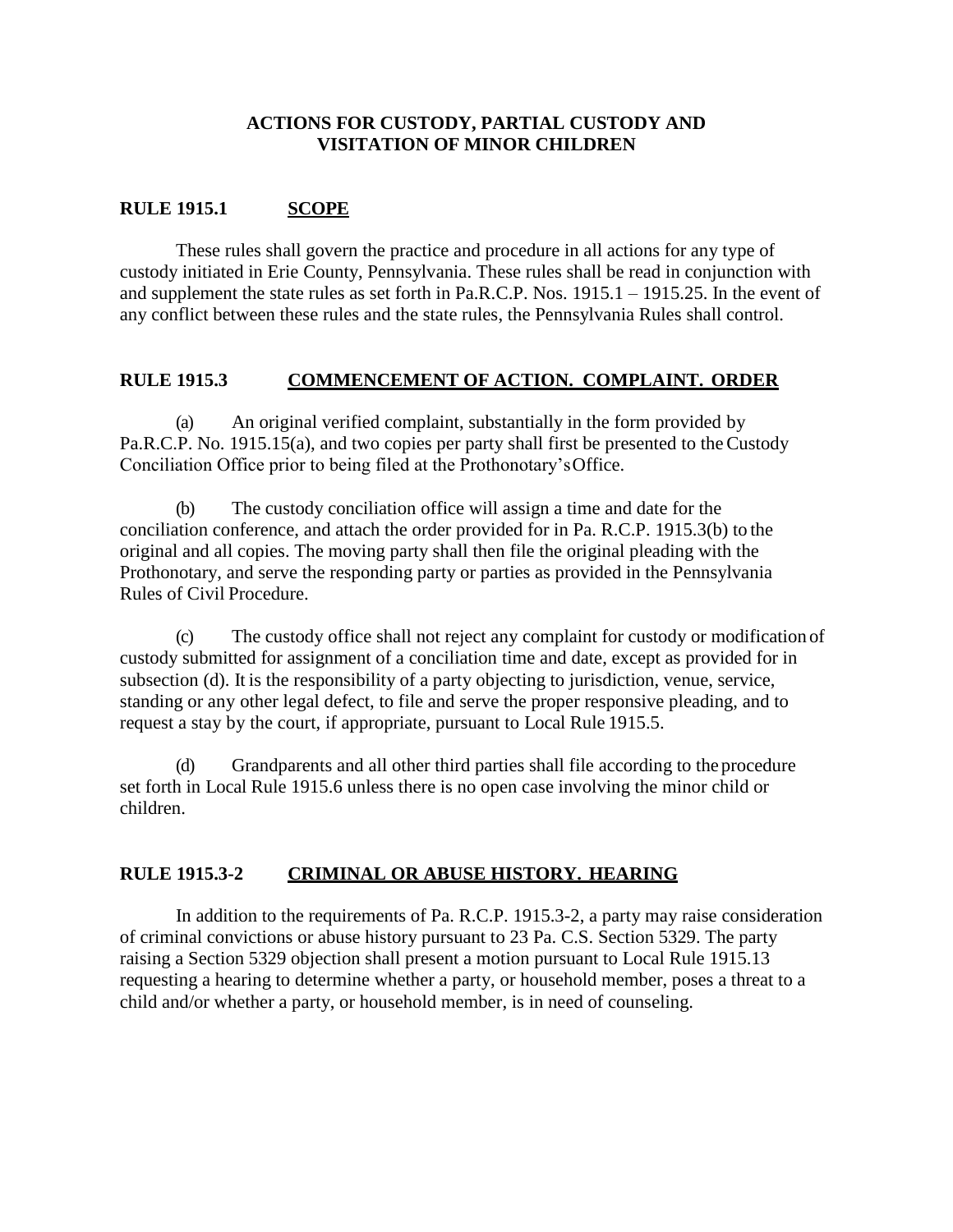# **ACTIONS FOR CUSTODY, PARTIAL CUSTODY AND VISITATION OF MINOR CHILDREN**

# **RULE 1915.1 SCOPE**

These rules shall govern the practice and procedure in all actions for any type of custody initiated in Erie County, Pennsylvania. These rules shall be read in conjunction with and supplement the state rules as set forth in Pa.R.C.P. Nos. 1915.1 – 1915.25. In the event of any conflict between these rules and the state rules, the Pennsylvania Rules shall control.

# **RULE 1915.3 COMMENCEMENT OF ACTION. COMPLAINT. ORDER**

(a) An original verified complaint, substantially in the form provided by Pa.R.C.P. No. 1915.15(a), and two copies per party shall first be presented to the Custody Conciliation Office prior to being filed at the Prothonotary'sOffice.

(b) The custody conciliation office will assign a time and date for the conciliation conference, and attach the order provided for in Pa. R.C.P. 1915.3(b) to the original and all copies. The moving party shall then file the original pleading with the Prothonotary, and serve the responding party or parties as provided in the Pennsylvania Rules of Civil Procedure.

(c) The custody office shall not reject any complaint for custody or modification of custody submitted for assignment of a conciliation time and date, except as provided for in subsection (d). It is the responsibility of a party objecting to jurisdiction, venue, service, standing or any other legal defect, to file and serve the proper responsive pleading, and to request a stay by the court, if appropriate, pursuant to Local Rule 1915.5.

(d) Grandparents and all other third parties shall file according to the procedure set forth in Local Rule 1915.6 unless there is no open case involving the minor child or children.

# **RULE 1915.3-2 CRIMINAL OR ABUSE HISTORY. HEARING**

In addition to the requirements of Pa. R.C.P. 1915.3-2, a party may raise consideration of criminal convictions or abuse history pursuant to 23 Pa. C.S. Section 5329. The party raising a Section 5329 objection shall present a motion pursuant to Local Rule 1915.13 requesting a hearing to determine whether a party, or household member, poses a threat to a child and/or whether a party, or household member, is in need of counseling.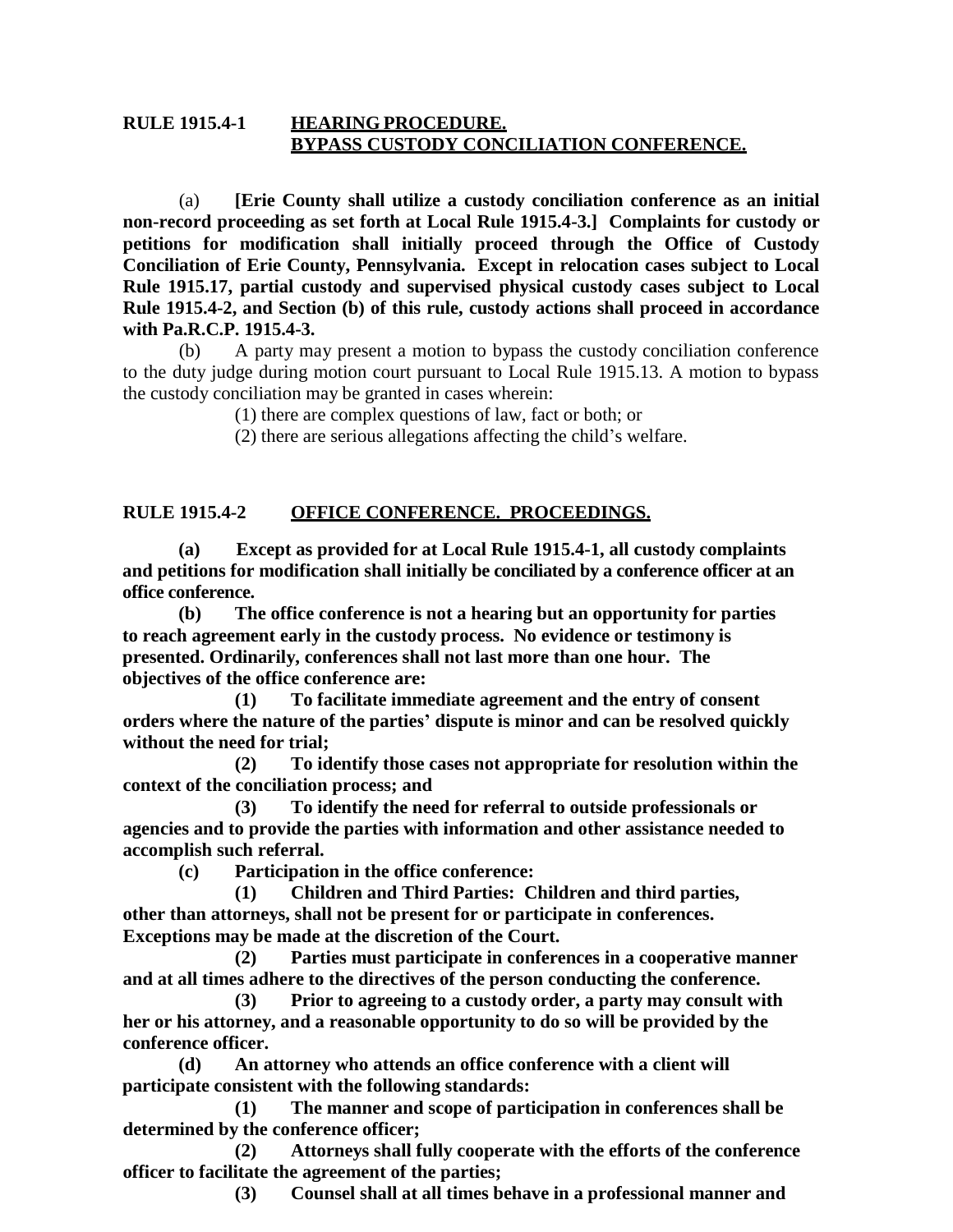# **RULE 1915.4-1 HEARING PROCEDURE. BYPASS CUSTODY CONCILIATION CONFERENCE.**

(a) **[Erie County shall utilize a custody conciliation conference as an initial non-record proceeding as set forth at Local Rule 1915.4-3.] Complaints for custody or petitions for modification shall initially proceed through the Office of Custody Conciliation of Erie County, Pennsylvania. Except in relocation cases subject to Local Rule 1915.17, partial custody and supervised physical custody cases subject to Local Rule 1915.4-2, and Section (b) of this rule, custody actions shall proceed in accordance with Pa.R.C.P. 1915.4-3.** 

(b) A party may present a motion to bypass the custody conciliation conference to the duty judge during motion court pursuant to Local Rule 1915.13. A motion to bypass the custody conciliation may be granted in cases wherein:

(1) there are complex questions of law, fact or both; or

(2) there are serious allegations affecting the child's welfare.

# **RULE 1915.4-2 OFFICE CONFERENCE. PROCEEDINGS.**

**(a) Except as provided for at Local Rule 1915.4-1, all custody complaints and petitions for modification shall initially be conciliated by a conference officer at an office conference.**

**(b) The office conference is not a hearing but an opportunity for parties to reach agreement early in the custody process. No evidence or testimony is presented. Ordinarily, conferences shall not last more than one hour. The objectives of the office conference are:**

**(1) To facilitate immediate agreement and the entry of consent orders where the nature of the parties' dispute is minor and can be resolved quickly without the need for trial;**

**(2) To identify those cases not appropriate for resolution within the context of the conciliation process; and**

**(3) To identify the need for referral to outside professionals or agencies and to provide the parties with information and other assistance needed to accomplish such referral.**

**(c) Participation in the office conference:**

**(1) Children and Third Parties: Children and third parties, other than attorneys, shall not be present for or participate in conferences. Exceptions may be made at the discretion of the Court.**

**(2) Parties must participate in conferences in a cooperative manner and at all times adhere to the directives of the person conducting the conference.**

**(3) Prior to agreeing to a custody order, a party may consult with her or his attorney, and a reasonable opportunity to do so will be provided by the conference officer.**

**(d) An attorney who attends an office conference with a client will participate consistent with the following standards:**

**(1) The manner and scope of participation in conferences shall be determined by the conference officer;**

**(2) Attorneys shall fully cooperate with the efforts of the conference officer to facilitate the agreement of the parties;**

**(3) Counsel shall at all times behave in a professional manner and**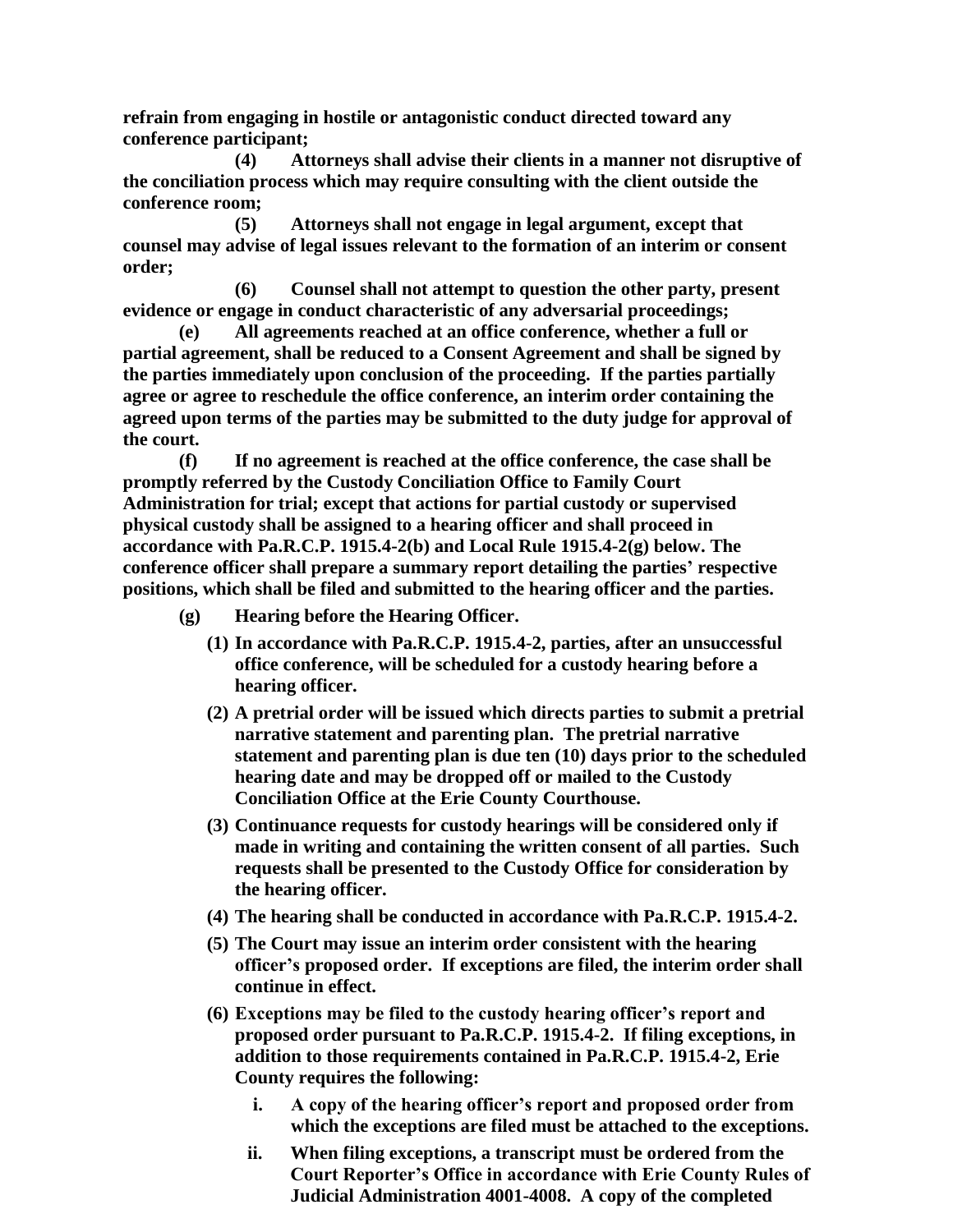**refrain from engaging in hostile or antagonistic conduct directed toward any conference participant;**

**(4) Attorneys shall advise their clients in a manner not disruptive of the conciliation process which may require consulting with the client outside the conference room;**

**(5) Attorneys shall not engage in legal argument, except that counsel may advise of legal issues relevant to the formation of an interim or consent order;**

**(6) Counsel shall not attempt to question the other party, present evidence or engage in conduct characteristic of any adversarial proceedings;**

**(e) All agreements reached at an office conference, whether a full or partial agreement, shall be reduced to a Consent Agreement and shall be signed by the parties immediately upon conclusion of the proceeding. If the parties partially agree or agree to reschedule the office conference, an interim order containing the agreed upon terms of the parties may be submitted to the duty judge for approval of the court.**

**(f) If no agreement is reached at the office conference, the case shall be promptly referred by the Custody Conciliation Office to Family Court Administration for trial; except that actions for partial custody or supervised physical custody shall be assigned to a hearing officer and shall proceed in accordance with Pa.R.C.P. 1915.4-2(b) and Local Rule 1915.4-2(g) below. The conference officer shall prepare a summary report detailing the parties' respective positions, which shall be filed and submitted to the hearing officer and the parties.**

- **(g) Hearing before the Hearing Officer.**
	- **(1) In accordance with Pa.R.C.P. 1915.4-2, parties, after an unsuccessful office conference, will be scheduled for a custody hearing before a hearing officer.**
	- **(2) A pretrial order will be issued which directs parties to submit a pretrial narrative statement and parenting plan. The pretrial narrative statement and parenting plan is due ten (10) days prior to the scheduled hearing date and may be dropped off or mailed to the Custody Conciliation Office at the Erie County Courthouse.**
	- **(3) Continuance requests for custody hearings will be considered only if made in writing and containing the written consent of all parties. Such requests shall be presented to the Custody Office for consideration by the hearing officer.**
	- **(4) The hearing shall be conducted in accordance with Pa.R.C.P. 1915.4-2.**
	- **(5) The Court may issue an interim order consistent with the hearing officer's proposed order. If exceptions are filed, the interim order shall continue in effect.**
	- **(6) Exceptions may be filed to the custody hearing officer's report and proposed order pursuant to Pa.R.C.P. 1915.4-2. If filing exceptions, in addition to those requirements contained in Pa.R.C.P. 1915.4-2, Erie County requires the following:**
		- **i. A copy of the hearing officer's report and proposed order from which the exceptions are filed must be attached to the exceptions.**
		- **ii. When filing exceptions, a transcript must be ordered from the Court Reporter's Office in accordance with Erie County Rules of Judicial Administration 4001-4008. A copy of the completed**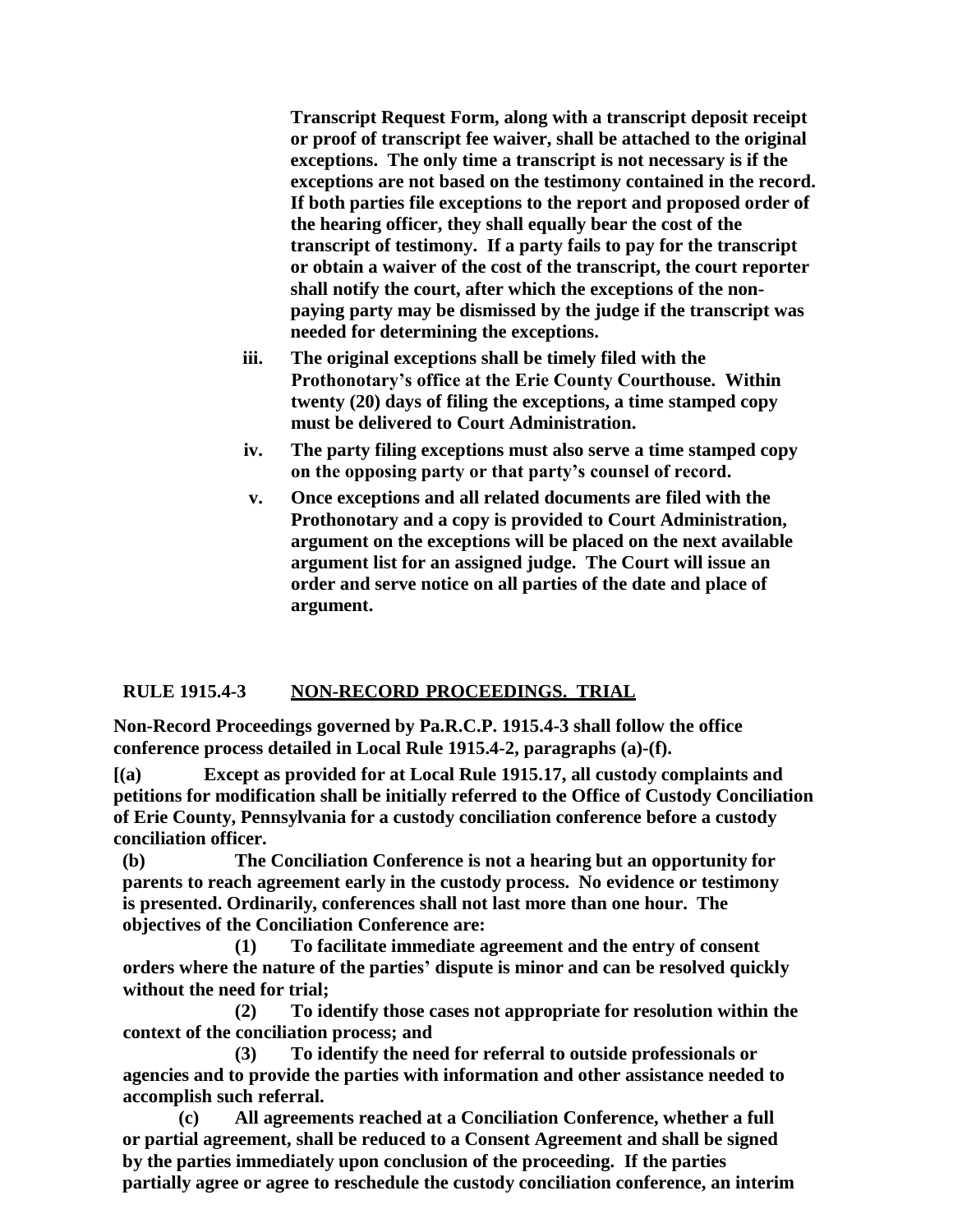**Transcript Request Form, along with a transcript deposit receipt or proof of transcript fee waiver, shall be attached to the original exceptions. The only time a transcript is not necessary is if the exceptions are not based on the testimony contained in the record. If both parties file exceptions to the report and proposed order of the hearing officer, they shall equally bear the cost of the transcript of testimony. If a party fails to pay for the transcript or obtain a waiver of the cost of the transcript, the court reporter shall notify the court, after which the exceptions of the nonpaying party may be dismissed by the judge if the transcript was needed for determining the exceptions.**

- **iii. The original exceptions shall be timely filed with the Prothonotary's office at the Erie County Courthouse. Within twenty (20) days of filing the exceptions, a time stamped copy must be delivered to Court Administration.**
- **iv. The party filing exceptions must also serve a time stamped copy on the opposing party or that party's counsel of record.**
- **v. Once exceptions and all related documents are filed with the Prothonotary and a copy is provided to Court Administration, argument on the exceptions will be placed on the next available argument list for an assigned judge. The Court will issue an order and serve notice on all parties of the date and place of argument.**

# **RULE 1915.4-3 NON-RECORD PROCEEDINGS. TRIAL**

**Non-Record Proceedings governed by Pa.R.C.P. 1915.4-3 shall follow the office conference process detailed in Local Rule 1915.4-2, paragraphs (a)-(f).** 

**[(a) Except as provided for at Local Rule 1915.17, all custody complaints and petitions for modification shall be initially referred to the Office of Custody Conciliation of Erie County, Pennsylvania for a custody conciliation conference before a custody conciliation officer.**

**(b) The Conciliation Conference is not a hearing but an opportunity for parents to reach agreement early in the custody process. No evidence or testimony is presented. Ordinarily, conferences shall not last more than one hour. The objectives of the Conciliation Conference are:**

**(1) To facilitate immediate agreement and the entry of consent orders where the nature of the parties' dispute is minor and can be resolved quickly without the need for trial;**

**(2) To identify those cases not appropriate for resolution within the context of the conciliation process; and**

**(3) To identify the need for referral to outside professionals or agencies and to provide the parties with information and other assistance needed to accomplish such referral.**

**(c) All agreements reached at a Conciliation Conference, whether a full or partial agreement, shall be reduced to a Consent Agreement and shall be signed by the parties immediately upon conclusion of the proceeding. If the parties partially agree or agree to reschedule the custody conciliation conference, an interim**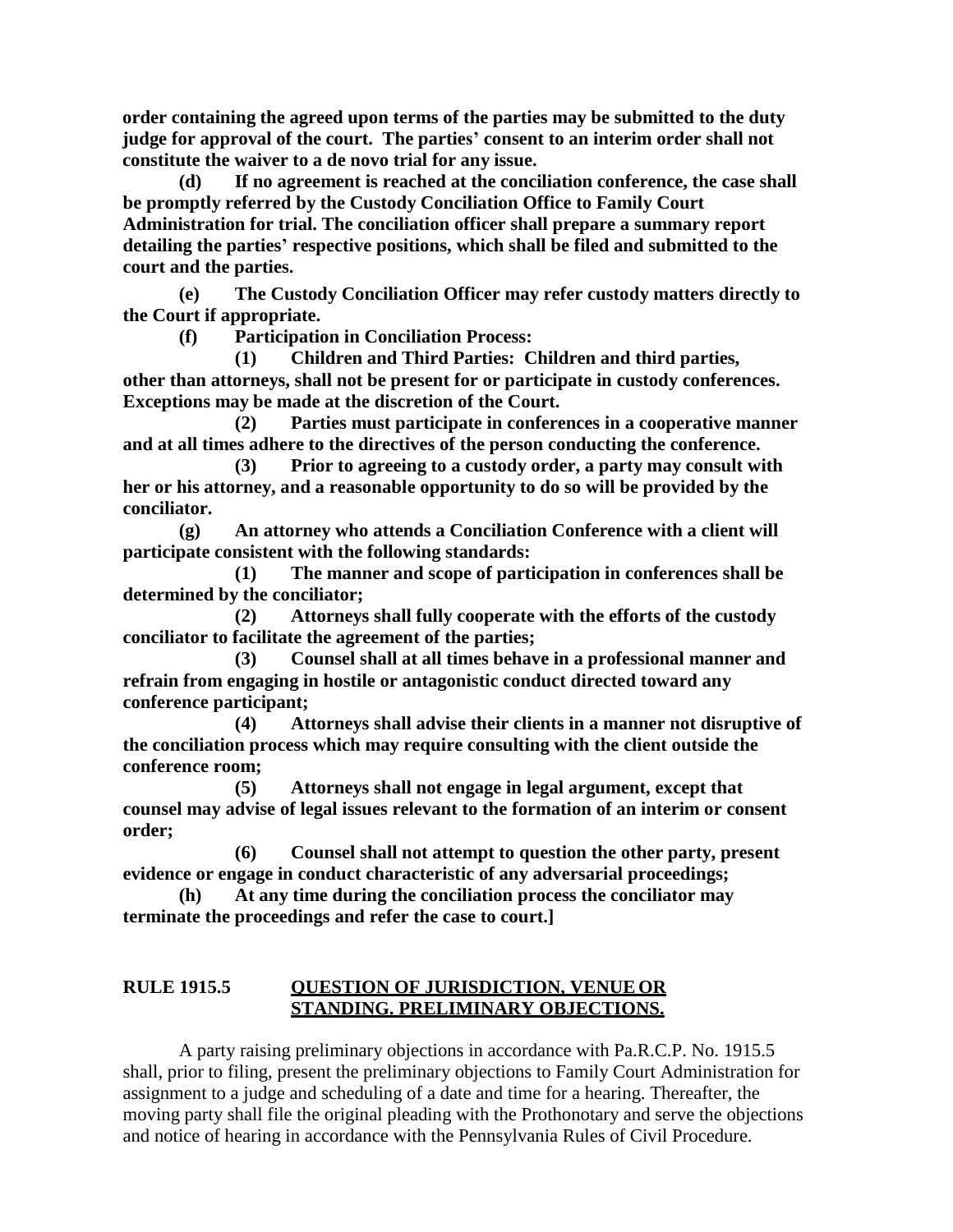**order containing the agreed upon terms of the parties may be submitted to the duty judge for approval of the court. The parties' consent to an interim order shall not constitute the waiver to a de novo trial for any issue.**

**(d) If no agreement is reached at the conciliation conference, the case shall be promptly referred by the Custody Conciliation Office to Family Court Administration for trial. The conciliation officer shall prepare a summary report detailing the parties' respective positions, which shall be filed and submitted to the court and the parties.**

**(e) The Custody Conciliation Officer may refer custody matters directly to the Court if appropriate.**

**(f) Participation in Conciliation Process:**

**(1) Children and Third Parties: Children and third parties, other than attorneys, shall not be present for or participate in custody conferences. Exceptions may be made at the discretion of the Court.**

**(2) Parties must participate in conferences in a cooperative manner and at all times adhere to the directives of the person conducting the conference.**

**(3) Prior to agreeing to a custody order, a party may consult with her or his attorney, and a reasonable opportunity to do so will be provided by the conciliator.**

**(g) An attorney who attends a Conciliation Conference with a client will participate consistent with the following standards:**

**(1) The manner and scope of participation in conferences shall be determined by the conciliator;**

**(2) Attorneys shall fully cooperate with the efforts of the custody conciliator to facilitate the agreement of the parties;**

**(3) Counsel shall at all times behave in a professional manner and refrain from engaging in hostile or antagonistic conduct directed toward any conference participant;**

**(4) Attorneys shall advise their clients in a manner not disruptive of the conciliation process which may require consulting with the client outside the conference room;**

**(5) Attorneys shall not engage in legal argument, except that counsel may advise of legal issues relevant to the formation of an interim or consent order;**

**(6) Counsel shall not attempt to question the other party, present evidence or engage in conduct characteristic of any adversarial proceedings;**

**(h) At any time during the conciliation process the conciliator may terminate the proceedings and refer the case to court.]**

# **RULE 1915.5 QUESTION OF JURISDICTION, VENUEOR STANDING. PRELIMINARY OBJECTIONS.**

A party raising preliminary objections in accordance with Pa.R.C.P. No. 1915.5 shall, prior to filing, present the preliminary objections to Family Court Administration for assignment to a judge and scheduling of a date and time for a hearing. Thereafter, the moving party shall file the original pleading with the Prothonotary and serve the objections and notice of hearing in accordance with the Pennsylvania Rules of Civil Procedure.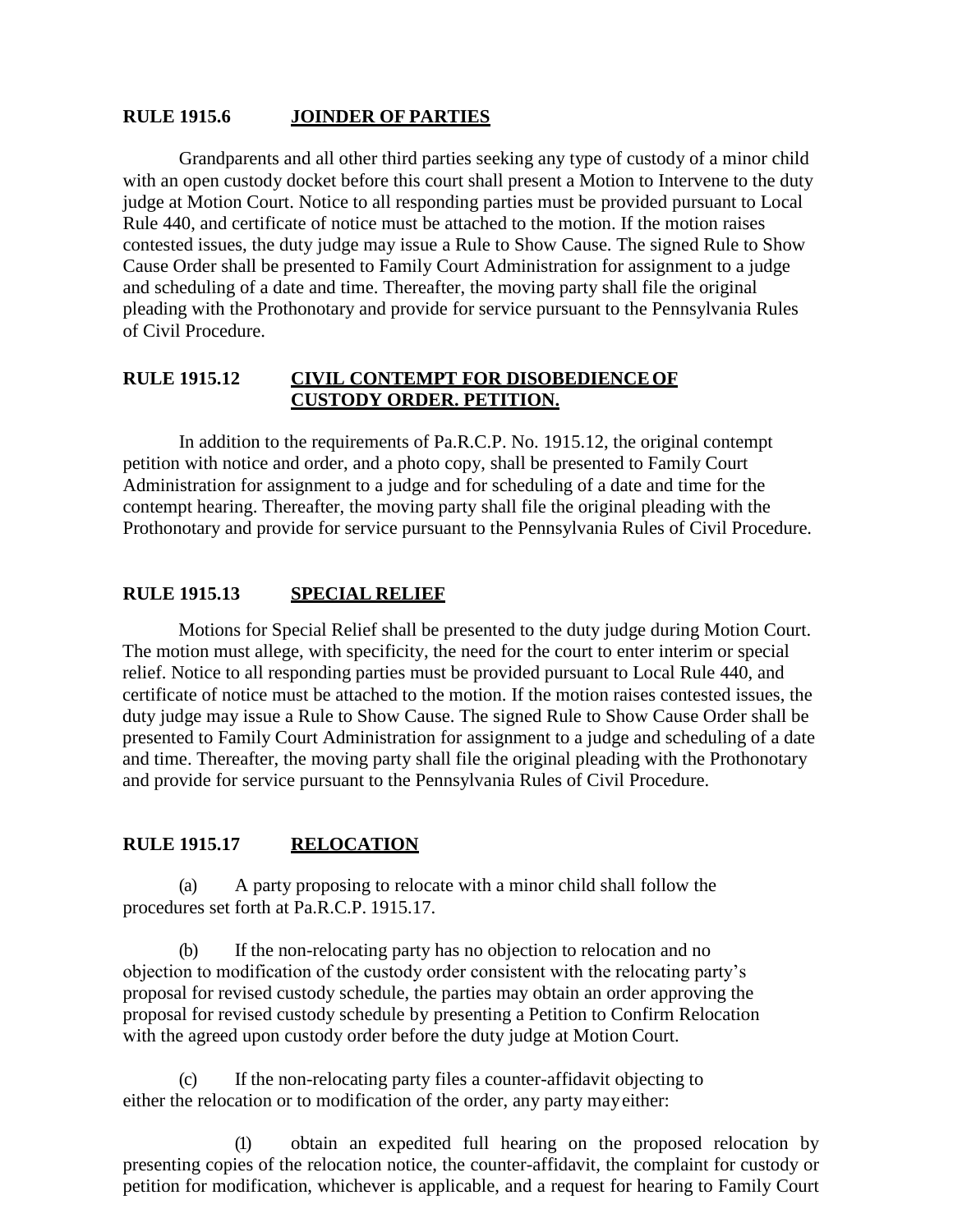#### **RULE 1915.6 JOINDER OF PARTIES**

Grandparents and all other third parties seeking any type of custody of a minor child with an open custody docket before this court shall present a Motion to Intervene to the duty judge at Motion Court. Notice to all responding parties must be provided pursuant to Local Rule 440, and certificate of notice must be attached to the motion. If the motion raises contested issues, the duty judge may issue a Rule to Show Cause. The signed Rule to Show Cause Order shall be presented to Family Court Administration for assignment to a judge and scheduling of a date and time. Thereafter, the moving party shall file the original pleading with the Prothonotary and provide for service pursuant to the Pennsylvania Rules of Civil Procedure.

# **RULE 1915.12 CIVIL CONTEMPT FOR DISOBEDIENCEOF CUSTODY ORDER. PETITION.**

In addition to the requirements of Pa.R.C.P. No. 1915.12, the original contempt petition with notice and order, and a photo copy, shall be presented to Family Court Administration for assignment to a judge and for scheduling of a date and time for the contempt hearing. Thereafter, the moving party shall file the original pleading with the Prothonotary and provide for service pursuant to the Pennsylvania Rules of Civil Procedure.

#### **RULE 1915.13 SPECIAL RELIEF**

Motions for Special Relief shall be presented to the duty judge during Motion Court. The motion must allege, with specificity, the need for the court to enter interim or special relief. Notice to all responding parties must be provided pursuant to Local Rule 440, and certificate of notice must be attached to the motion. If the motion raises contested issues, the duty judge may issue a Rule to Show Cause. The signed Rule to Show Cause Order shall be presented to Family Court Administration for assignment to a judge and scheduling of a date and time. Thereafter, the moving party shall file the original pleading with the Prothonotary and provide for service pursuant to the Pennsylvania Rules of Civil Procedure.

#### **RULE 1915.17 RELOCATION**

(a) A party proposing to relocate with a minor child shall follow the procedures set forth at Pa.R.C.P. 1915.17.

(b) If the non-relocating party has no objection to relocation and no objection to modification of the custody order consistent with the relocating party's proposal for revised custody schedule, the parties may obtain an order approving the proposal for revised custody schedule by presenting a Petition to Confirm Relocation with the agreed upon custody order before the duty judge at Motion Court.

If the non-relocating party files a counter-affidavit objecting to either the relocation or to modification of the order, any party mayeither:

(1) obtain an expedited full hearing on the proposed relocation by presenting copies of the relocation notice, the counter-affidavit, the complaint for custody or petition for modification, whichever is applicable, and a request for hearing to Family Court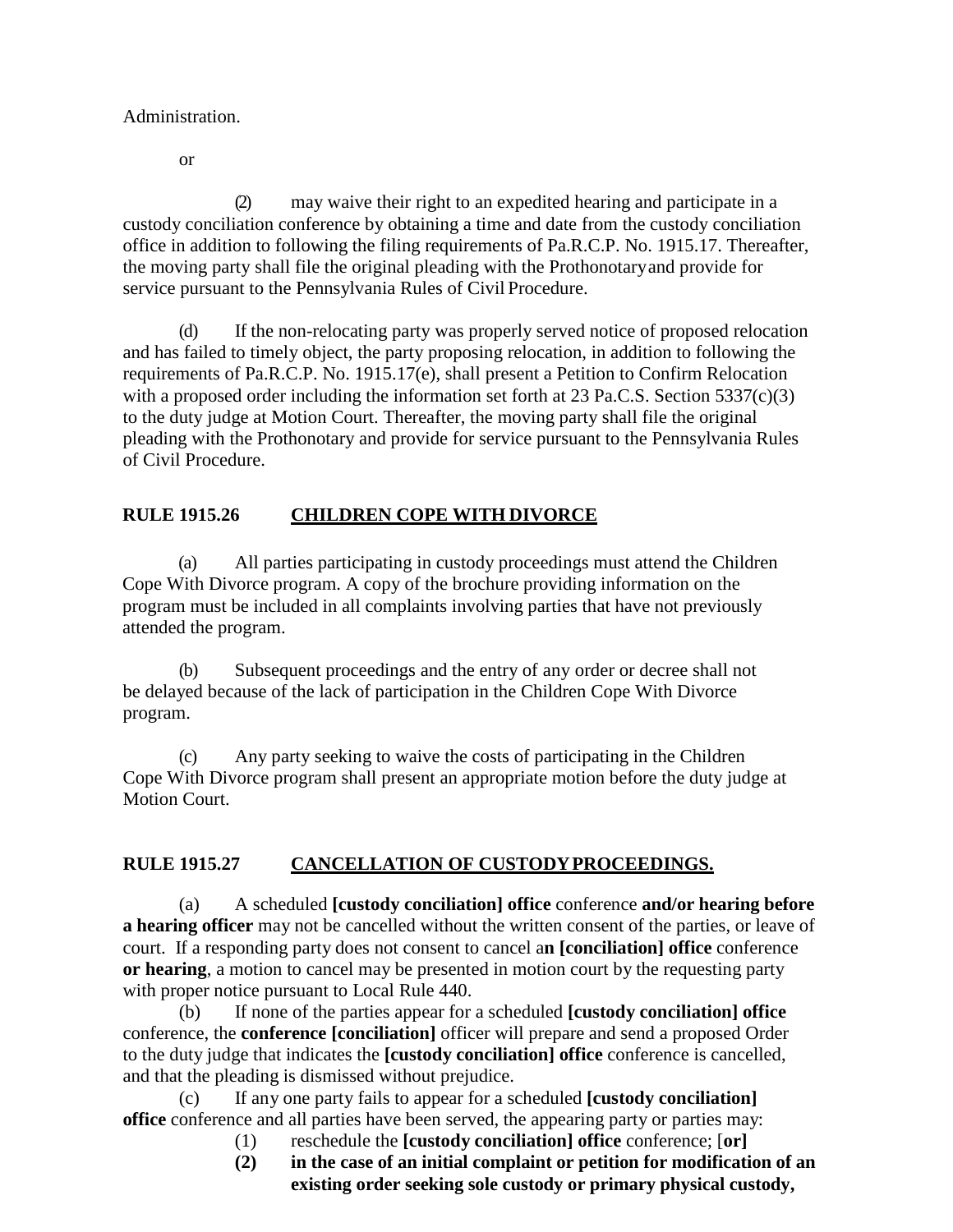Administration.

or

(2) may waive their right to an expedited hearing and participate in a custody conciliation conference by obtaining a time and date from the custody conciliation office in addition to following the filing requirements of Pa.R.C.P. No. 1915.17. Thereafter, the moving party shall file the original pleading with the Prothonotaryand provide for service pursuant to the Pennsylvania Rules of Civil Procedure.

(d) If the non-relocating party was properly served notice of proposed relocation and has failed to timely object, the party proposing relocation, in addition to following the requirements of Pa.R.C.P. No. 1915.17(e), shall present a Petition to Confirm Relocation with a proposed order including the information set forth at  $23 \text{ Pa.C.S.}$  Section  $5337(c)(3)$ to the duty judge at Motion Court. Thereafter, the moving party shall file the original pleading with the Prothonotary and provide for service pursuant to the Pennsylvania Rules of Civil Procedure.

# **RULE 1915.26 CHILDREN COPE WITH DIVORCE**

(a) All parties participating in custody proceedings must attend the Children Cope With Divorce program. A copy of the brochure providing information on the program must be included in all complaints involving parties that have not previously attended the program.

(b) Subsequent proceedings and the entry of any order or decree shall not be delayed because of the lack of participation in the Children Cope With Divorce program.

(c) Any party seeking to waive the costs of participating in the Children Cope With Divorce program shall present an appropriate motion before the duty judge at Motion Court.

# **RULE 1915.27 CANCELLATION OF CUSTODYPROCEEDINGS.**

(a) A scheduled **[custody conciliation] office** conference **and/or hearing before a hearing officer** may not be cancelled without the written consent of the parties, or leave of court. If a responding party does not consent to cancel a**n [conciliation] office** conference **or hearing**, a motion to cancel may be presented in motion court by the requesting party with proper notice pursuant to Local Rule 440.

(b) If none of the parties appear for a scheduled **[custody conciliation] office** conference, the **conference [conciliation]** officer will prepare and send a proposed Order to the duty judge that indicates the **[custody conciliation] office** conference is cancelled, and that the pleading is dismissed without prejudice.

(c) If any one party fails to appear for a scheduled **[custody conciliation] office** conference and all parties have been served, the appearing party or parties may:

- (1) reschedule the **[custody conciliation] office** conference; [**or]**
- **(2) in the case of an initial complaint or petition for modification of an existing order seeking sole custody or primary physical custody,**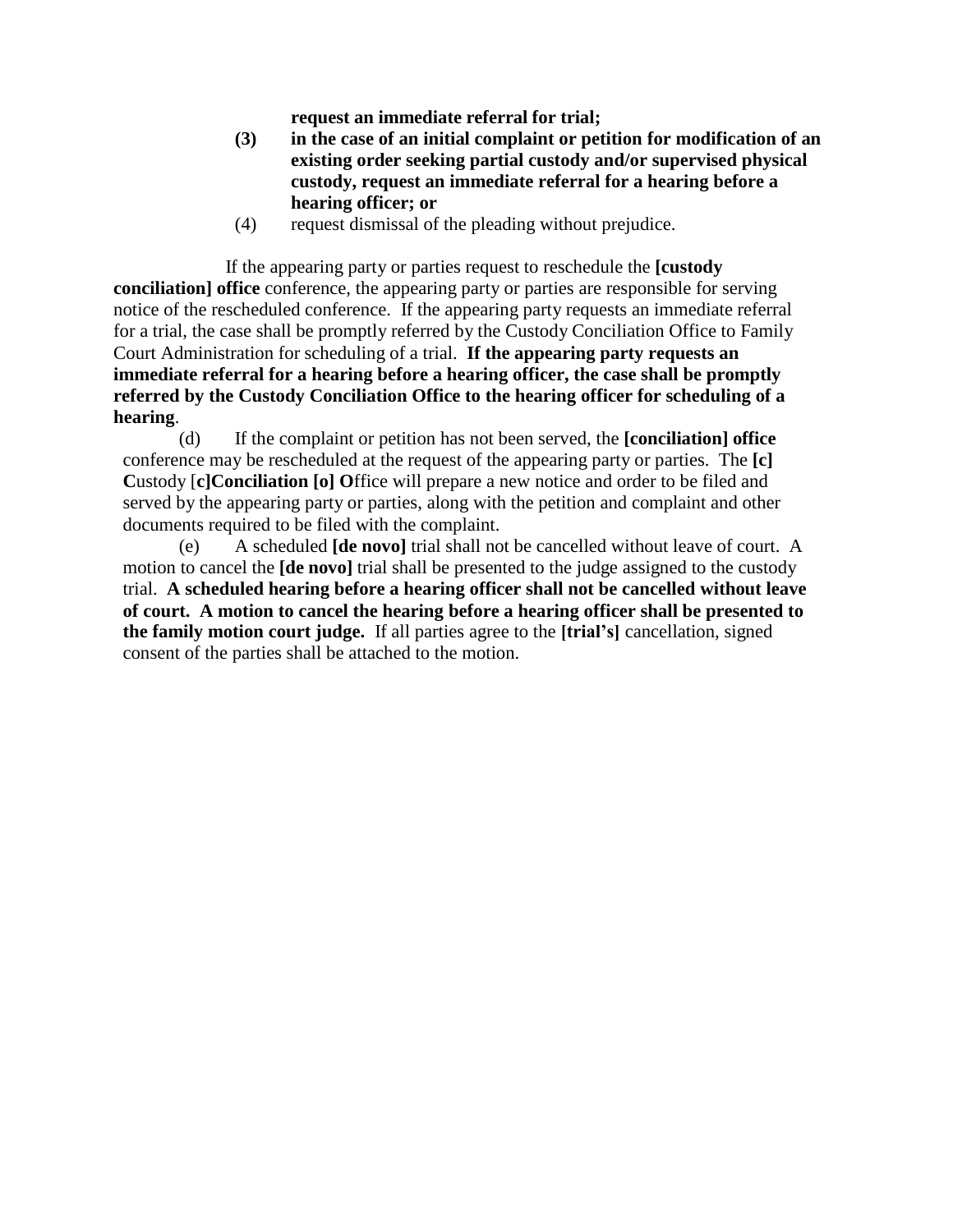**request an immediate referral for trial;**

- **(3) in the case of an initial complaint or petition for modification of an existing order seeking partial custody and/or supervised physical custody, request an immediate referral for a hearing before a hearing officer; or**
- (4) request dismissal of the pleading without prejudice.

If the appearing party or parties request to reschedule the **[custody conciliation] office** conference, the appearing party or parties are responsible for serving notice of the rescheduled conference. If the appearing party requests an immediate referral for a trial, the case shall be promptly referred by the Custody Conciliation Office to Family Court Administration for scheduling of a trial. **If the appearing party requests an immediate referral for a hearing before a hearing officer, the case shall be promptly referred by the Custody Conciliation Office to the hearing officer for scheduling of a hearing**.

(d) If the complaint or petition has not been served, the **[conciliation] office** conference may be rescheduled at the request of the appearing party or parties. The **[c] C**ustody [**c]Conciliation [o] O**ffice will prepare a new notice and order to be filed and served by the appearing party or parties, along with the petition and complaint and other documents required to be filed with the complaint.

(e) A scheduled **[de novo]** trial shall not be cancelled without leave of court. A motion to cancel the **[de novo]** trial shall be presented to the judge assigned to the custody trial. **A scheduled hearing before a hearing officer shall not be cancelled without leave of court. A motion to cancel the hearing before a hearing officer shall be presented to the family motion court judge.** If all parties agree to the **[trial's]** cancellation, signed consent of the parties shall be attached to the motion.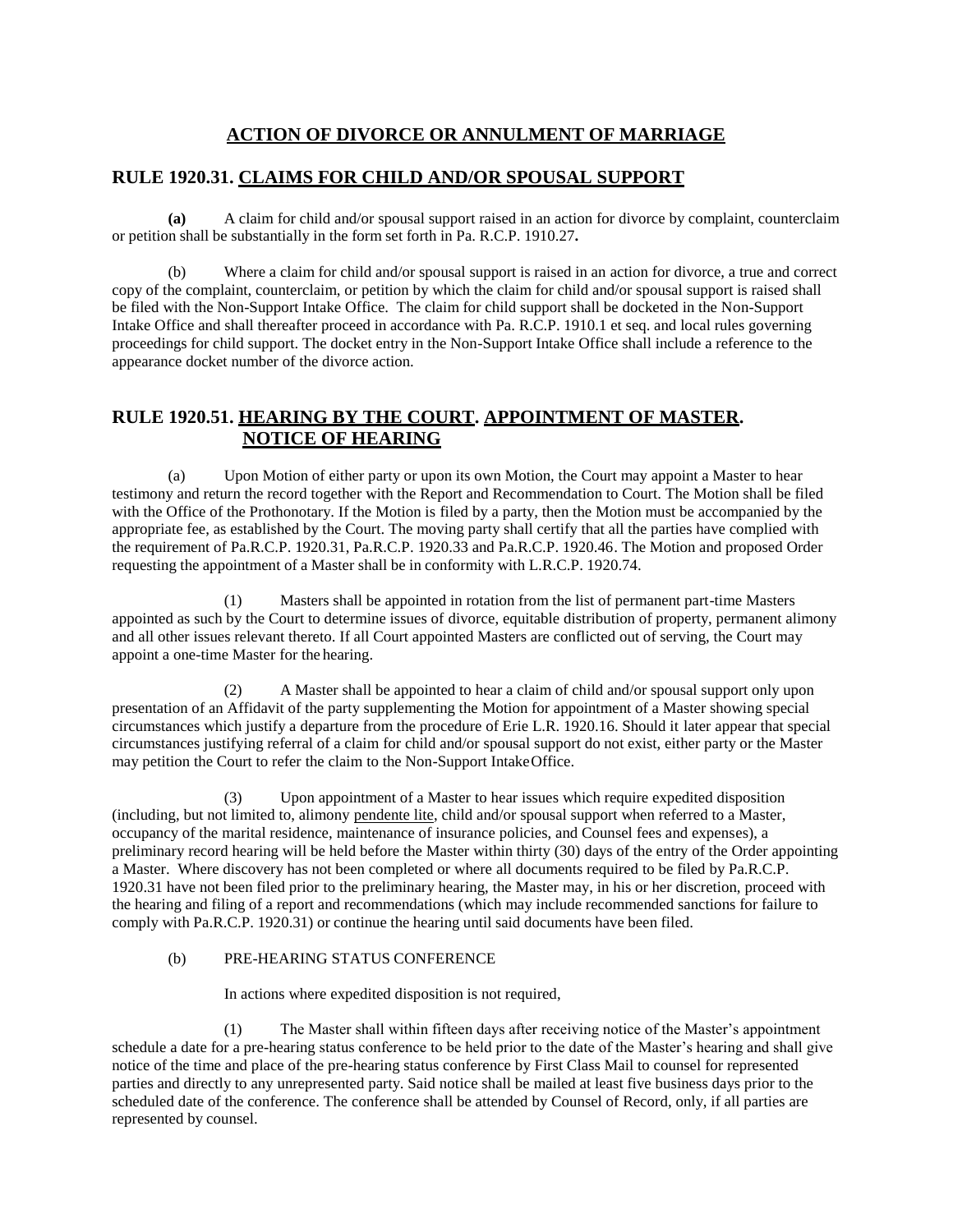# **ACTION OF DIVORCE OR ANNULMENT OF MARRIAGE**

### **RULE 1920.31. CLAIMS FOR CHILD AND/OR SPOUSAL SUPPORT**

**(a)** A claim for child and/or spousal support raised in an action for divorce by complaint, counterclaim or petition shall be substantially in the form set forth in Pa. R.C.P. 1910.27**.**

(b) Where a claim for child and/or spousal support is raised in an action for divorce, a true and correct copy of the complaint, counterclaim, or petition by which the claim for child and/or spousal support is raised shall be filed with the Non-Support Intake Office. The claim for child support shall be docketed in the Non-Support Intake Office and shall thereafter proceed in accordance with Pa. R.C.P. 1910.1 et seq. and local rules governing proceedings for child support. The docket entry in the Non-Support Intake Office shall include a reference to the appearance docket number of the divorce action.

# **RULE 1920.51. HEARING BY THE COURT. APPOINTMENT OF MASTER. NOTICE OF HEARING**

(a) Upon Motion of either party or upon its own Motion, the Court may appoint a Master to hear testimony and return the record together with the Report and Recommendation to Court. The Motion shall be filed with the Office of the Prothonotary. If the Motion is filed by a party, then the Motion must be accompanied by the appropriate fee, as established by the Court. The moving party shall certify that all the parties have complied with the requirement of Pa.R.C.P. 1920.31, Pa.R.C.P. 1920.33 and Pa.R.C.P. 1920.46. The Motion and proposed Order requesting the appointment of a Master shall be in conformity with L.R.C.P. 1920.74.

(1) Masters shall be appointed in rotation from the list of permanent part-time Masters appointed as such by the Court to determine issues of divorce, equitable distribution of property, permanent alimony and all other issues relevant thereto. If all Court appointed Masters are conflicted out of serving, the Court may appoint a one-time Master for the hearing.

(2) A Master shall be appointed to hear a claim of child and/or spousal support only upon presentation of an Affidavit of the party supplementing the Motion for appointment of a Master showing special circumstances which justify a departure from the procedure of Erie L.R. 1920.16. Should it later appear that special circumstances justifying referral of a claim for child and/or spousal support do not exist, either party or the Master may petition the Court to refer the claim to the Non-Support IntakeOffice.

(3) Upon appointment of a Master to hear issues which require expedited disposition (including, but not limited to, alimony pendente lite, child and/or spousal support when referred to a Master, occupancy of the marital residence, maintenance of insurance policies, and Counsel fees and expenses), a preliminary record hearing will be held before the Master within thirty (30) days of the entry of the Order appointing a Master. Where discovery has not been completed or where all documents required to be filed by Pa.R.C.P. 1920.31 have not been filed prior to the preliminary hearing, the Master may, in his or her discretion, proceed with the hearing and filing of a report and recommendations (which may include recommended sanctions for failure to comply with Pa.R.C.P. 1920.31) or continue the hearing until said documents have been filed.

#### (b) PRE-HEARING STATUS CONFERENCE

In actions where expedited disposition is not required,

(1) The Master shall within fifteen days after receiving notice of the Master's appointment schedule a date for a pre-hearing status conference to be held prior to the date of the Master's hearing and shall give notice of the time and place of the pre-hearing status conference by First Class Mail to counsel for represented parties and directly to any unrepresented party. Said notice shall be mailed at least five business days prior to the scheduled date of the conference. The conference shall be attended by Counsel of Record, only, if all parties are represented by counsel.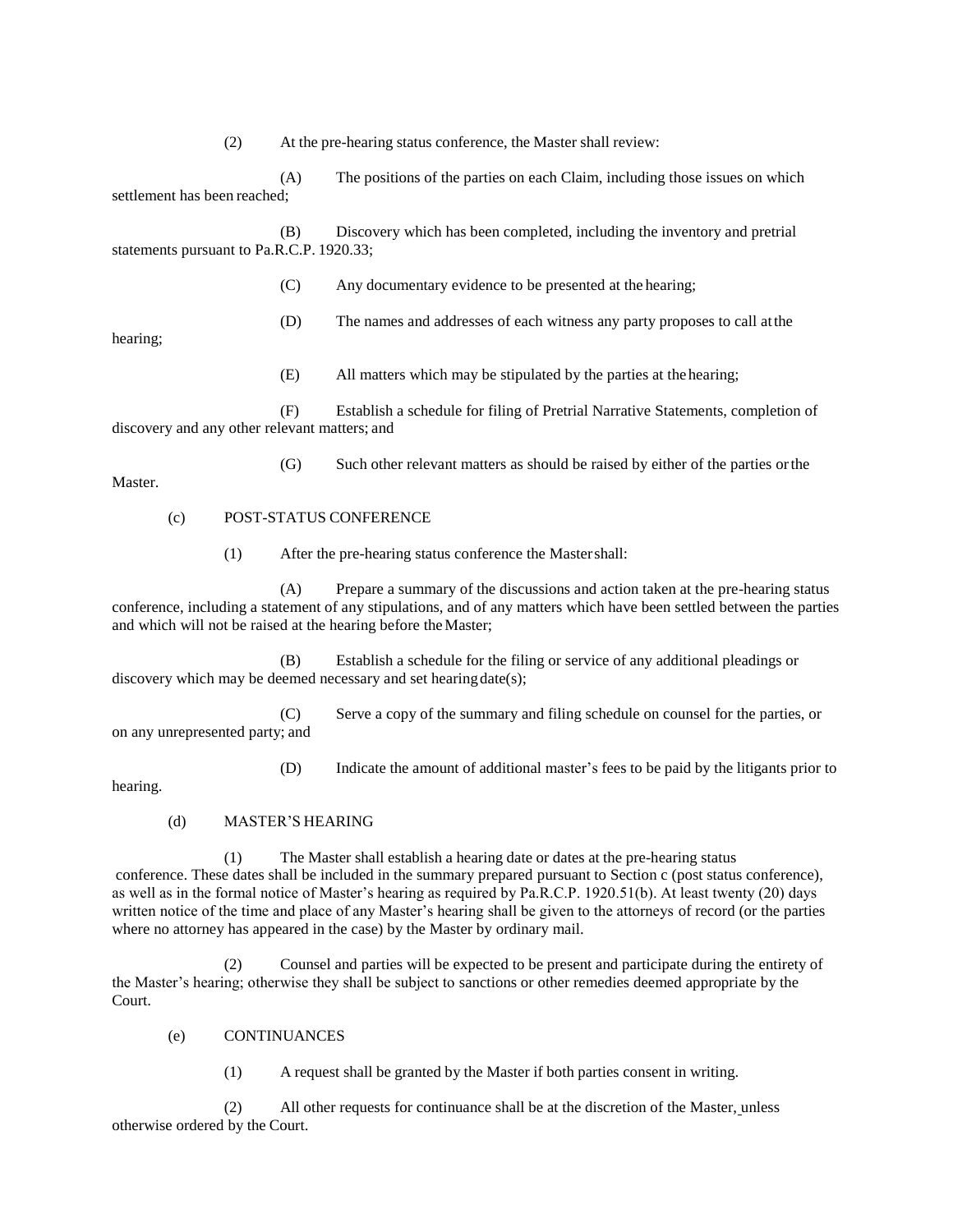(2) At the pre-hearing status conference, the Master shall review:

(A) The positions of the parties on each Claim, including those issues on which settlement has been reached;

(B) Discovery which has been completed, including the inventory and pretrial statements pursuant to Pa.R.C.P. 1920.33;

- (C) Any documentary evidence to be presented at the hearing;
- (D) The names and addresses of each witness any party proposes to call atthe

(G) Such other relevant matters as should be raised by either of the parties orthe

hearing;

(E) All matters which may be stipulated by the parties at thehearing;

(F) Establish a schedule for filing of Pretrial Narrative Statements, completion of discovery and any other relevant matters; and

Master.

#### (c) POST-STATUS CONFERENCE

(1) After the pre-hearing status conference the Mastershall:

(A) Prepare a summary of the discussions and action taken at the pre-hearing status conference, including a statement of any stipulations, and of any matters which have been settled between the parties and which will not be raised at the hearing before the Master;

(B) Establish a schedule for the filing or service of any additional pleadings or discovery which may be deemed necessary and set hearing date(s);

(C) Serve a copy of the summary and filing schedule on counsel for the parties, or on any unrepresented party; and

(D) Indicate the amount of additional master's fees to be paid by the litigants prior to

hearing.

#### (d) MASTER'S HEARING

(1) The Master shall establish a hearing date or dates at the pre-hearing status conference. These dates shall be included in the summary prepared pursuant to Section c (post status conference), as well as in the formal notice of Master's hearing as required by Pa.R.C.P. 1920.51(b). At least twenty (20) days written notice of the time and place of any Master's hearing shall be given to the attorneys of record (or the parties where no attorney has appeared in the case) by the Master by ordinary mail.

(2) Counsel and parties will be expected to be present and participate during the entirety of the Master's hearing; otherwise they shall be subject to sanctions or other remedies deemed appropriate by the Court.

#### (e) CONTINUANCES

(1) A request shall be granted by the Master if both parties consent in writing.

(2) All other requests for continuance shall be at the discretion of the Master, unless otherwise ordered by the Court.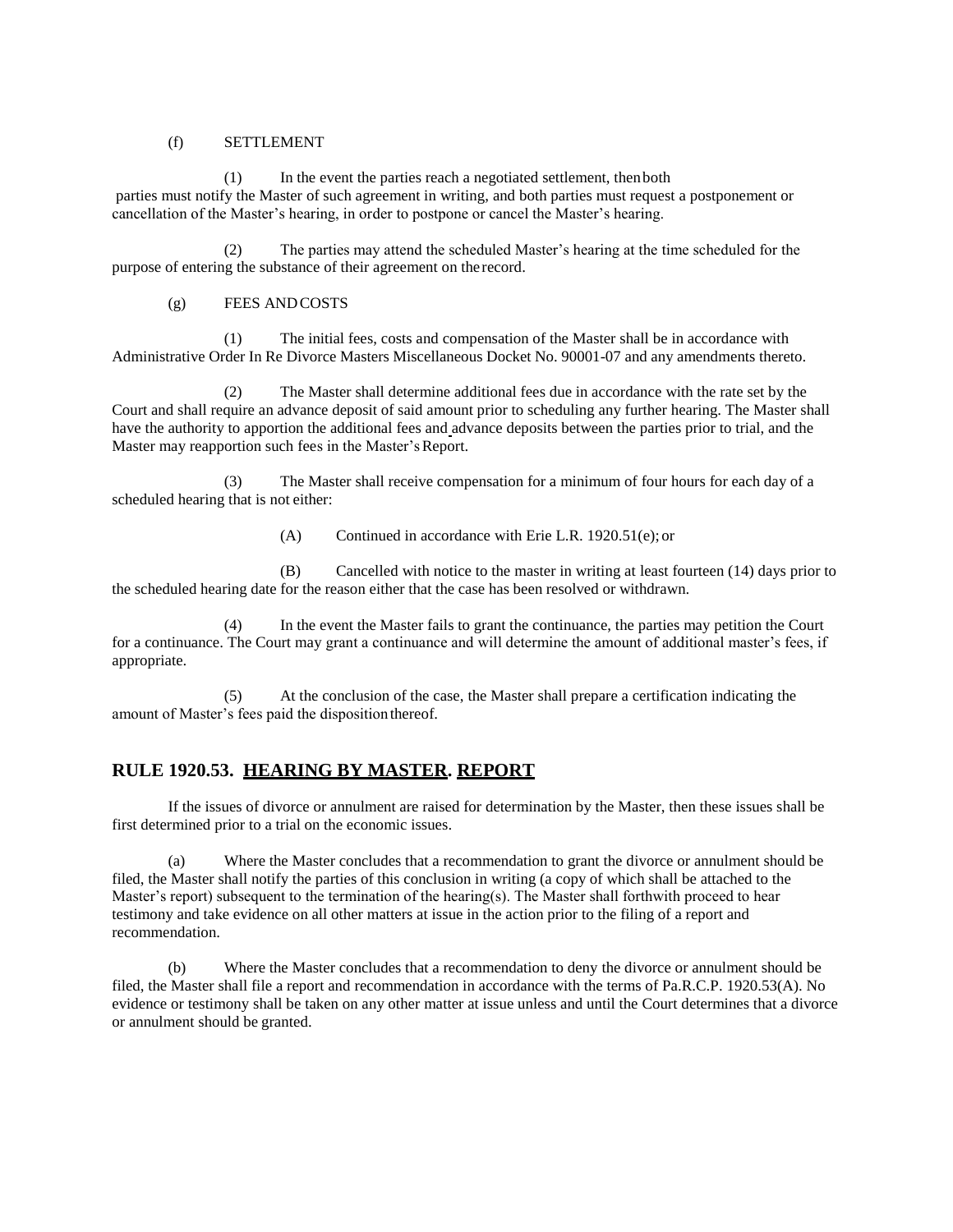#### (f) SETTLEMENT

(1) In the event the parties reach a negotiated settlement, thenboth parties must notify the Master of such agreement in writing, and both parties must request a postponement or cancellation of the Master's hearing, in order to postpone or cancel the Master's hearing.

(2) The parties may attend the scheduled Master's hearing at the time scheduled for the purpose of entering the substance of their agreement on the record.

#### (g) FEES ANDCOSTS

(1) The initial fees, costs and compensation of the Master shall be in accordance with Administrative Order In Re Divorce Masters Miscellaneous Docket No. 90001-07 and any amendments thereto.

(2) The Master shall determine additional fees due in accordance with the rate set by the Court and shall require an advance deposit of said amount prior to scheduling any further hearing. The Master shall have the authority to apportion the additional fees and advance deposits between the parties prior to trial, and the Master may reapportion such fees in the Master's Report.

(3) The Master shall receive compensation for a minimum of four hours for each day of a scheduled hearing that is not either:

(A) Continued in accordance with Erie L.R. 1920.51(e); or

(B) Cancelled with notice to the master in writing at least fourteen (14) days prior to the scheduled hearing date for the reason either that the case has been resolved or withdrawn.

(4) In the event the Master fails to grant the continuance, the parties may petition the Court for a continuance. The Court may grant a continuance and will determine the amount of additional master's fees, if appropriate.

(5) At the conclusion of the case, the Master shall prepare a certification indicating the amount of Master's fees paid the dispositionthereof.

# **RULE 1920.53. HEARING BY MASTER. REPORT**

If the issues of divorce or annulment are raised for determination by the Master, then these issues shall be first determined prior to a trial on the economic issues.

(a) Where the Master concludes that a recommendation to grant the divorce or annulment should be filed, the Master shall notify the parties of this conclusion in writing (a copy of which shall be attached to the Master's report) subsequent to the termination of the hearing(s). The Master shall forthwith proceed to hear testimony and take evidence on all other matters at issue in the action prior to the filing of a report and recommendation.

(b) Where the Master concludes that a recommendation to deny the divorce or annulment should be filed, the Master shall file a report and recommendation in accordance with the terms of Pa.R.C.P. 1920.53(A). No evidence or testimony shall be taken on any other matter at issue unless and until the Court determines that a divorce or annulment should be granted.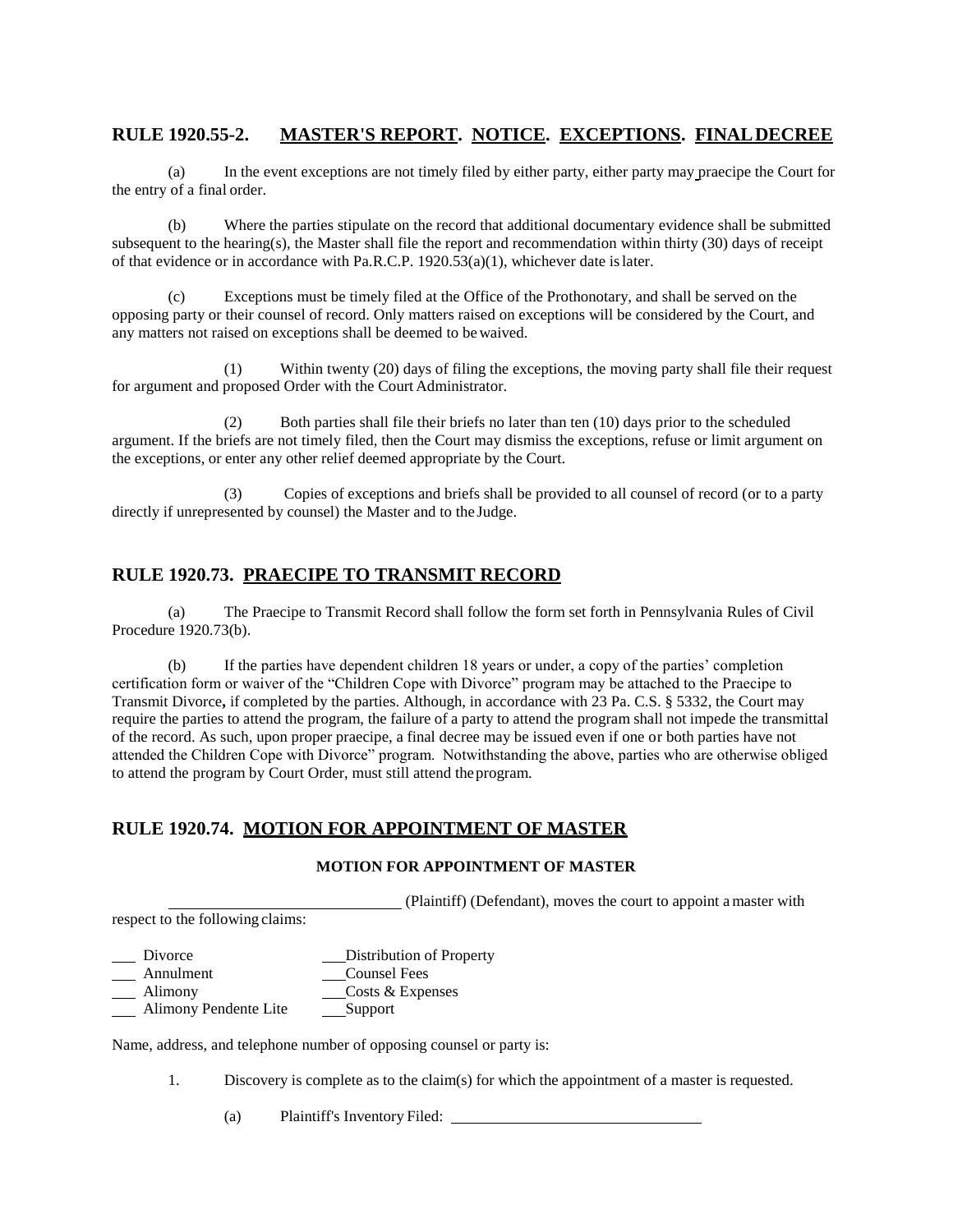# **RULE 1920.55-2. MASTER'S REPORT. NOTICE. EXCEPTIONS. FINALDECREE**

(a) In the event exceptions are not timely filed by either party, either party may praecipe the Court for the entry of a final order.

(b) Where the parties stipulate on the record that additional documentary evidence shall be submitted subsequent to the hearing(s), the Master shall file the report and recommendation within thirty (30) days of receipt of that evidence or in accordance with Pa.R.C.P. 1920.53(a)(1), whichever date islater.

(c) Exceptions must be timely filed at the Office of the Prothonotary, and shall be served on the opposing party or their counsel of record. Only matters raised on exceptions will be considered by the Court, and any matters not raised on exceptions shall be deemed to bewaived.

(1) Within twenty (20) days of filing the exceptions, the moving party shall file their request for argument and proposed Order with the Court Administrator.

(2) Both parties shall file their briefs no later than ten (10) days prior to the scheduled argument. If the briefs are not timely filed, then the Court may dismiss the exceptions, refuse or limit argument on the exceptions, or enter any other relief deemed appropriate by the Court.

(3) Copies of exceptions and briefs shall be provided to all counsel of record (or to a party directly if unrepresented by counsel) the Master and to the Judge.

#### **RULE 1920.73. PRAECIPE TO TRANSMIT RECORD**

(a) The Praecipe to Transmit Record shall follow the form set forth in Pennsylvania Rules of Civil Procedure 1920.73(b).

(b) If the parties have dependent children 18 years or under, a copy of the parties' completion certification form or waiver of the "Children Cope with Divorce" program may be attached to the Praecipe to Transmit Divorce**,** if completed by the parties. Although, in accordance with 23 Pa. C.S. § 5332, the Court may require the parties to attend the program, the failure of a party to attend the program shall not impede the transmittal of the record. As such, upon proper praecipe, a final decree may be issued even if one or both parties have not attended the Children Cope with Divorce" program. Notwithstanding the above, parties who are otherwise obliged to attend the program by Court Order, must still attend theprogram.

#### **RULE 1920.74. MOTION FOR APPOINTMENT OF MASTER**

#### **MOTION FOR APPOINTMENT OF MASTER**

(Plaintiff) (Defendant), moves the court to appoint amaster with respect to the following claims:

Divorce Distribution of Property

Annulment Counsel Fees

Alimony Costs & Expenses

Alimony Pendente Lite Support

Name, address, and telephone number of opposing counsel or party is:

1. Discovery is complete as to the claim(s) for which the appointment of a master is requested.

(a) Plaintiff's Inventory Filed: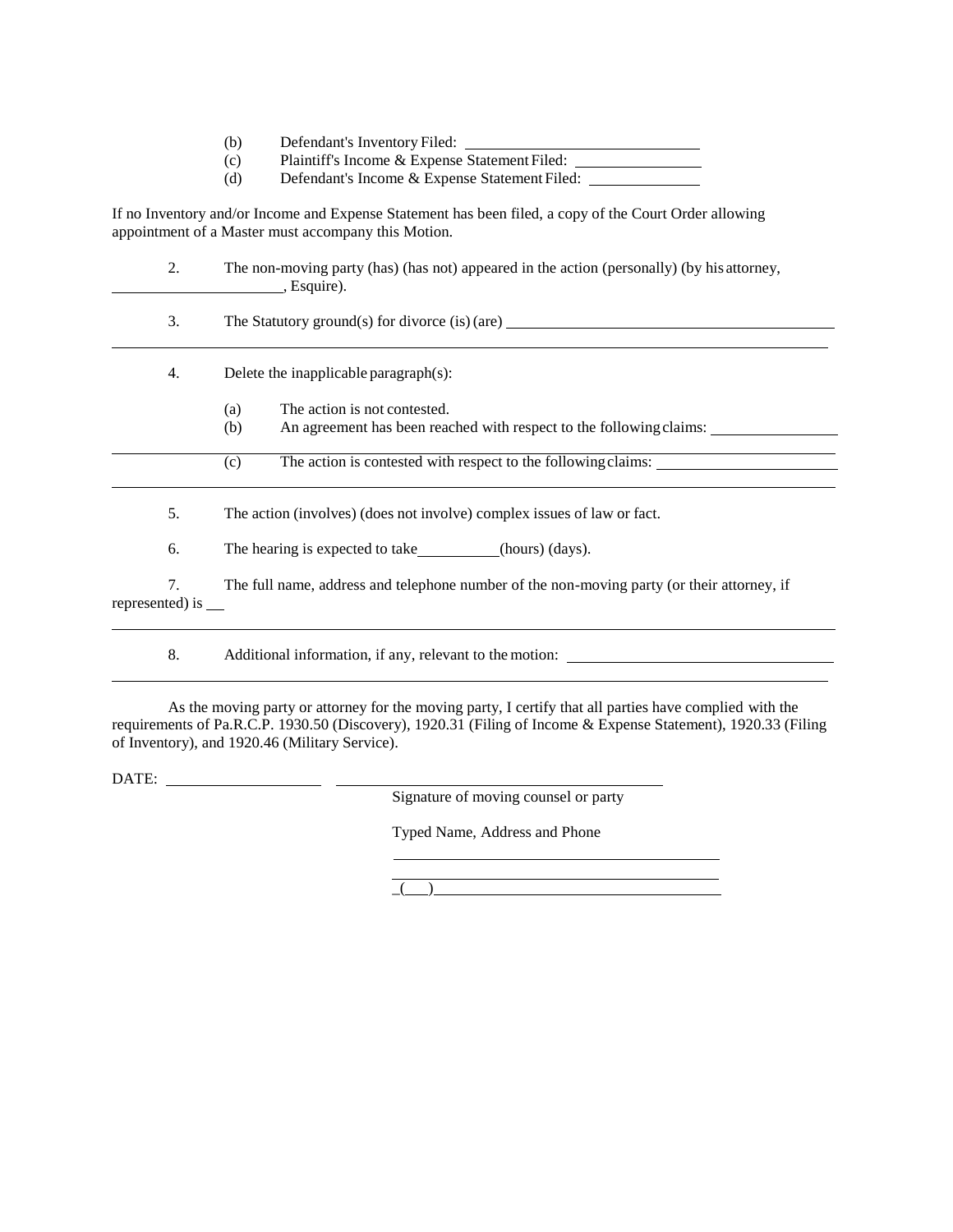- (b) Defendant's Inventory Filed:
- (c) Plaintiff's Income & Expense Statement Filed:
- (d) Defendant's Income & Expense Statement Filed:

If no Inventory and/or Income and Expense Statement has been filed, a copy of the Court Order allowing appointment of a Master must accompany this Motion.

| 2.                    | The non-moving party (has) (has not) appeared in the action (personally) (by his attorney,<br>$\overline{a}$ , Esquire). |
|-----------------------|--------------------------------------------------------------------------------------------------------------------------|
| 3.                    | The Statutory ground(s) for divorce (is) (are) _________________________________                                         |
| 4.                    | Delete the inapplicable paragraph $(s)$ :                                                                                |
|                       | The action is not contested.<br>(a)<br>(b)<br>An agreement has been reached with respect to the following claims:        |
|                       | The action is contested with respect to the following claims:<br>(c)                                                     |
| 5.                    | The action (involves) (does not involve) complex issues of law or fact.                                                  |
| 6.                    | The hearing is expected to take (hours) (days).                                                                          |
| 7.<br>represented) is | The full name, address and telephone number of the non-moving party (or their attorney, if                               |

8. Additional information, if any, relevant to the motion:

As the moving party or attorney for the moving party, I certify that all parties have complied with the requirements of Pa.R.C.P. 1930.50 (Discovery), 1920.31 (Filing of Income & Expense Statement), 1920.33 (Filing of Inventory), and 1920.46 (Military Service).

DATE:

Signature of moving counsel or party

Typed Name, Address and Phone

 $\overline{a}$  ) and the set of  $\overline{a}$  and  $\overline{a}$  and  $\overline{a}$  and  $\overline{a}$  and  $\overline{a}$  and  $\overline{a}$  and  $\overline{a}$  and  $\overline{a}$  and  $\overline{a}$  and  $\overline{a}$  and  $\overline{a}$  and  $\overline{a}$  and  $\overline{a}$  and  $\overline{a}$  and  $\overline{a}$  and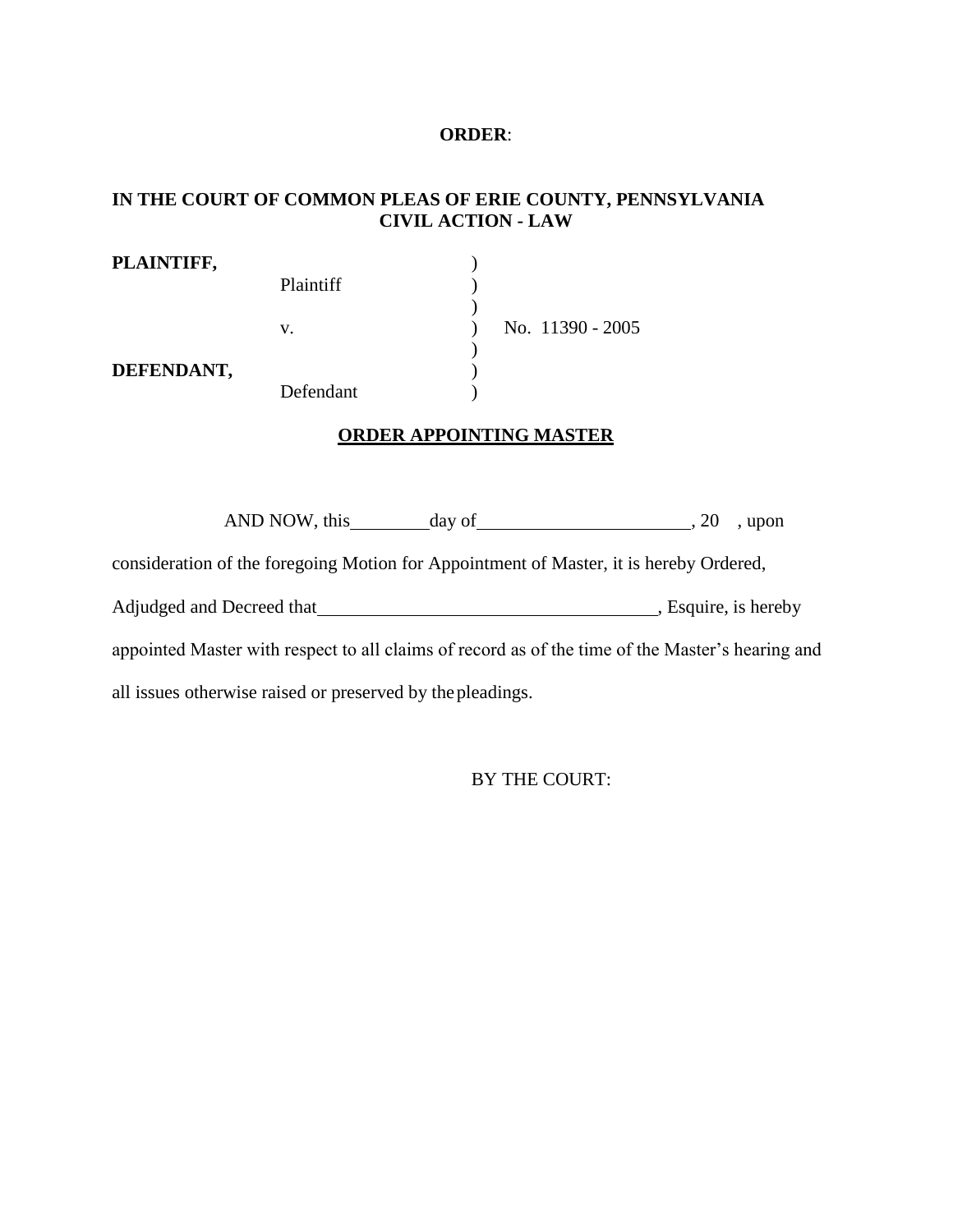#### **ORDER**:

# **IN THE COURT OF COMMON PLEAS OF ERIE COUNTY, PENNSYLVANIA CIVIL ACTION - LAW**

| PLAINTIFF, |                  |                  |
|------------|------------------|------------------|
|            | <b>Plaintiff</b> |                  |
|            |                  |                  |
|            | v.               | No. 11390 - 2005 |
|            |                  |                  |
| DEFENDANT, |                  |                  |
|            | Defendant        |                  |

# **ORDER APPOINTING MASTER**

AND NOW, this day of 3.20 , upon

consideration of the foregoing Motion for Appointment of Master, it is hereby Ordered,

Adjudged and Decreed that **Same Community**, Esquire, is hereby

appointed Master with respect to all claims of record as of the time of the Master's hearing and

all issues otherwise raised or preserved by thepleadings.

BY THE COURT: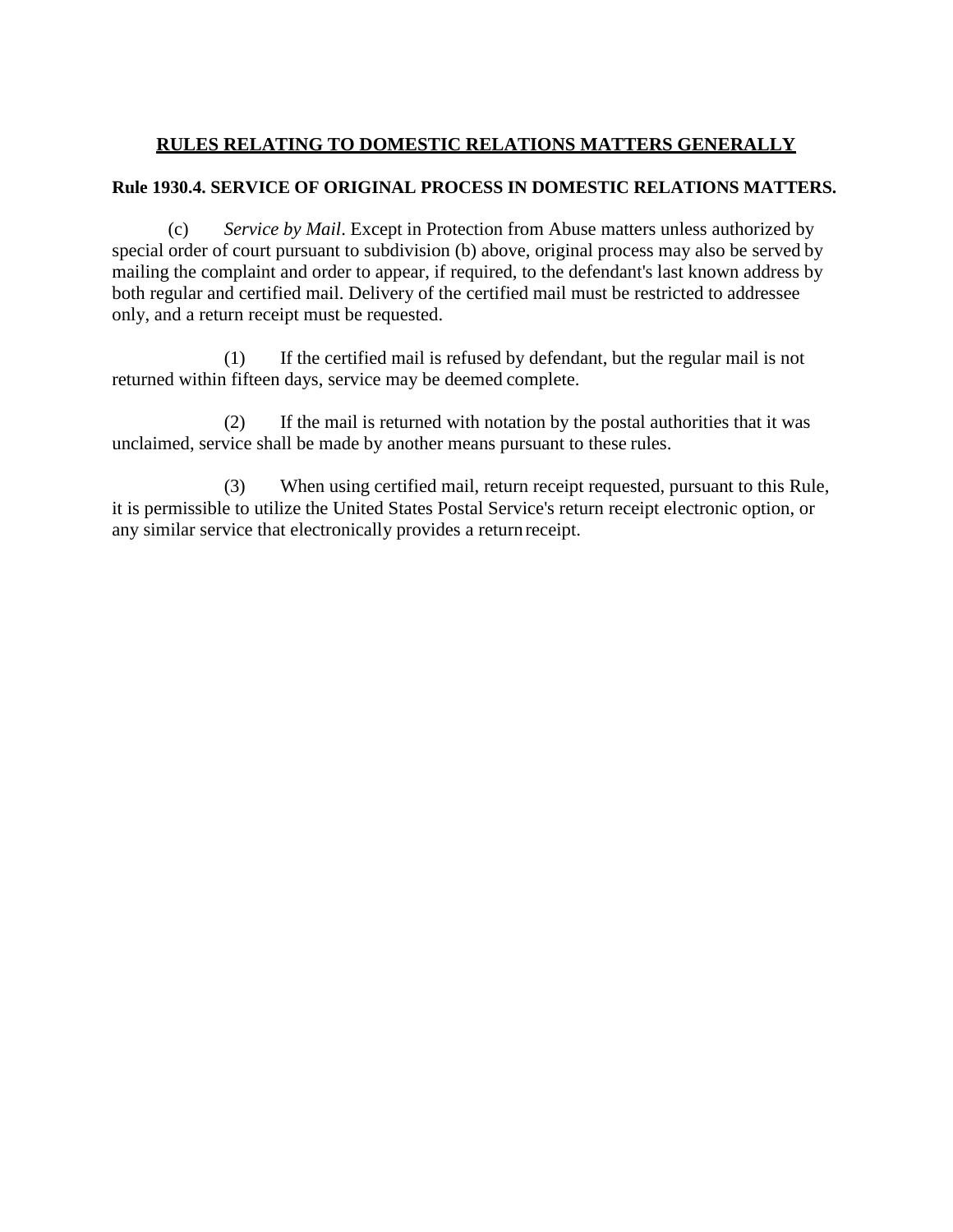# **RULES RELATING TO DOMESTIC RELATIONS MATTERS GENERALLY**

# **Rule 1930.4. SERVICE OF ORIGINAL PROCESS IN DOMESTIC RELATIONS MATTERS.**

(c) *Service by Mail*. Except in Protection from Abuse matters unless authorized by special order of court pursuant to subdivision (b) above, original process may also be served by mailing the complaint and order to appear, if required, to the defendant's last known address by both regular and certified mail. Delivery of the certified mail must be restricted to addressee only, and a return receipt must be requested.

(1) If the certified mail is refused by defendant, but the regular mail is not returned within fifteen days, service may be deemed complete.

(2) If the mail is returned with notation by the postal authorities that it was unclaimed, service shall be made by another means pursuant to these rules.

(3) When using certified mail, return receipt requested, pursuant to this Rule, it is permissible to utilize the United States Postal Service's return receipt electronic option, or any similar service that electronically provides a return receipt.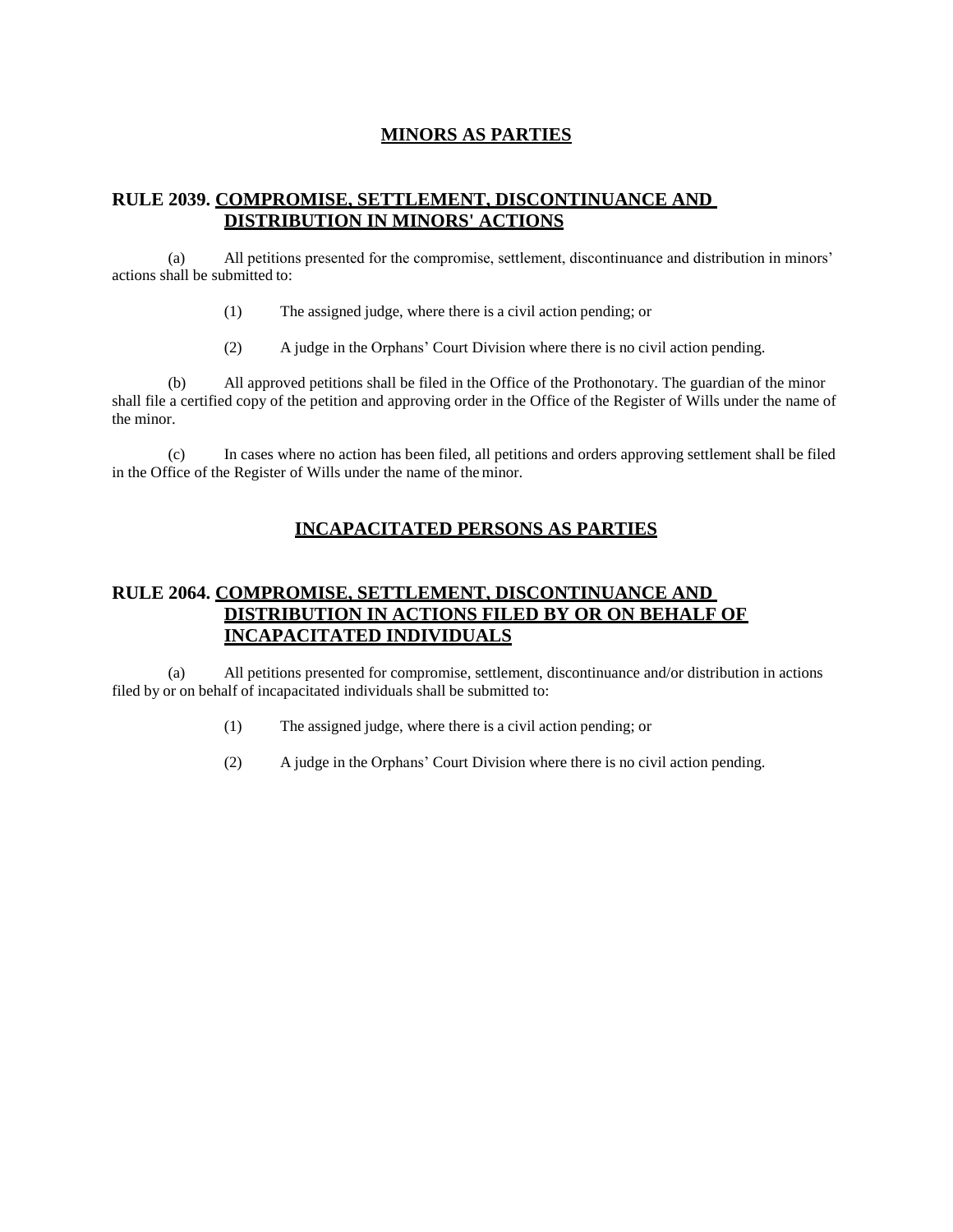# **MINORS AS PARTIES**

# **RULE 2039. COMPROMISE, SETTLEMENT, DISCONTINUANCE AND DISTRIBUTION IN MINORS' ACTIONS**

(a) All petitions presented for the compromise, settlement, discontinuance and distribution in minors' actions shall be submitted to:

- (1) The assigned judge, where there is a civil action pending; or
- (2) A judge in the Orphans' Court Division where there is no civil action pending.

(b) All approved petitions shall be filed in the Office of the Prothonotary. The guardian of the minor shall file a certified copy of the petition and approving order in the Office of the Register of Wills under the name of the minor.

(c) In cases where no action has been filed, all petitions and orders approving settlement shall be filed in the Office of the Register of Wills under the name of theminor.

# **INCAPACITATED PERSONS AS PARTIES**

# **RULE 2064. COMPROMISE, SETTLEMENT, DISCONTINUANCE AND DISTRIBUTION IN ACTIONS FILED BY OR ON BEHALF OF INCAPACITATED INDIVIDUALS**

(a) All petitions presented for compromise, settlement, discontinuance and/or distribution in actions filed by or on behalf of incapacitated individuals shall be submitted to:

- (1) The assigned judge, where there is a civil action pending; or
- (2) A judge in the Orphans' Court Division where there is no civil action pending.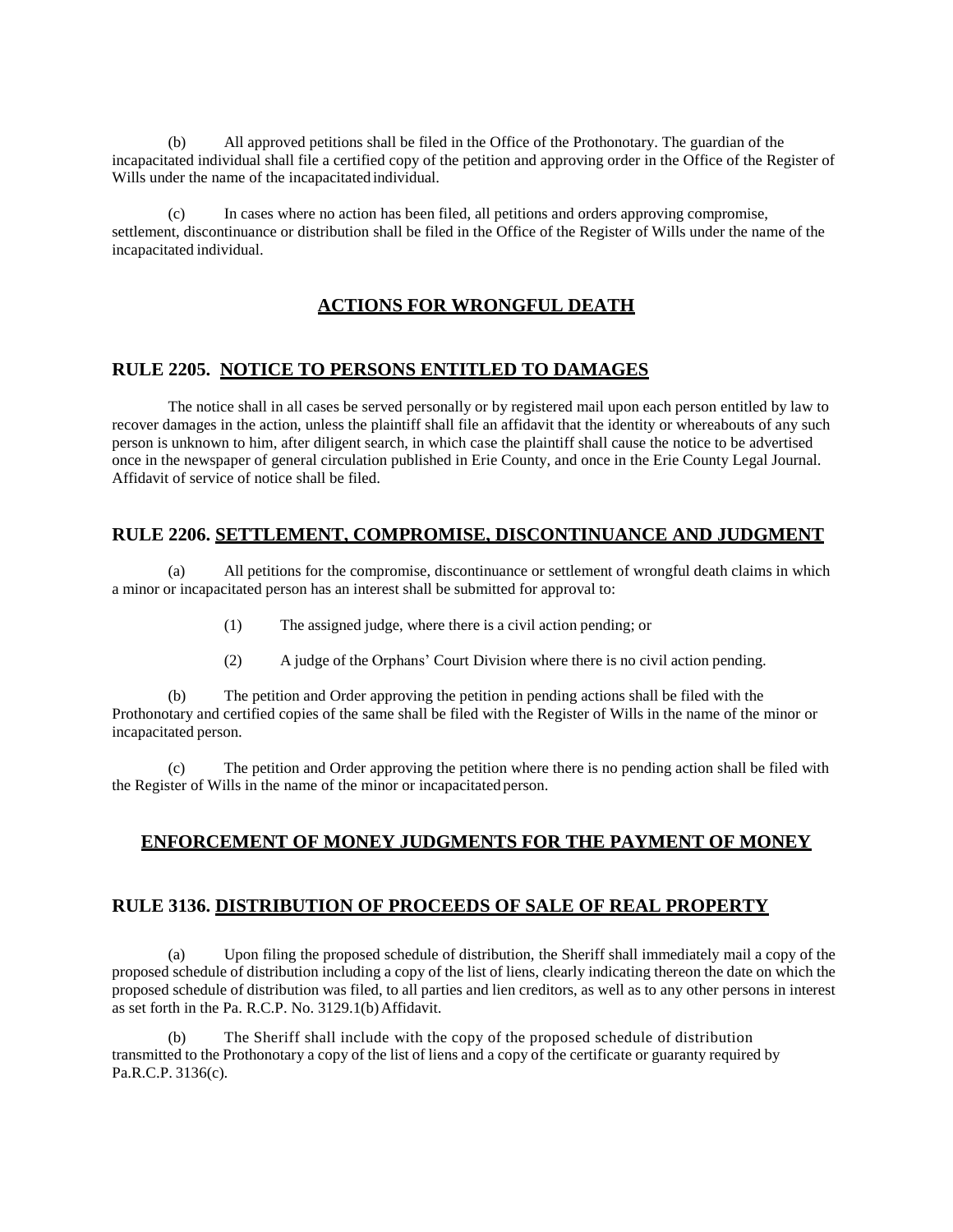(b) All approved petitions shall be filed in the Office of the Prothonotary. The guardian of the incapacitated individual shall file a certified copy of the petition and approving order in the Office of the Register of Wills under the name of the incapacitated individual.

(c) In cases where no action has been filed, all petitions and orders approving compromise, settlement, discontinuance or distribution shall be filed in the Office of the Register of Wills under the name of the incapacitated individual.

#### **ACTIONS FOR WRONGFUL DEATH**

#### **RULE 2205. NOTICE TO PERSONS ENTITLED TO DAMAGES**

The notice shall in all cases be served personally or by registered mail upon each person entitled by law to recover damages in the action, unless the plaintiff shall file an affidavit that the identity or whereabouts of any such person is unknown to him, after diligent search, in which case the plaintiff shall cause the notice to be advertised once in the newspaper of general circulation published in Erie County, and once in the Erie County Legal Journal. Affidavit of service of notice shall be filed.

#### **RULE 2206. SETTLEMENT, COMPROMISE, DISCONTINUANCE AND JUDGMENT**

(a) All petitions for the compromise, discontinuance or settlement of wrongful death claims in which a minor or incapacitated person has an interest shall be submitted for approval to:

- (1) The assigned judge, where there is a civil action pending; or
- (2) A judge of the Orphans' Court Division where there is no civil action pending.

(b) The petition and Order approving the petition in pending actions shall be filed with the Prothonotary and certified copies of the same shall be filed with the Register of Wills in the name of the minor or incapacitated person.

(c) The petition and Order approving the petition where there is no pending action shall be filed with the Register of Wills in the name of the minor or incapacitated person.

#### **ENFORCEMENT OF MONEY JUDGMENTS FOR THE PAYMENT OF MONEY**

#### **RULE 3136. DISTRIBUTION OF PROCEEDS OF SALE OF REAL PROPERTY**

(a) Upon filing the proposed schedule of distribution, the Sheriff shall immediately mail a copy of the proposed schedule of distribution including a copy of the list of liens, clearly indicating thereon the date on which the proposed schedule of distribution was filed, to all parties and lien creditors, as well as to any other persons in interest as set forth in the Pa. R.C.P. No. 3129.1(b)Affidavit.

(b) The Sheriff shall include with the copy of the proposed schedule of distribution transmitted to the Prothonotary a copy of the list of liens and a copy of the certificate or guaranty required by Pa.R.C.P. 3136(c).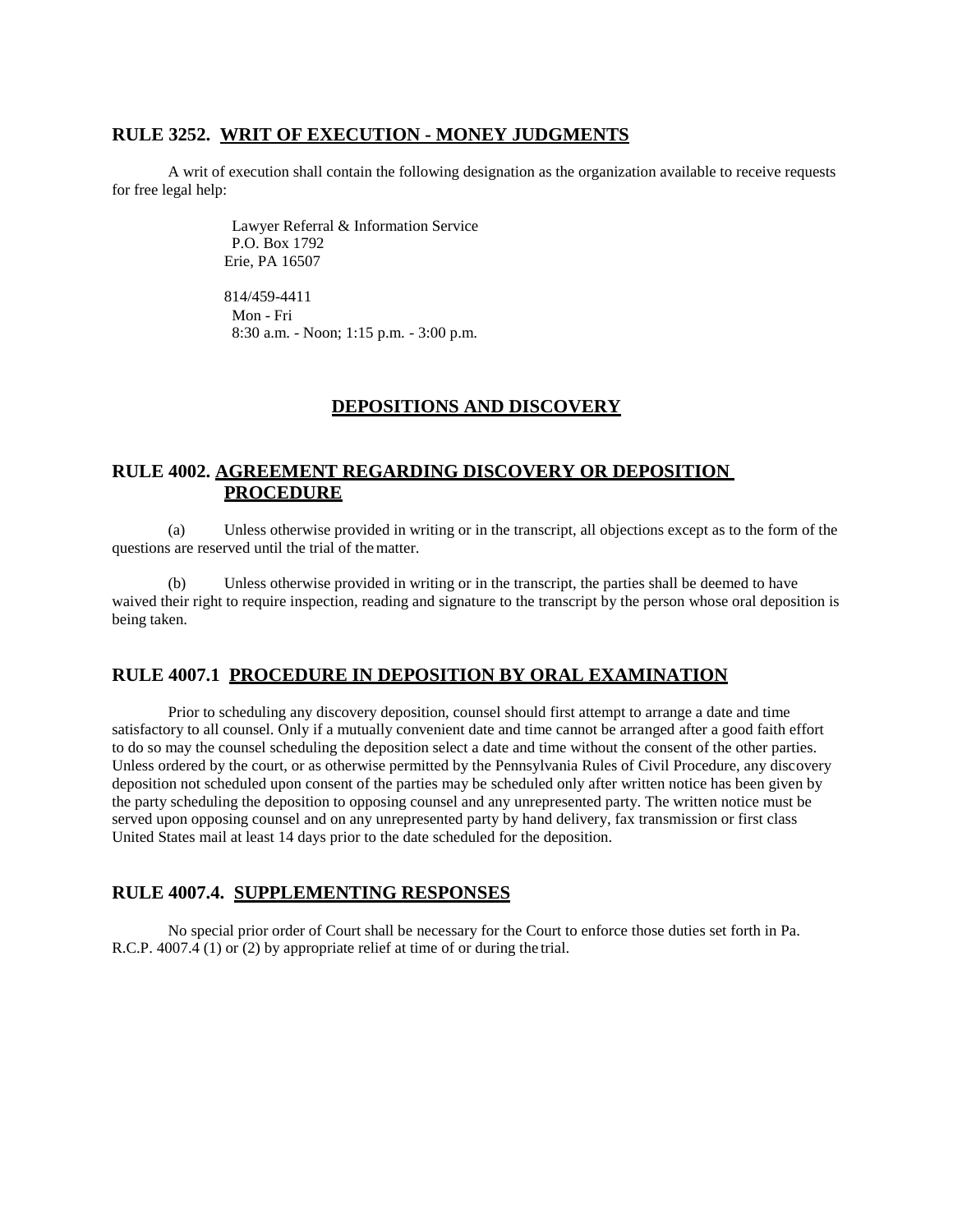#### **RULE 3252. WRIT OF EXECUTION - MONEY JUDGMENTS**

A writ of execution shall contain the following designation as the organization available to receive requests for free legal help:

> Lawyer Referral & Information Service P.O. Box 1792 Erie, PA 16507

> 814/459-4411 Mon - Fri 8:30 a.m. - Noon; 1:15 p.m. - 3:00 p.m.

#### **DEPOSITIONS AND DISCOVERY**

# **RULE 4002. AGREEMENT REGARDING DISCOVERY OR DEPOSITION PROCEDURE**

(a) Unless otherwise provided in writing or in the transcript, all objections except as to the form of the questions are reserved until the trial of thematter.

(b) Unless otherwise provided in writing or in the transcript, the parties shall be deemed to have waived their right to require inspection, reading and signature to the transcript by the person whose oral deposition is being taken.

# **RULE 4007.1 PROCEDURE IN DEPOSITION BY ORAL EXAMINATION**

Prior to scheduling any discovery deposition, counsel should first attempt to arrange a date and time satisfactory to all counsel. Only if a mutually convenient date and time cannot be arranged after a good faith effort to do so may the counsel scheduling the deposition select a date and time without the consent of the other parties. Unless ordered by the court, or as otherwise permitted by the Pennsylvania Rules of Civil Procedure, any discovery deposition not scheduled upon consent of the parties may be scheduled only after written notice has been given by the party scheduling the deposition to opposing counsel and any unrepresented party. The written notice must be served upon opposing counsel and on any unrepresented party by hand delivery, fax transmission or first class United States mail at least 14 days prior to the date scheduled for the deposition.

#### **RULE 4007.4. SUPPLEMENTING RESPONSES**

No special prior order of Court shall be necessary for the Court to enforce those duties set forth in Pa. R.C.P. 4007.4 (1) or (2) by appropriate relief at time of or during the trial.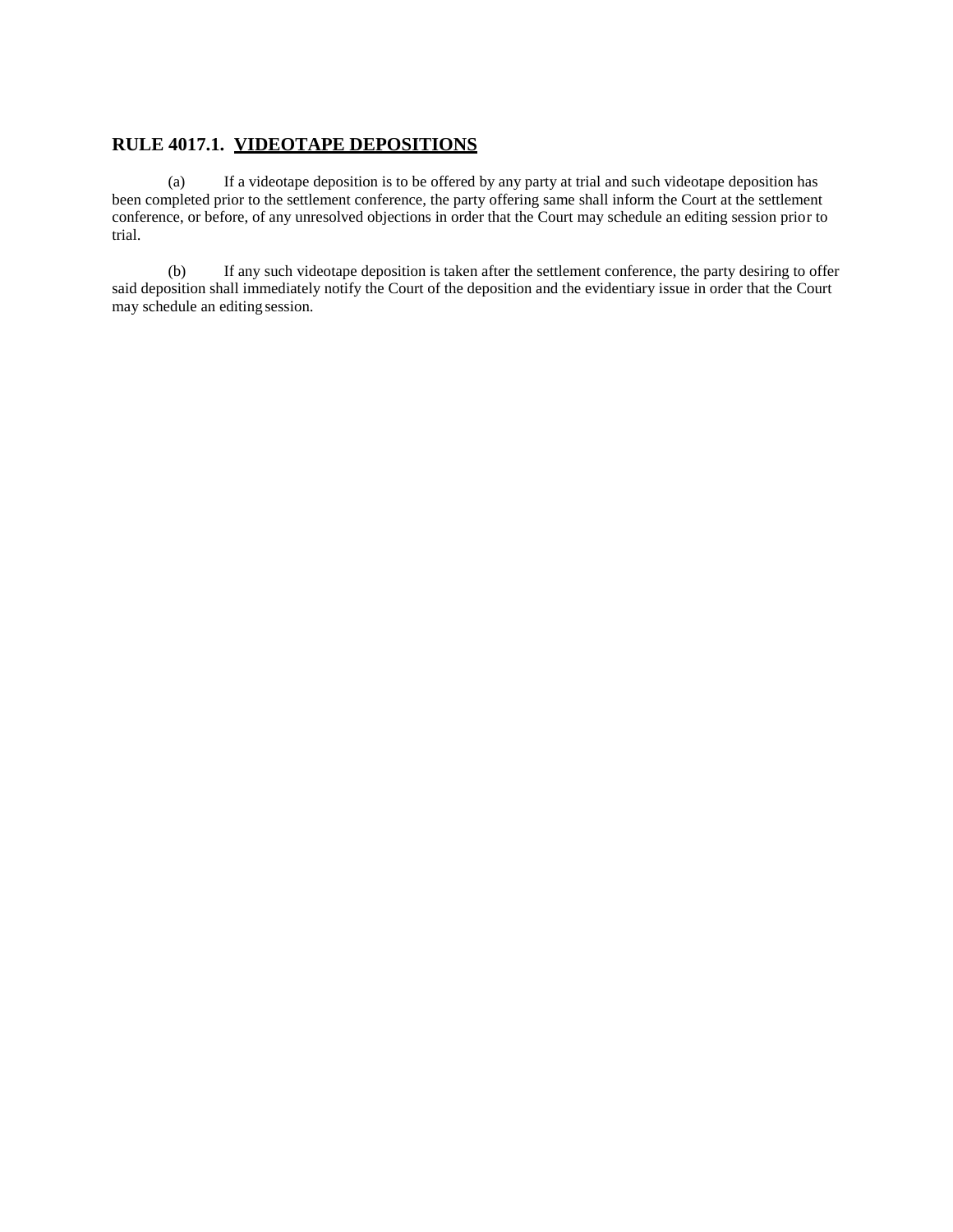# **RULE 4017.1. VIDEOTAPE DEPOSITIONS**

(a) If a videotape deposition is to be offered by any party at trial and such videotape deposition has been completed prior to the settlement conference, the party offering same shall inform the Court at the settlement conference, or before, of any unresolved objections in order that the Court may schedule an editing session prior to trial.

(b) If any such videotape deposition is taken after the settlement conference, the party desiring to offer said deposition shall immediately notify the Court of the deposition and the evidentiary issue in order that the Court may schedule an editing session.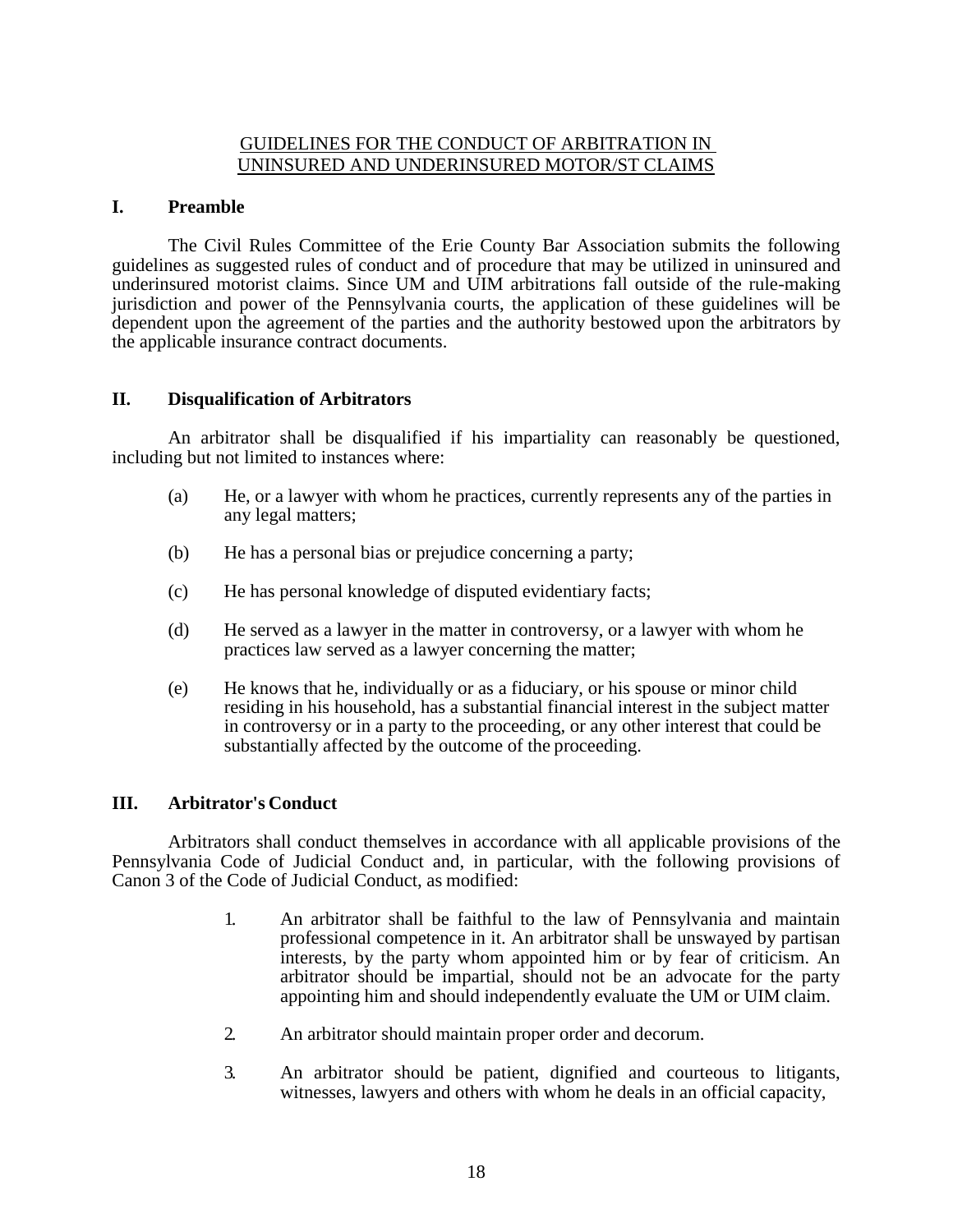### GUIDELINES FOR THE CONDUCT OF ARBITRATION IN UNINSURED AND UNDERINSURED MOTOR/ST CLAIMS

### **I. Preamble**

The Civil Rules Committee of the Erie County Bar Association submits the following guidelines as suggested rules of conduct and of procedure that may be utilized in uninsured and underinsured motorist claims. Since UM and UIM arbitrations fall outside of the rule-making jurisdiction and power of the Pennsylvania courts, the application of these guidelines will be dependent upon the agreement of the parties and the authority bestowed upon the arbitrators by the applicable insurance contract documents.

### **II. Disqualification of Arbitrators**

An arbitrator shall be disqualified if his impartiality can reasonably be questioned, including but not limited to instances where:

- (a) He, or a lawyer with whom he practices, currently represents any of the parties in any legal matters;
- (b) He has a personal bias or prejudice concerning a party;
- (c) He has personal knowledge of disputed evidentiary facts;
- (d) He served as a lawyer in the matter in controversy, or a lawyer with whom he practices law served as a lawyer concerning the matter;
- (e) He knows that he, individually or as a fiduciary, or his spouse or minor child residing in his household, has a substantial financial interest in the subject matter in controversy or in a party to the proceeding, or any other interest that could be substantially affected by the outcome of the proceeding.

# **III. Arbitrator's Conduct**

Arbitrators shall conduct themselves in accordance with all applicable provisions of the Pennsylvania Code of Judicial Conduct and, in particular, with the following provisions of Canon 3 of the Code of Judicial Conduct, as modified:

- 1. An arbitrator shall be faithful to the law of Pennsylvania and maintain professional competence in it. An arbitrator shall be unswayed by partisan interests, by the party whom appointed him or by fear of criticism. An arbitrator should be impartial, should not be an advocate for the party appointing him and should independently evaluate the UM or UIM claim.
- 2. An arbitrator should maintain proper order and decorum.
- 3. An arbitrator should be patient, dignified and courteous to litigants, witnesses, lawyers and others with whom he deals in an official capacity,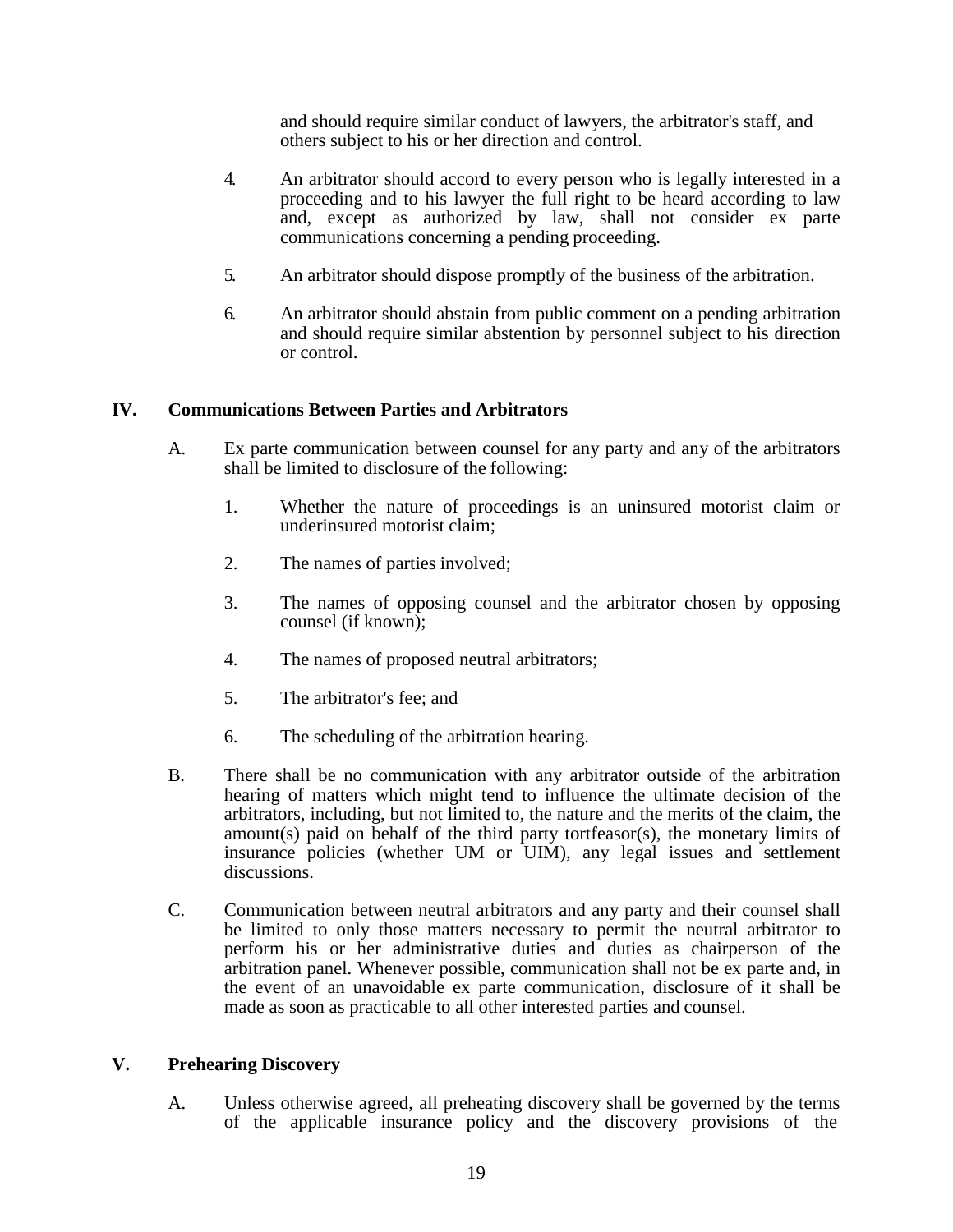and should require similar conduct of lawyers, the arbitrator's staff, and others subject to his or her direction and control.

- 4. An arbitrator should accord to every person who is legally interested in a proceeding and to his lawyer the full right to be heard according to law and, except as authorized by law, shall not consider ex parte communications concerning a pending proceeding.
- 5. An arbitrator should dispose promptly of the business of the arbitration.
- 6. An arbitrator should abstain from public comment on a pending arbitration and should require similar abstention by personnel subject to his direction or control.

# **IV. Communications Between Parties and Arbitrators**

- A. Ex parte communication between counsel for any party and any of the arbitrators shall be limited to disclosure of the following:
	- 1. Whether the nature of proceedings is an uninsured motorist claim or underinsured motorist claim;
	- 2. The names of parties involved;
	- 3. The names of opposing counsel and the arbitrator chosen by opposing counsel (if known);
	- 4. The names of proposed neutral arbitrators;
	- 5. The arbitrator's fee; and
	- 6. The scheduling of the arbitration hearing.
- B. There shall be no communication with any arbitrator outside of the arbitration hearing of matters which might tend to influence the ultimate decision of the arbitrators, including, but not limited to, the nature and the merits of the claim, the amount(s) paid on behalf of the third party tortfeasor(s), the monetary limits of insurance policies (whether UM or UIM), any legal issues and settlement discussions.
- C. Communication between neutral arbitrators and any party and their counsel shall be limited to only those matters necessary to permit the neutral arbitrator to perform his or her administrative duties and duties as chairperson of the arbitration panel. Whenever possible, communication shall not be ex parte and, in the event of an unavoidable ex parte communication, disclosure of it shall be made as soon as practicable to all other interested parties and counsel.

# **V. Prehearing Discovery**

A. Unless otherwise agreed, all preheating discovery shall be governed by the terms of the applicable insurance policy and the discovery provisions of the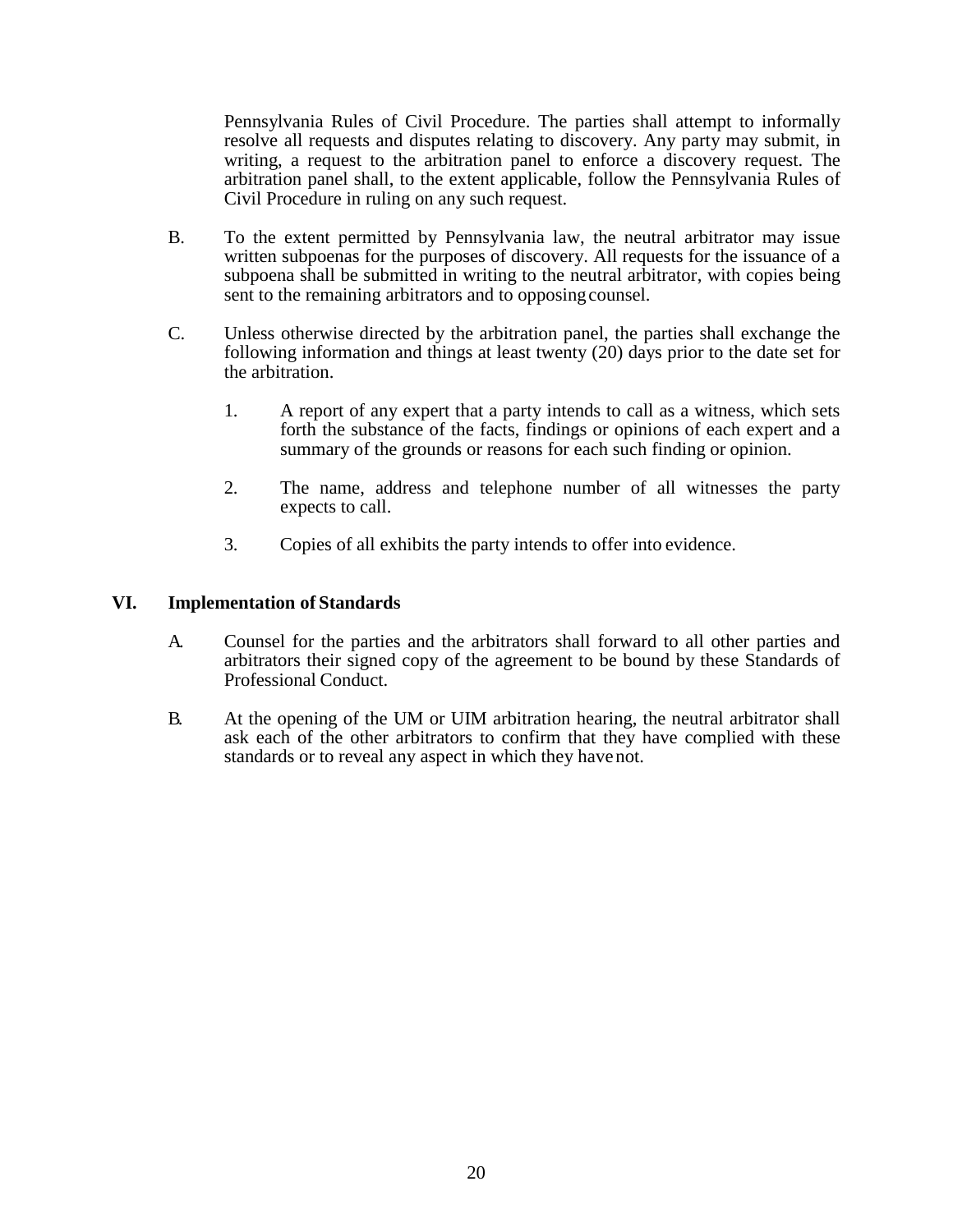Pennsylvania Rules of Civil Procedure. The parties shall attempt to informally resolve all requests and disputes relating to discovery. Any party may submit, in writing, a request to the arbitration panel to enforce a discovery request. The arbitration panel shall, to the extent applicable, follow the Pennsylvania Rules of Civil Procedure in ruling on any such request.

- B. To the extent permitted by Pennsylvania law, the neutral arbitrator may issue written subpoenas for the purposes of discovery. All requests for the issuance of a subpoena shall be submitted in writing to the neutral arbitrator, with copies being sent to the remaining arbitrators and to opposing counsel.
- C. Unless otherwise directed by the arbitration panel, the parties shall exchange the following information and things at least twenty (20) days prior to the date set for the arbitration.
	- 1. A report of any expert that a party intends to call as a witness, which sets forth the substance of the facts, findings or opinions of each expert and a summary of the grounds or reasons for each such finding or opinion.
	- 2. The name, address and telephone number of all witnesses the party expects to call.
	- 3. Copies of all exhibits the party intends to offer into evidence.

# **VI. Implementation of Standards**

- A. Counsel for the parties and the arbitrators shall forward to all other parties and arbitrators their signed copy of the agreement to be bound by these Standards of Professional Conduct.
- B. At the opening of the UM or UIM arbitration hearing, the neutral arbitrator shall ask each of the other arbitrators to confirm that they have complied with these standards or to reveal any aspect in which they have not.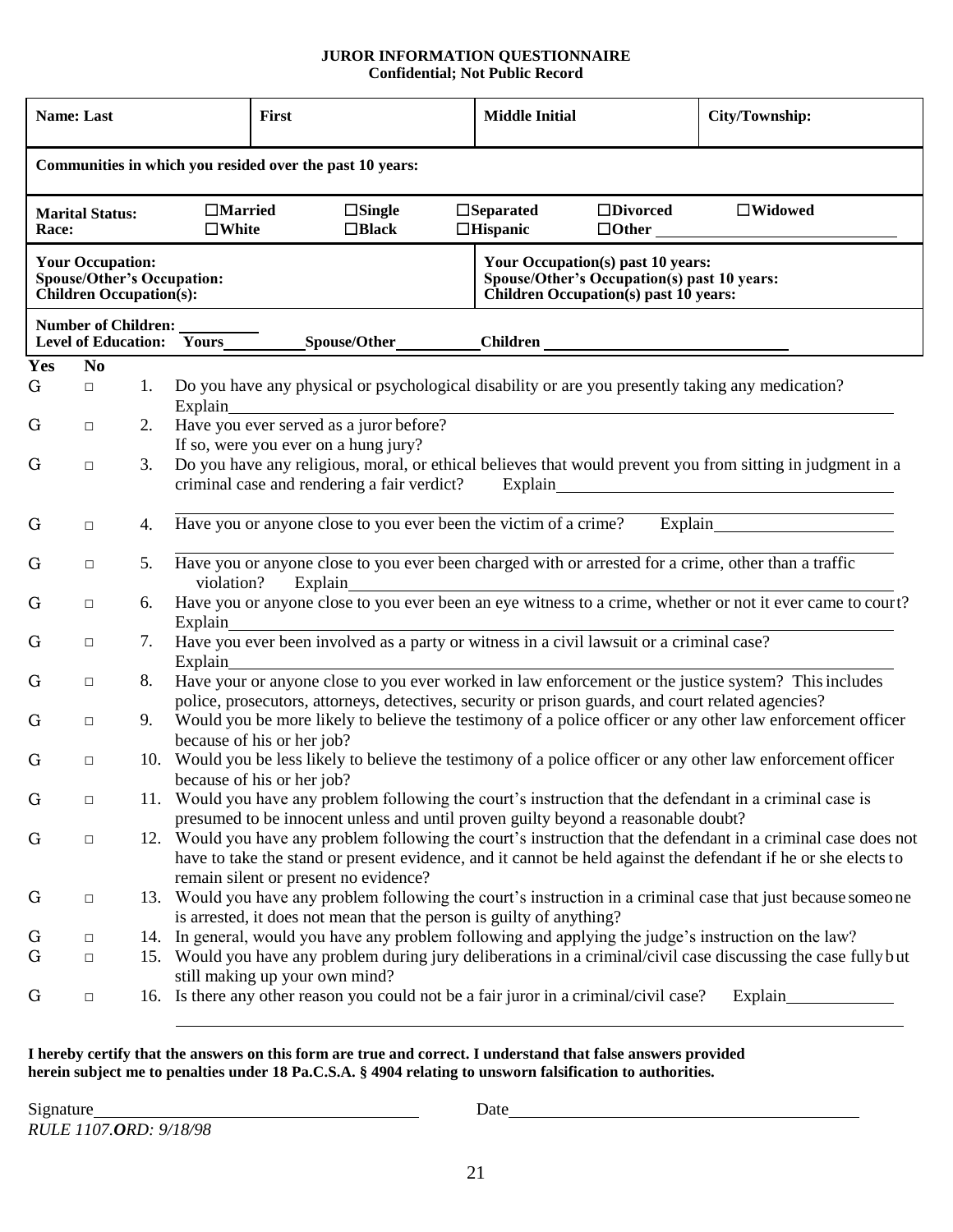#### **JUROR INFORMATION QUESTIONNAIRE Confidential; Not Public Record**

| <b>Name: Last</b>                                                                                                                                                                         |                                                          |     | <b>First</b>                                                                                                                                                         |         | <b>Middle Initial</b>                                                                              |                                                                                                                             | City/Township:                                                                                                                                                                                                                    |
|-------------------------------------------------------------------------------------------------------------------------------------------------------------------------------------------|----------------------------------------------------------|-----|----------------------------------------------------------------------------------------------------------------------------------------------------------------------|---------|----------------------------------------------------------------------------------------------------|-----------------------------------------------------------------------------------------------------------------------------|-----------------------------------------------------------------------------------------------------------------------------------------------------------------------------------------------------------------------------------|
|                                                                                                                                                                                           | Communities in which you resided over the past 10 years: |     |                                                                                                                                                                      |         |                                                                                                    |                                                                                                                             |                                                                                                                                                                                                                                   |
| $\Box$ Married<br>$\Box$ Separated<br>$\Box$ Divorced<br>$\square$ Single<br><b>Marital Status:</b><br>$\square$ White<br>$\Box$ Black<br>$\Box$ Hispanic<br>$\Box$ Other<br><b>Race:</b> |                                                          |     |                                                                                                                                                                      |         | $\Box$ Widowed                                                                                     |                                                                                                                             |                                                                                                                                                                                                                                   |
| <b>Your Occupation:</b><br><b>Spouse/Other's Occupation:</b><br><b>Children Occupation(s):</b>                                                                                            |                                                          |     |                                                                                                                                                                      |         |                                                                                                    | Your Occupation(s) past 10 years:<br>Spouse/Other's Occupation(s) past 10 years:<br>Children Occupation(s) past $10$ years: |                                                                                                                                                                                                                                   |
|                                                                                                                                                                                           | Number of Children:                                      |     |                                                                                                                                                                      |         |                                                                                                    |                                                                                                                             |                                                                                                                                                                                                                                   |
| Yes                                                                                                                                                                                       | N <sub>0</sub>                                           |     |                                                                                                                                                                      |         |                                                                                                    |                                                                                                                             |                                                                                                                                                                                                                                   |
| G                                                                                                                                                                                         | $\Box$                                                   | 1.  | Do you have any physical or psychological disability or are you presently taking any medication?<br>Explain                                                          |         |                                                                                                    |                                                                                                                             |                                                                                                                                                                                                                                   |
| G                                                                                                                                                                                         | $\Box$                                                   | 2.  | Have you ever served as a juror before?<br>If so, were you ever on a hung jury?                                                                                      |         |                                                                                                    |                                                                                                                             |                                                                                                                                                                                                                                   |
| G                                                                                                                                                                                         | $\Box$                                                   | 3.  | Do you have any religious, moral, or ethical believes that would prevent you from sitting in judgment in a<br>criminal case and rendering a fair verdict?<br>Explain |         |                                                                                                    |                                                                                                                             |                                                                                                                                                                                                                                   |
| G                                                                                                                                                                                         | $\Box$                                                   | 4.  |                                                                                                                                                                      |         |                                                                                                    |                                                                                                                             | Have you or anyone close to you ever been the victim of a crime? Explain                                                                                                                                                          |
| G                                                                                                                                                                                         | $\Box$                                                   | 5.  | violation?                                                                                                                                                           | Explain |                                                                                                    |                                                                                                                             | Have you or anyone close to you ever been charged with or arrested for a crime, other than a traffic                                                                                                                              |
| G                                                                                                                                                                                         | $\Box$                                                   | 6.  | Have you or anyone close to you ever been an eye witness to a crime, whether or not it ever came to court?<br>Explain                                                |         |                                                                                                    |                                                                                                                             |                                                                                                                                                                                                                                   |
| G                                                                                                                                                                                         | $\Box$                                                   | 7.  | Have you ever been involved as a party or witness in a civil lawsuit or a criminal case?<br>Explain                                                                  |         |                                                                                                    |                                                                                                                             |                                                                                                                                                                                                                                   |
| G                                                                                                                                                                                         | $\Box$                                                   | 8.  |                                                                                                                                                                      |         | police, prosecutors, attorneys, detectives, security or prison guards, and court related agencies? |                                                                                                                             | Have your or anyone close to you ever worked in law enforcement or the justice system? This includes                                                                                                                              |
| G                                                                                                                                                                                         | $\Box$                                                   | 9.  | because of his or her job?                                                                                                                                           |         |                                                                                                    |                                                                                                                             | Would you be more likely to believe the testimony of a police officer or any other law enforcement officer                                                                                                                        |
| G                                                                                                                                                                                         | $\Box$                                                   | 10. | because of his or her job?                                                                                                                                           |         |                                                                                                    |                                                                                                                             | Would you be less likely to believe the testimony of a police officer or any other law enforcement officer                                                                                                                        |
| G                                                                                                                                                                                         | $\Box$                                                   |     |                                                                                                                                                                      |         | presumed to be innocent unless and until proven guilty beyond a reasonable doubt?                  |                                                                                                                             | 11. Would you have any problem following the court's instruction that the defendant in a criminal case is                                                                                                                         |
| G                                                                                                                                                                                         | $\Box$                                                   |     | remain silent or present no evidence?                                                                                                                                |         |                                                                                                    |                                                                                                                             | 12. Would you have any problem following the court's instruction that the defendant in a criminal case does not<br>have to take the stand or present evidence, and it cannot be held against the defendant if he or she elects to |
| G                                                                                                                                                                                         | $\Box$                                                   |     |                                                                                                                                                                      |         | is arrested, it does not mean that the person is guilty of anything?                               |                                                                                                                             | 13. Would you have any problem following the court's instruction in a criminal case that just because someone                                                                                                                     |
| G                                                                                                                                                                                         | $\Box$                                                   |     |                                                                                                                                                                      |         |                                                                                                    |                                                                                                                             | 14. In general, would you have any problem following and applying the judge's instruction on the law?                                                                                                                             |
| G                                                                                                                                                                                         | $\Box$                                                   |     | still making up your own mind?                                                                                                                                       |         |                                                                                                    |                                                                                                                             | 15. Would you have any problem during jury deliberations in a criminal/civil case discussing the case fully but                                                                                                                   |
| G                                                                                                                                                                                         | $\Box$                                                   |     | 16. Is there any other reason you could not be a fair juror in a criminal/civil case?                                                                                |         |                                                                                                    |                                                                                                                             | Explain                                                                                                                                                                                                                           |

#### **I hereby certify that the answers on this form are true and correct. I understand that false answers provided herein subject me to penalties under 18 Pa.C.S.A. § 4904 relating to unsworn falsification to authorities.**

Date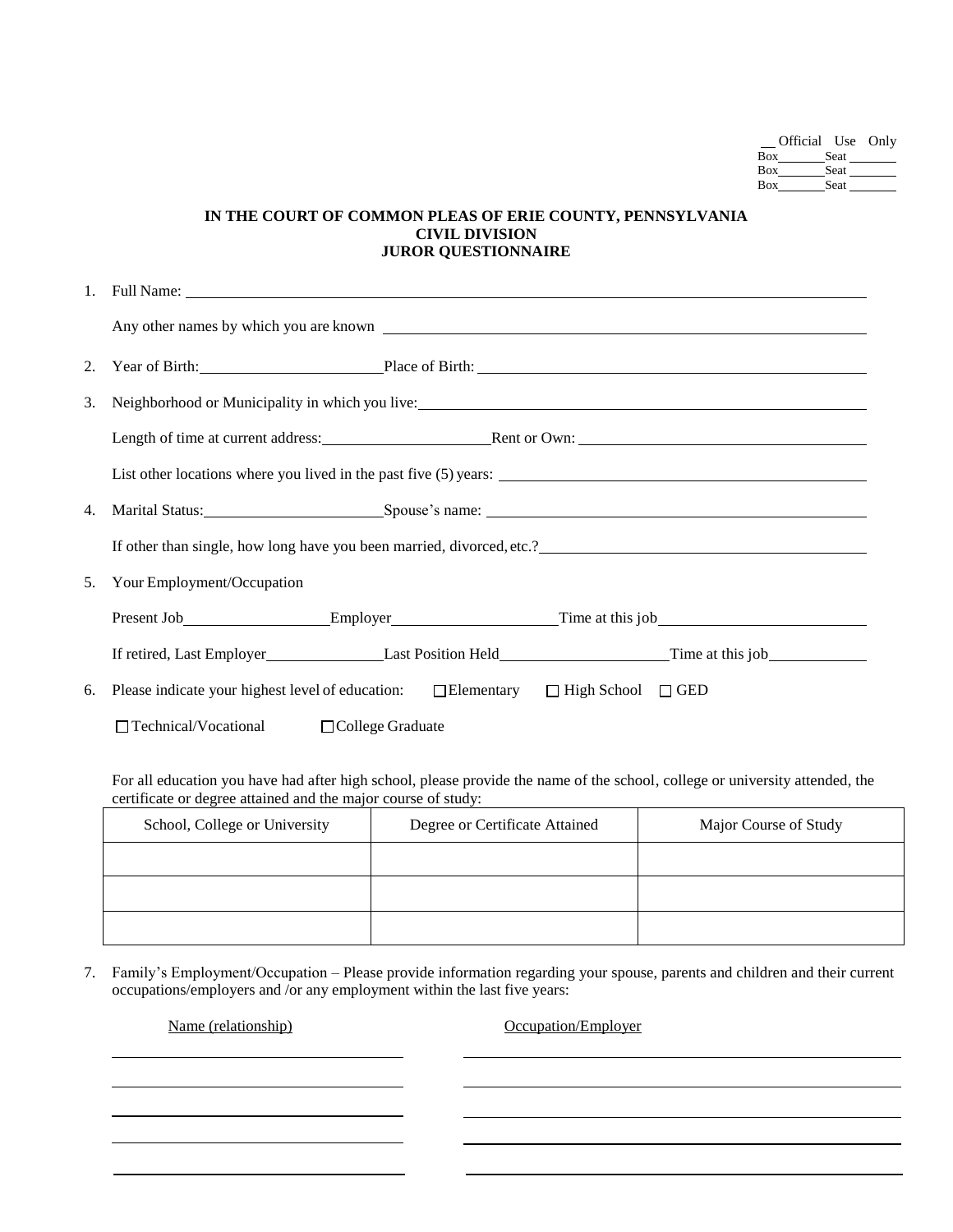| Official Use Only |
|-------------------|
| Seat              |
|                   |
|                   |
|                   |

#### **IN THE COURT OF COMMON PLEAS OF ERIE COUNTY, PENNSYLVANIA CIVIL DIVISION JUROR QUESTIONNAIRE**

| 2. | Year of Birth: Place of Birth: Place of Birth:                                                   |  |  |  |  |
|----|--------------------------------------------------------------------------------------------------|--|--|--|--|
| 3. | Neighborhood or Municipality in which you live:                                                  |  |  |  |  |
|    | Length of time at current address: Rent or Own: Rent or Own:                                     |  |  |  |  |
|    |                                                                                                  |  |  |  |  |
| 4. |                                                                                                  |  |  |  |  |
|    |                                                                                                  |  |  |  |  |
| 5. | Your Employment/Occupation                                                                       |  |  |  |  |
|    | Present Job Employer Employer Time at this job                                                   |  |  |  |  |
|    |                                                                                                  |  |  |  |  |
| 6. | Please indicate your highest level of education: $\Box$ Elementary $\Box$ High School $\Box$ GED |  |  |  |  |
|    | $\Box$ Technical/Vocational $\Box$ College Graduate                                              |  |  |  |  |
|    |                                                                                                  |  |  |  |  |

For all education you have had after high school, please provide the name of the school, college or university attended, the certificate or degree attained and the major course of study:

| School, College or University | Degree or Certificate Attained | Major Course of Study |
|-------------------------------|--------------------------------|-----------------------|
|                               |                                |                       |
|                               |                                |                       |
|                               |                                |                       |

7. Family's Employment/Occupation – Please provide information regarding your spouse, parents and children and their current occupations/employers and /or any employment within the last five years:

Name (relationship) Occupation/Employer